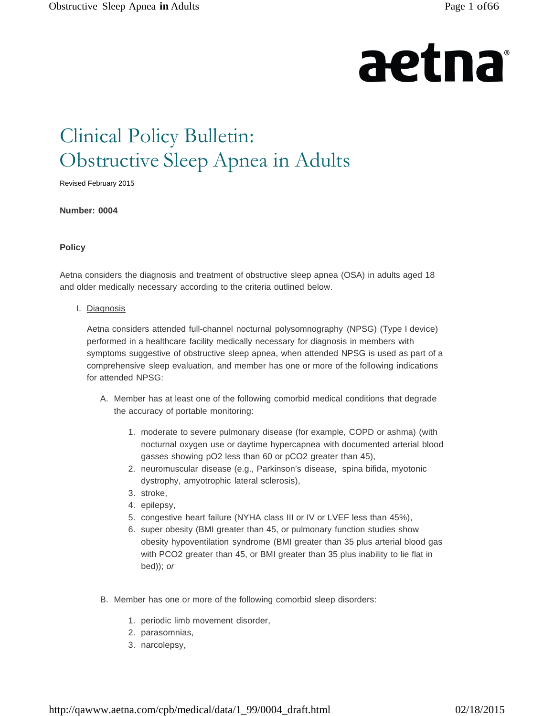# aetna

# Clinical Policy Bulletin: Obstructive Sleep Apnea in Adults

Revised February 2015

**Number: 0004**

#### **Policy**

Aetna considers the diagnosis and treatment of obstructive sleep apnea (OSA) in adults aged 18 and older medically necessary according to the criteria outlined below.

#### I. Diagnosis

Aetna considers attended full-channel nocturnal polysomnography (NPSG) (Type I device) performed in a healthcare facility medically necessary for diagnosis in members with symptoms suggestive of obstructive sleep apnea, when attended NPSG is used as part of a comprehensive sleep evaluation, and member has one or more of the following indications for attended NPSG:

- A. Member has at least one of the following comorbid medical conditions that degrade the accuracy of portable monitoring:
	- 1. moderate to severe pulmonary disease (for example, COPD or ashma) (with nocturnal oxygen use or daytime hypercapnea with documented arterial blood gasses showing pO2 less than 60 or pCO2 greater than 45),
	- 2. neuromuscular disease (e.g., Parkinson's disease, spina bifida, myotonic dystrophy, amyotrophic lateral sclerosis),
	- 3. stroke,
	- 4. epilepsy,
	- 5. congestive heart failure (NYHA class III or IV or LVEF less than 45%),
	- 6. super obesity (BMI greater than 45, or pulmonary function studies show obesity hypoventilation syndrome (BMI greater than 35 plus arterial blood gas with PCO2 greater than 45, or BMI greater than 35 plus inability to lie flat in bed)); *or*
- B. Member has one or more of the following comorbid sleep disorders:
	- 1. periodic limb movement disorder,
	- 2. parasomnias,
	- 3. narcolepsy,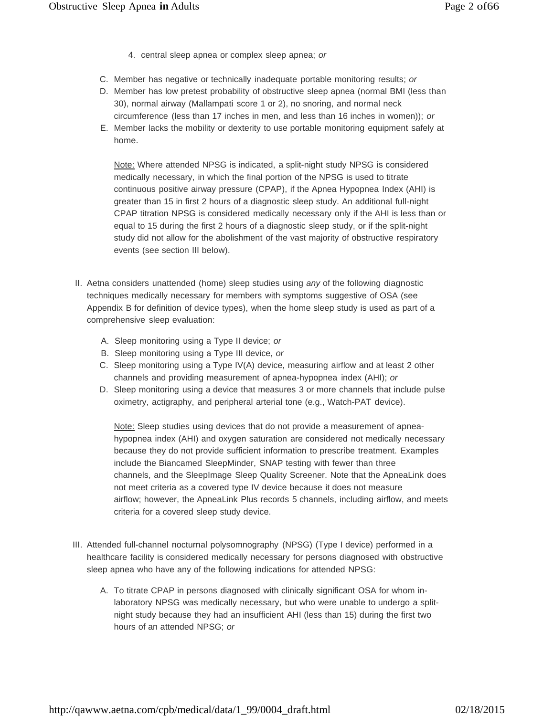- 4. central sleep apnea or complex sleep apnea; *or*
- C. Member has negative or technically inadequate portable monitoring results; *or*
- D. Member has low pretest probability of obstructive sleep apnea (normal BMI (less than 30), normal airway (Mallampati score 1 or 2), no snoring, and normal neck circumference (less than 17 inches in men, and less than 16 inches in women)); *or*
- E. Member lacks the mobility or dexterity to use portable monitoring equipment safely at home.

Note: Where attended NPSG is indicated, a split-night study NPSG is considered medically necessary, in which the final portion of the NPSG is used to titrate continuous positive airway pressure (CPAP), if the Apnea Hypopnea Index (AHI) is greater than 15 in first 2 hours of a diagnostic sleep study. An additional full-night CPAP titration NPSG is considered medically necessary only if the AHI is less than or equal to 15 during the first 2 hours of a diagnostic sleep study, or if the split-night study did not allow for the abolishment of the vast majority of obstructive respiratory events (see section III below).

- II. Aetna considers unattended (home) sleep studies using *any* of the following diagnostic techniques medically necessary for members with symptoms suggestive of OSA (see Appendix B for definition of device types), when the home sleep study is used as part of a comprehensive sleep evaluation:
	- A. Sleep monitoring using a Type II device; *or*
	- B. Sleep monitoring using a Type III device, *or*
	- C. Sleep monitoring using a Type IV(A) device, measuring airflow and at least 2 other channels and providing measurement of apnea-hypopnea index (AHI); *or*
	- D. Sleep monitoring using a device that measures 3 or more channels that include pulse oximetry, actigraphy, and peripheral arterial tone (e.g., Watch-PAT device).

Note: Sleep studies using devices that do not provide a measurement of apneahypopnea index (AHI) and oxygen saturation are considered not medically necessary because they do not provide sufficient information to prescribe treatment. Examples include the Biancamed SleepMinder, SNAP testing with fewer than three channels, and the SleepImage Sleep Quality Screener. Note that the ApneaLink does not meet criteria as a covered type IV device because it does not measure airflow; however, the ApneaLink Plus records 5 channels, including airflow, and meets criteria for a covered sleep study device.

- III. Attended full-channel nocturnal polysomnography (NPSG) (Type I device) performed in a healthcare facility is considered medically necessary for persons diagnosed with obstructive sleep apnea who have any of the following indications for attended NPSG:
	- A. To titrate CPAP in persons diagnosed with clinically significant OSA for whom inlaboratory NPSG was medically necessary, but who were unable to undergo a splitnight study because they had an insufficient AHI (less than 15) during the first two hours of an attended NPSG; *or*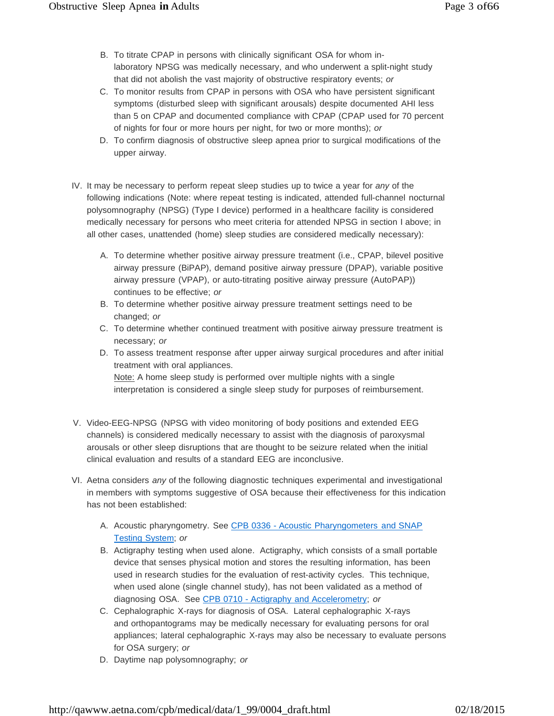- B. To titrate CPAP in persons with clinically significant OSA for whom inlaboratory NPSG was medically necessary, and who underwent a split-night study that did not abolish the vast majority of obstructive respiratory events; *or*
- C. To monitor results from CPAP in persons with OSA who have persistent significant symptoms (disturbed sleep with significant arousals) despite documented AHI less than 5 on CPAP and documented compliance with CPAP (CPAP used for 70 percent of nights for four or more hours per night, for two or more months); *or*
- D. To confirm diagnosis of obstructive sleep apnea prior to surgical modifications of the upper airway.
- IV. It may be necessary to perform repeat sleep studies up to twice a year for *any* of the following indications (Note: where repeat testing is indicated, attended full-channel nocturnal polysomnography (NPSG) (Type I device) performed in a healthcare facility is considered medically necessary for persons who meet criteria for attended NPSG in section I above; in all other cases, unattended (home) sleep studies are considered medically necessary):
	- A. To determine whether positive airway pressure treatment (i.e., CPAP, bilevel positive airway pressure (BiPAP), demand positive airway pressure (DPAP), variable positive airway pressure (VPAP), or auto-titrating positive airway pressure (AutoPAP)) continues to be effective; *or*
	- B. To determine whether positive airway pressure treatment settings need to be changed; *or*
	- C. To determine whether continued treatment with positive airway pressure treatment is necessary; *or*
	- D. To assess treatment response after upper airway surgical procedures and after initial treatment with oral appliances.

Note: A home sleep study is performed over multiple nights with a single interpretation is considered a single sleep study for purposes of reimbursement.

- V. Video-EEG-NPSG (NPSG with video monitoring of body positions and extended EEG channels) is considered medically necessary to assist with the diagnosis of paroxysmal arousals or other sleep disruptions that are thought to be seizure related when the initial clinical evaluation and results of a standard EEG are inconclusive.
- VI. Aetna considers *any* of the following diagnostic techniques experimental and investigational in members with symptoms suggestive of OSA because their effectiveness for this indication has not been established:
	- A. Acoustic pharyngometry. See CPB 0336 Acoustic Pharyngometers and SNAP Testing System; *or*
	- B. Actigraphy testing when used alone. Actigraphy, which consists of a small portable device that senses physical motion and stores the resulting information, has been used in research studies for the evaluation of rest-activity cycles. This technique, when used alone (single channel study), has not been validated as a method of diagnosing OSA. See CPB 0710 - Actigraphy and Accelerometry; *or*
	- C. Cephalographic X-rays for diagnosis of OSA. Lateral cephalographic X-rays and orthopantograms may be medically necessary for evaluating persons for oral appliances; lateral cephalographic X-rays may also be necessary to evaluate persons for OSA surgery; *or*
	- D. Daytime nap polysomnography; *or*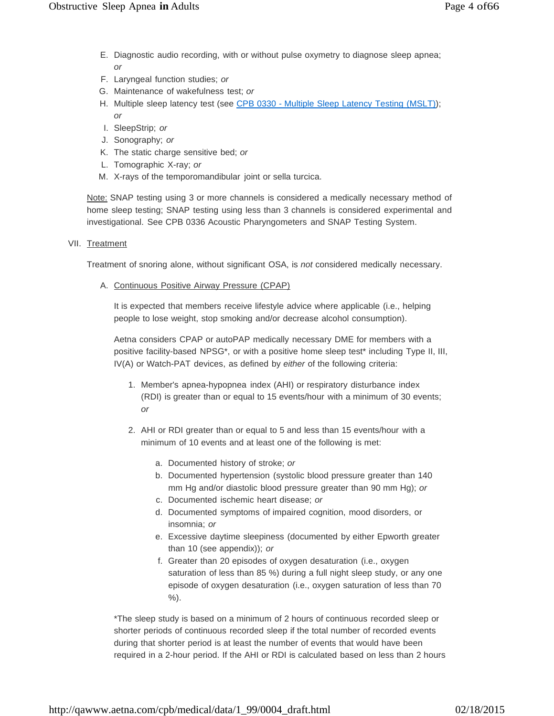- E. Diagnostic audio recording, with or without pulse oxymetry to diagnose sleep apnea; *or*
- F. Laryngeal function studies; *or*
- G. Maintenance of wakefulness test; *or*
- H. Multiple sleep latency test (see CPB 0330 Multiple Sleep Latency Testing (MSLT)); *or*
- I. SleepStrip; *or*
- J. Sonography; *or*
- K. The static charge sensitive bed; *or*
- L. Tomographic X-ray; *or*
- M. X-rays of the temporomandibular joint or sella turcica.

Note: SNAP testing using 3 or more channels is considered a medically necessary method of home sleep testing; SNAP testing using less than 3 channels is considered experimental and investigational. See CPB 0336 Acoustic Pharyngometers and SNAP Testing System.

VII. Treatment

Treatment of snoring alone, without significant OSA, is *not* considered medically necessary.

A. Continuous Positive Airway Pressure (CPAP)

It is expected that members receive lifestyle advice where applicable (i.e., helping people to lose weight, stop smoking and/or decrease alcohol consumption).

Aetna considers CPAP or autoPAP medically necessary DME for members with a positive facility-based NPSG\*, or with a positive home sleep test\* including Type II, III, IV(A) or Watch-PAT devices, as defined by *either* of the following criteria:

- 1. Member's apnea-hypopnea index (AHI) or respiratory disturbance index (RDI) is greater than or equal to 15 events/hour with a minimum of 30 events; *or*
- 2. AHI or RDI greater than or equal to 5 and less than 15 events/hour with a minimum of 10 events and at least one of the following is met:
	- a. Documented history of stroke; *or*
	- b. Documented hypertension (systolic blood pressure greater than 140 mm Hg and/or diastolic blood pressure greater than 90 mm Hg); *or*
	- c. Documented ischemic heart disease; *or*
	- d. Documented symptoms of impaired cognition, mood disorders, or insomnia; *or*
	- e. Excessive daytime sleepiness (documented by either Epworth greater than 10 (see appendix)); *or*
	- f. Greater than 20 episodes of oxygen desaturation (i.e., oxygen saturation of less than 85 %) during a full night sleep study, or any one episode of oxygen desaturation (i.e., oxygen saturation of less than 70 %).

\*The sleep study is based on a minimum of 2 hours of continuous recorded sleep or shorter periods of continuous recorded sleep if the total number of recorded events during that shorter period is at least the number of events that would have been required in a 2-hour period. If the AHI or RDI is calculated based on less than 2 hours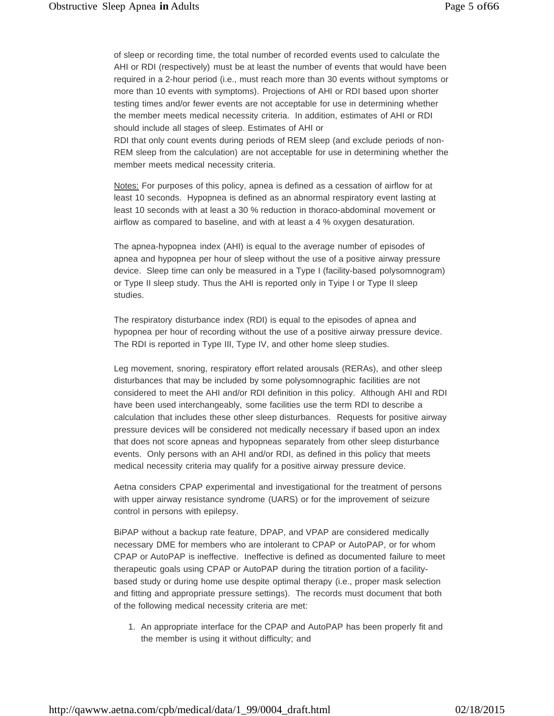of sleep or recording time, the total number of recorded events used to calculate the AHI or RDI (respectively) must be at least the number of events that would have been required in a 2-hour period (i.e., must reach more than 30 events without symptoms or more than 10 events with symptoms). Projections of AHI or RDI based upon shorter testing times and/or fewer events are not acceptable for use in determining whether the member meets medical necessity criteria. In addition, estimates of AHI or RDI should include all stages of sleep. Estimates of AHI or

RDI that only count events during periods of REM sleep (and exclude periods of non-REM sleep from the calculation) are not acceptable for use in determining whether the member meets medical necessity criteria.

Notes: For purposes of this policy, apnea is defined as a cessation of airflow for at least 10 seconds. Hypopnea is defined as an abnormal respiratory event lasting at least 10 seconds with at least a 30 % reduction in thoraco-abdominal movement or airflow as compared to baseline, and with at least a 4 % oxygen desaturation.

The apnea-hypopnea index (AHI) is equal to the average number of episodes of apnea and hypopnea per hour of sleep without the use of a positive airway pressure device. Sleep time can only be measured in a Type I (facility-based polysomnogram) or Type II sleep study. Thus the AHI is reported only in Tyipe I or Type II sleep studies.

The respiratory disturbance index (RDI) is equal to the episodes of apnea and hypopnea per hour of recording without the use of a positive airway pressure device. The RDI is reported in Type III, Type IV, and other home sleep studies.

Leg movement, snoring, respiratory effort related arousals (RERAs), and other sleep disturbances that may be included by some polysomnographic facilities are not considered to meet the AHI and/or RDI definition in this policy. Although AHI and RDI have been used interchangeably, some facilities use the term RDI to describe a calculation that includes these other sleep disturbances. Requests for positive airway pressure devices will be considered not medically necessary if based upon an index that does not score apneas and hypopneas separately from other sleep disturbance events. Only persons with an AHI and/or RDI, as defined in this policy that meets medical necessity criteria may qualify for a positive airway pressure device.

Aetna considers CPAP experimental and investigational for the treatment of persons with upper airway resistance syndrome (UARS) or for the improvement of seizure control in persons with epilepsy.

BiPAP without a backup rate feature, DPAP, and VPAP are considered medically necessary DME for members who are intolerant to CPAP or AutoPAP, or for whom CPAP or AutoPAP is ineffective. Ineffective is defined as documented failure to meet therapeutic goals using CPAP or AutoPAP during the titration portion of a facilitybased study or during home use despite optimal therapy (i.e., proper mask selection and fitting and appropriate pressure settings). The records must document that both of the following medical necessity criteria are met:

1. An appropriate interface for the CPAP and AutoPAP has been properly fit and the member is using it without difficulty; and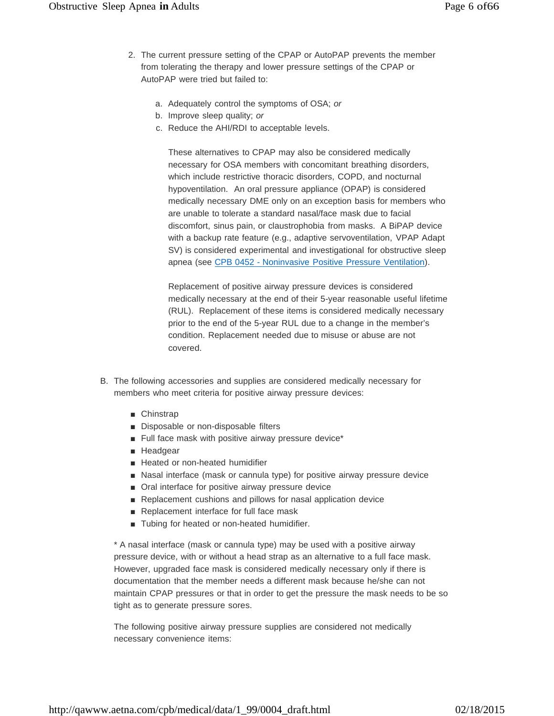- 2. The current pressure setting of the CPAP or AutoPAP prevents the member from tolerating the therapy and lower pressure settings of the CPAP or AutoPAP were tried but failed to:
	- a. Adequately control the symptoms of OSA; *or*
	- b. Improve sleep quality; *or*
	- c. Reduce the AHI/RDI to acceptable levels.

These alternatives to CPAP may also be considered medically necessary for OSA members with concomitant breathing disorders, which include restrictive thoracic disorders, COPD, and nocturnal hypoventilation. An oral pressure appliance (OPAP) is considered medically necessary DME only on an exception basis for members who are unable to tolerate a standard nasal/face mask due to facial discomfort, sinus pain, or claustrophobia from masks. A BiPAP device with a backup rate feature (e.g., adaptive servoventilation, VPAP Adapt SV) is considered experimental and investigational for obstructive sleep apnea (see CPB 0452 - Noninvasive Positive Pressure Ventilation).

Replacement of positive airway pressure devices is considered medically necessary at the end of their 5-year reasonable useful lifetime (RUL). Replacement of these items is considered medically necessary prior to the end of the 5-year RUL due to a change in the member's condition. Replacement needed due to misuse or abuse are not covered.

- B. The following accessories and supplies are considered medically necessary for members who meet criteria for positive airway pressure devices:
	- Chinstrap
	- Disposable or non-disposable filters
	- Full face mask with positive airway pressure device\*
	- Headgear
	- Heated or non-heated humidifier
	- Nasal interface (mask or cannula type) for positive airway pressure device
	- Oral interface for positive airway pressure device
	- Replacement cushions and pillows for nasal application device
	- Replacement interface for full face mask
	- Tubing for heated or non-heated humidifier.

\* A nasal interface (mask or cannula type) may be used with a positive airway pressure device, with or without a head strap as an alternative to a full face mask. However, upgraded face mask is considered medically necessary only if there is documentation that the member needs a different mask because he/she can not maintain CPAP pressures or that in order to get the pressure the mask needs to be so tight as to generate pressure sores.

The following positive airway pressure supplies are considered not medically necessary convenience items: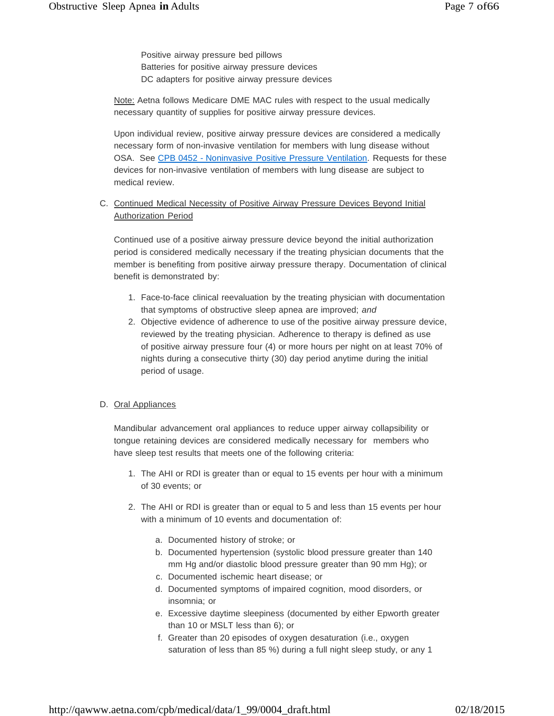Positive airway pressure bed pillows Batteries for positive airway pressure devices DC adapters for positive airway pressure devices

Note: Aetna follows Medicare DME MAC rules with respect to the usual medically necessary quantity of supplies for positive airway pressure devices.

Upon individual review, positive airway pressure devices are considered a medically necessary form of non-invasive ventilation for members with lung disease without OSA. See CPB 0452 - Noninvasive Positive Pressure Ventilation. Requests for these devices for non-invasive ventilation of members with lung disease are subject to medical review.

## C. Continued Medical Necessity of Positive Airway Pressure Devices Beyond Initial Authorization Period

Continued use of a positive airway pressure device beyond the initial authorization period is considered medically necessary if the treating physician documents that the member is benefiting from positive airway pressure therapy. Documentation of clinical benefit is demonstrated by:

- 1. Face-to-face clinical reevaluation by the treating physician with documentation that symptoms of obstructive sleep apnea are improved; *and*
- 2. Objective evidence of adherence to use of the positive airway pressure device, reviewed by the treating physician. Adherence to therapy is defined as use of positive airway pressure four (4) or more hours per night on at least 70% of nights during a consecutive thirty (30) day period anytime during the initial period of usage.

#### D. Oral Appliances

Mandibular advancement oral appliances to reduce upper airway collapsibility or tongue retaining devices are considered medically necessary for members who have sleep test results that meets one of the following criteria:

- 1. The AHI or RDI is greater than or equal to 15 events per hour with a minimum of 30 events; or
- 2. The AHI or RDI is greater than or equal to 5 and less than 15 events per hour with a minimum of 10 events and documentation of:
	- a. Documented history of stroke; or
	- b. Documented hypertension (systolic blood pressure greater than 140 mm Hg and/or diastolic blood pressure greater than 90 mm Hg); or
	- c. Documented ischemic heart disease; or
	- d. Documented symptoms of impaired cognition, mood disorders, or insomnia; or
	- e. Excessive daytime sleepiness (documented by either Epworth greater than 10 or MSLT less than 6); or
	- f. Greater than 20 episodes of oxygen desaturation (i.e., oxygen saturation of less than 85 %) during a full night sleep study, or any 1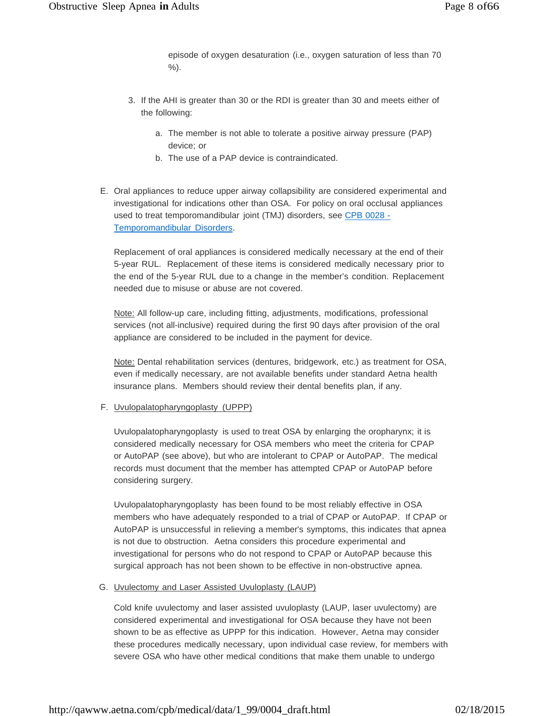episode of oxygen desaturation (i.e., oxygen saturation of less than 70 %).

- 3. If the AHI is greater than 30 or the RDI is greater than 30 and meets either of the following:
	- a. The member is not able to tolerate a positive airway pressure (PAP) device; or
	- b. The use of a PAP device is contraindicated.
- E. Oral appliances to reduce upper airway collapsibility are considered experimental and investigational for indications other than OSA. For policy on oral occlusal appliances used to treat temporomandibular joint (TMJ) disorders, see CPB 0028 -Temporomandibular Disorders.

Replacement of oral appliances is considered medically necessary at the end of their 5-year RUL. Replacement of these items is considered medically necessary prior to the end of the 5-year RUL due to a change in the member's condition. Replacement needed due to misuse or abuse are not covered.

Note: All follow-up care, including fitting, adjustments, modifications, professional services (not all-inclusive) required during the first 90 days after provision of the oral appliance are considered to be included in the payment for device.

Note: Dental rehabilitation services (dentures, bridgework, etc.) as treatment for OSA, even if medically necessary, are not available benefits under standard Aetna health insurance plans. Members should review their dental benefits plan, if any.

#### F. Uvulopalatopharyngoplasty (UPPP)

Uvulopalatopharyngoplasty is used to treat OSA by enlarging the oropharynx; it is considered medically necessary for OSA members who meet the criteria for CPAP or AutoPAP (see above), but who are intolerant to CPAP or AutoPAP. The medical records must document that the member has attempted CPAP or AutoPAP before considering surgery.

Uvulopalatopharyngoplasty has been found to be most reliably effective in OSA members who have adequately responded to a trial of CPAP or AutoPAP. If CPAP or AutoPAP is unsuccessful in relieving a member's symptoms, this indicates that apnea is not due to obstruction. Aetna considers this procedure experimental and investigational for persons who do not respond to CPAP or AutoPAP because this surgical approach has not been shown to be effective in non-obstructive apnea.

#### G. Uvulectomy and Laser Assisted Uvuloplasty (LAUP)

Cold knife uvulectomy and laser assisted uvuloplasty (LAUP, laser uvulectomy) are considered experimental and investigational for OSA because they have not been shown to be as effective as UPPP for this indication. However, Aetna may consider these procedures medically necessary, upon individual case review, for members with severe OSA who have other medical conditions that make them unable to undergo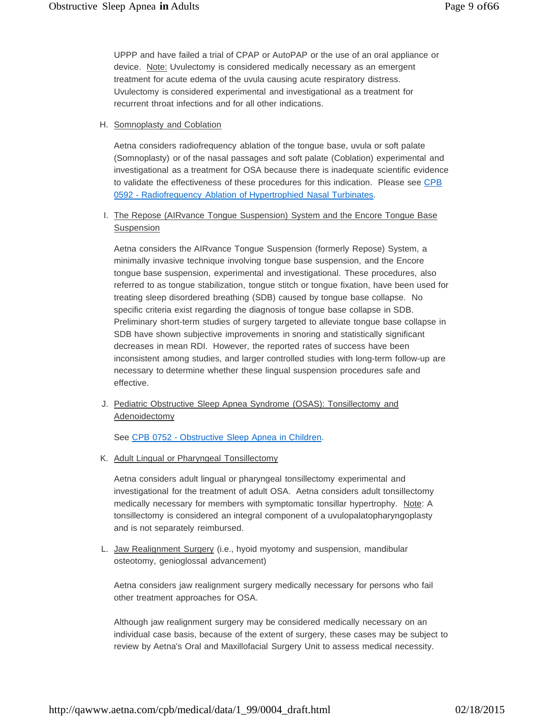UPPP and have failed a trial of CPAP or AutoPAP or the use of an oral appliance or device. Note: Uvulectomy is considered medically necessary as an emergent treatment for acute edema of the uvula causing acute respiratory distress. Uvulectomy is considered experimental and investigational as a treatment for recurrent throat infections and for all other indications.

#### H. Somnoplasty and Coblation

Aetna considers radiofrequency ablation of the tongue base, uvula or soft palate (Somnoplasty) or of the nasal passages and soft palate (Coblation) experimental and investigational as a treatment for OSA because there is inadequate scientific evidence to validate the effectiveness of these procedures for this indication. Please see CPB 0592 - Radiofrequency Ablation of Hypertrophied Nasal Turbinates.

## I. The Repose (AIRvance Tongue Suspension) System and the Encore Tongue Base Suspension

Aetna considers the AIRvance Tongue Suspension (formerly Repose) System, a minimally invasive technique involving tongue base suspension, and the Encore tongue base suspension, experimental and investigational. These procedures, also referred to as tongue stabilization, tongue stitch or tongue fixation, have been used for treating sleep disordered breathing (SDB) caused by tongue base collapse. No specific criteria exist regarding the diagnosis of tongue base collapse in SDB. Preliminary short-term studies of surgery targeted to alleviate tongue base collapse in SDB have shown subjective improvements in snoring and statistically significant decreases in mean RDI. However, the reported rates of success have been inconsistent among studies, and larger controlled studies with long-term follow-up are necessary to determine whether these lingual suspension procedures safe and effective.

J. Pediatric Obstructive Sleep Apnea Syndrome (OSAS): Tonsillectomy and **Adenoidectomy** 

See CPB 0752 - Obstructive Sleep Apnea in Children.

K. Adult Lingual or Pharyngeal Tonsillectomy

Aetna considers adult lingual or pharyngeal tonsillectomy experimental and investigational for the treatment of adult OSA. Aetna considers adult tonsillectomy medically necessary for members with symptomatic tonsillar hypertrophy. Note: A tonsillectomy is considered an integral component of a uvulopalatopharyngoplasty and is not separately reimbursed.

L. Jaw Realignment Surgery (i.e., hyoid myotomy and suspension, mandibular osteotomy, genioglossal advancement)

Aetna considers jaw realignment surgery medically necessary for persons who fail other treatment approaches for OSA.

Although jaw realignment surgery may be considered medically necessary on an individual case basis, because of the extent of surgery, these cases may be subject to review by Aetna's Oral and Maxillofacial Surgery Unit to assess medical necessity.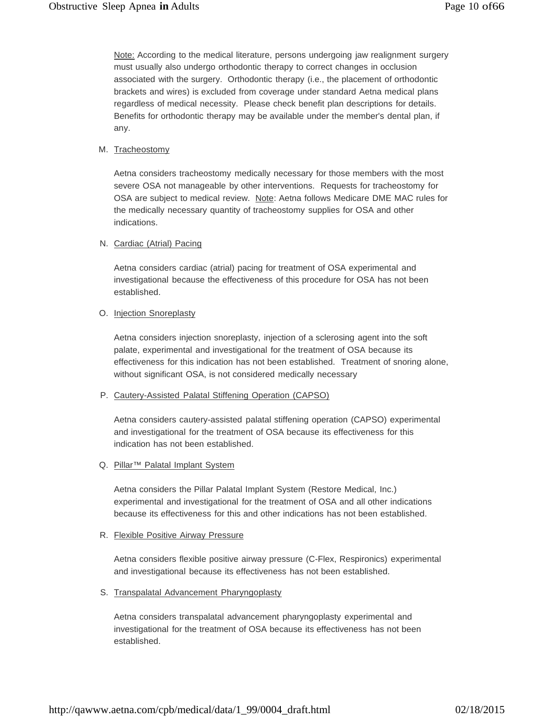Note: According to the medical literature, persons undergoing jaw realignment surgery must usually also undergo orthodontic therapy to correct changes in occlusion associated with the surgery. Orthodontic therapy (i.e., the placement of orthodontic brackets and wires) is excluded from coverage under standard Aetna medical plans regardless of medical necessity. Please check benefit plan descriptions for details. Benefits for orthodontic therapy may be available under the member's dental plan, if any.

#### M. Tracheostomy

Aetna considers tracheostomy medically necessary for those members with the most severe OSA not manageable by other interventions. Requests for tracheostomy for OSA are subject to medical review. Note: Aetna follows Medicare DME MAC rules for the medically necessary quantity of tracheostomy supplies for OSA and other indications.

#### N. Cardiac (Atrial) Pacing

Aetna considers cardiac (atrial) pacing for treatment of OSA experimental and investigational because the effectiveness of this procedure for OSA has not been established.

#### O. Injection Snoreplasty

Aetna considers injection snoreplasty, injection of a sclerosing agent into the soft palate, experimental and investigational for the treatment of OSA because its effectiveness for this indication has not been established. Treatment of snoring alone, without significant OSA, is not considered medically necessary

#### P. Cautery-Assisted Palatal Stiffening Operation (CAPSO)

Aetna considers cautery-assisted palatal stiffening operation (CAPSO) experimental and investigational for the treatment of OSA because its effectiveness for this indication has not been established.

#### Q. Pillar<sup>™</sup> Palatal Implant System

Aetna considers the Pillar Palatal Implant System (Restore Medical, Inc.) experimental and investigational for the treatment of OSA and all other indications because its effectiveness for this and other indications has not been established.

#### R. **Flexible Positive Airway Pressure**

Aetna considers flexible positive airway pressure (C-Flex, Respironics) experimental and investigational because its effectiveness has not been established.

#### S. Transpalatal Advancement Pharyngoplasty

Aetna considers transpalatal advancement pharyngoplasty experimental and investigational for the treatment of OSA because its effectiveness has not been established.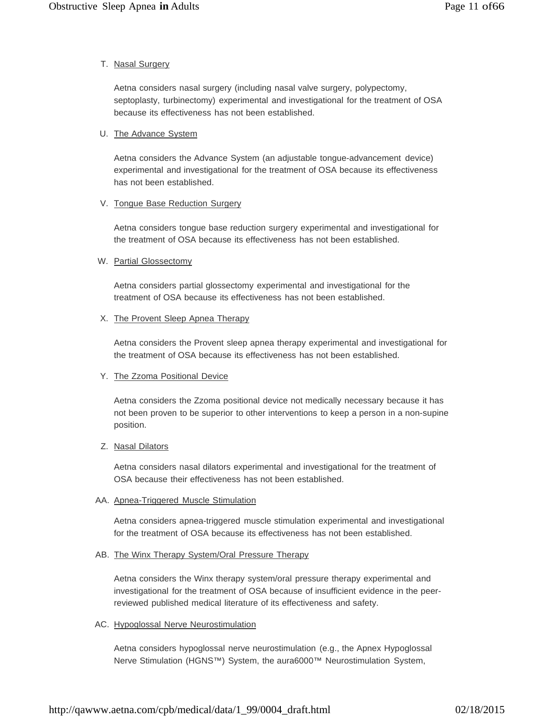#### T. Nasal Surgery

Aetna considers nasal surgery (including nasal valve surgery, polypectomy, septoplasty, turbinectomy) experimental and investigational for the treatment of OSA because its effectiveness has not been established.

#### U. The Advance System

Aetna considers the Advance System (an adjustable tongue-advancement device) experimental and investigational for the treatment of OSA because its effectiveness has not been established.

#### V. Tongue Base Reduction Surgery

Aetna considers tongue base reduction surgery experimental and investigational for the treatment of OSA because its effectiveness has not been established.

#### W. Partial Glossectomy

Aetna considers partial glossectomy experimental and investigational for the treatment of OSA because its effectiveness has not been established.

#### X. The Provent Sleep Apnea Therapy

Aetna considers the Provent sleep apnea therapy experimental and investigational for the treatment of OSA because its effectiveness has not been established.

#### Y. The Zzoma Positional Device

Aetna considers the Zzoma positional device not medically necessary because it has not been proven to be superior to other interventions to keep a person in a non-supine position.

#### Z. Nasal Dilators

Aetna considers nasal dilators experimental and investigational for the treatment of OSA because their effectiveness has not been established.

#### AA. Apnea-Triggered Muscle Stimulation

Aetna considers apnea-triggered muscle stimulation experimental and investigational for the treatment of OSA because its effectiveness has not been established.

#### AB. The Winx Therapy System/Oral Pressure Therapy

Aetna considers the Winx therapy system/oral pressure therapy experimental and investigational for the treatment of OSA because of insufficient evidence in the peerreviewed published medical literature of its effectiveness and safety.

#### AC. Hypoglossal Nerve Neurostimulation

Aetna considers hypoglossal nerve neurostimulation (e.g., the Apnex Hypoglossal Nerve Stimulation (HGNS™) System, the aura6000™ Neurostimulation System,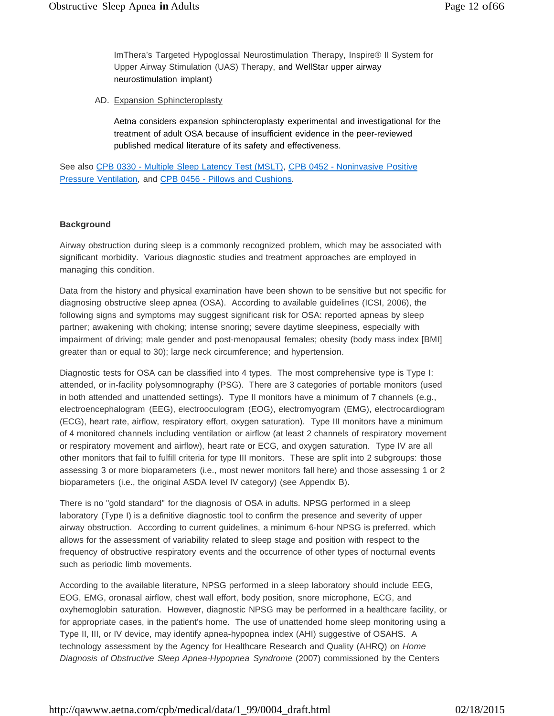ImThera's Targeted Hypoglossal Neurostimulation Therapy, Inspire® II System for Upper Airway Stimulation (UAS) Therapy, and WellStar upper airway neurostimulation implant)

AD. Expansion Sphincteroplasty

Aetna considers expansion sphincteroplasty experimental and investigational for the treatment of adult OSA because of insufficient evidence in the peer-reviewed published medical literature of its safety and effectiveness.

See also CPB 0330 - Multiple Sleep Latency Test (MSLT), CPB 0452 - Noninvasive Positive Pressure Ventilation, and CPB 0456 - Pillows and Cushions.

#### **Background**

Airway obstruction during sleep is a commonly recognized problem, which may be associated with significant morbidity. Various diagnostic studies and treatment approaches are employed in managing this condition.

Data from the history and physical examination have been shown to be sensitive but not specific for diagnosing obstructive sleep apnea (OSA). According to available guidelines (ICSI, 2006), the following signs and symptoms may suggest significant risk for OSA: reported apneas by sleep partner; awakening with choking; intense snoring; severe daytime sleepiness, especially with impairment of driving; male gender and post-menopausal females; obesity (body mass index [BMI] greater than or equal to 30); large neck circumference; and hypertension.

Diagnostic tests for OSA can be classified into 4 types. The most comprehensive type is Type I: attended, or in-facility polysomnography (PSG). There are 3 categories of portable monitors (used in both attended and unattended settings). Type II monitors have a minimum of 7 channels (e.g., electroencephalogram (EEG), electrooculogram (EOG), electromyogram (EMG), electrocardiogram (ECG), heart rate, airflow, respiratory effort, oxygen saturation). Type III monitors have a minimum of 4 monitored channels including ventilation or airflow (at least 2 channels of respiratory movement or respiratory movement and airflow), heart rate or ECG, and oxygen saturation. Type IV are all other monitors that fail to fulfill criteria for type III monitors. These are split into 2 subgroups: those assessing 3 or more bioparameters (i.e., most newer monitors fall here) and those assessing 1 or 2 bioparameters (i.e., the original ASDA level IV category) (see Appendix B).

There is no "gold standard" for the diagnosis of OSA in adults. NPSG performed in a sleep laboratory (Type I) is a definitive diagnostic tool to confirm the presence and severity of upper airway obstruction. According to current guidelines, a minimum 6-hour NPSG is preferred, which allows for the assessment of variability related to sleep stage and position with respect to the frequency of obstructive respiratory events and the occurrence of other types of nocturnal events such as periodic limb movements.

According to the available literature, NPSG performed in a sleep laboratory should include EEG, EOG, EMG, oronasal airflow, chest wall effort, body position, snore microphone, ECG, and oxyhemoglobin saturation. However, diagnostic NPSG may be performed in a healthcare facility, or for appropriate cases, in the patient's home. The use of unattended home sleep monitoring using a Type II, III, or IV device, may identify apnea-hypopnea index (AHI) suggestive of OSAHS. A technology assessment by the Agency for Healthcare Research and Quality (AHRQ) on *Home Diagnosis of Obstructive Sleep Apnea-Hypopnea Syndrome* (2007) commissioned by the Centers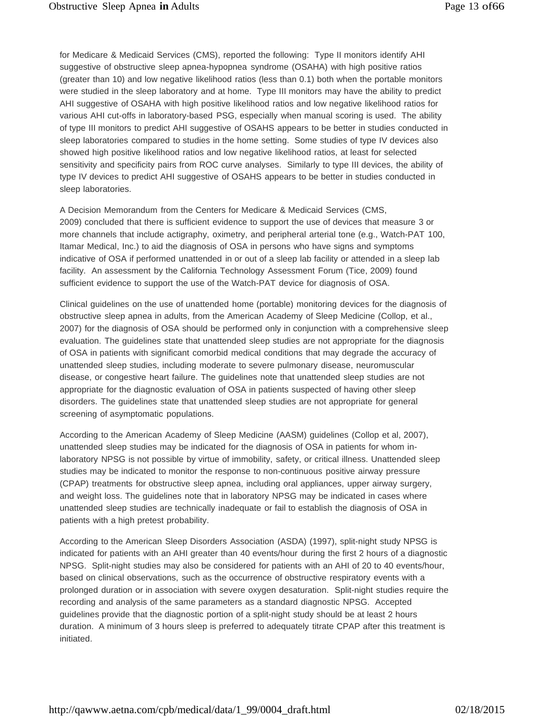for Medicare & Medicaid Services (CMS), reported the following: Type II monitors identify AHI suggestive of obstructive sleep apnea-hypopnea syndrome (OSAHA) with high positive ratios (greater than 10) and low negative likelihood ratios (less than 0.1) both when the portable monitors were studied in the sleep laboratory and at home. Type III monitors may have the ability to predict AHI suggestive of OSAHA with high positive likelihood ratios and low negative likelihood ratios for various AHI cut-offs in laboratory-based PSG, especially when manual scoring is used. The ability of type III monitors to predict AHI suggestive of OSAHS appears to be better in studies conducted in sleep laboratories compared to studies in the home setting. Some studies of type IV devices also showed high positive likelihood ratios and low negative likelihood ratios, at least for selected sensitivity and specificity pairs from ROC curve analyses. Similarly to type III devices, the ability of type IV devices to predict AHI suggestive of OSAHS appears to be better in studies conducted in sleep laboratories.

A Decision Memorandum from the Centers for Medicare & Medicaid Services (CMS, 2009) concluded that there is sufficient evidence to support the use of devices that measure 3 or more channels that include actigraphy, oximetry, and peripheral arterial tone (e.g., Watch-PAT 100, Itamar Medical, Inc.) to aid the diagnosis of OSA in persons who have signs and symptoms indicative of OSA if performed unattended in or out of a sleep lab facility or attended in a sleep lab facility. An assessment by the California Technology Assessment Forum (Tice, 2009) found sufficient evidence to support the use of the Watch-PAT device for diagnosis of OSA.

Clinical guidelines on the use of unattended home (portable) monitoring devices for the diagnosis of obstructive sleep apnea in adults, from the American Academy of Sleep Medicine (Collop, et al., 2007) for the diagnosis of OSA should be performed only in conjunction with a comprehensive sleep evaluation. The guidelines state that unattended sleep studies are not appropriate for the diagnosis of OSA in patients with significant comorbid medical conditions that may degrade the accuracy of unattended sleep studies, including moderate to severe pulmonary disease, neuromuscular disease, or congestive heart failure. The guidelines note that unattended sleep studies are not appropriate for the diagnostic evaluation of OSA in patients suspected of having other sleep disorders. The guidelines state that unattended sleep studies are not appropriate for general screening of asymptomatic populations.

According to the American Academy of Sleep Medicine (AASM) guidelines (Collop et al, 2007), unattended sleep studies may be indicated for the diagnosis of OSA in patients for whom inlaboratory NPSG is not possible by virtue of immobility, safety, or critical illness. Unattended sleep studies may be indicated to monitor the response to non-continuous positive airway pressure (CPAP) treatments for obstructive sleep apnea, including oral appliances, upper airway surgery, and weight loss. The guidelines note that in laboratory NPSG may be indicated in cases where unattended sleep studies are technically inadequate or fail to establish the diagnosis of OSA in patients with a high pretest probability.

According to the American Sleep Disorders Association (ASDA) (1997), split-night study NPSG is indicated for patients with an AHI greater than 40 events/hour during the first 2 hours of a diagnostic NPSG. Split-night studies may also be considered for patients with an AHI of 20 to 40 events/hour, based on clinical observations, such as the occurrence of obstructive respiratory events with a prolonged duration or in association with severe oxygen desaturation. Split-night studies require the recording and analysis of the same parameters as a standard diagnostic NPSG. Accepted guidelines provide that the diagnostic portion of a split-night study should be at least 2 hours duration. A minimum of 3 hours sleep is preferred to adequately titrate CPAP after this treatment is initiated.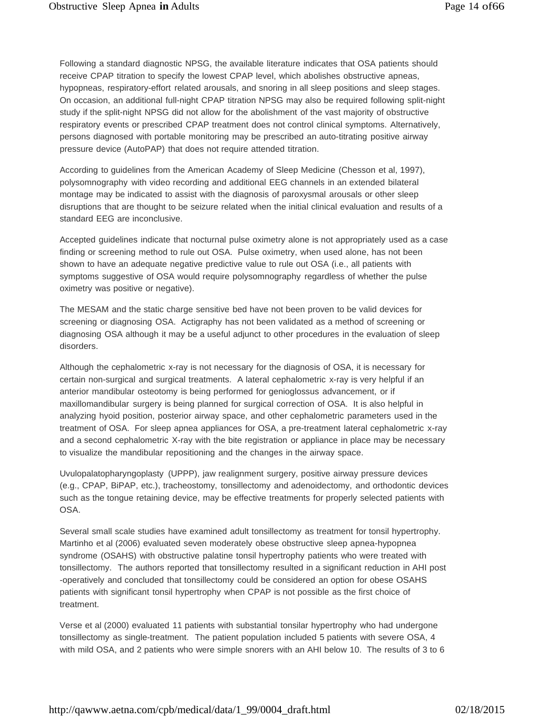Following a standard diagnostic NPSG, the available literature indicates that OSA patients should receive CPAP titration to specify the lowest CPAP level, which abolishes obstructive apneas, hypopneas, respiratory-effort related arousals, and snoring in all sleep positions and sleep stages. On occasion, an additional full-night CPAP titration NPSG may also be required following split-night study if the split-night NPSG did not allow for the abolishment of the vast majority of obstructive respiratory events or prescribed CPAP treatment does not control clinical symptoms. Alternatively, persons diagnosed with portable monitoring may be prescribed an auto-titrating positive airway pressure device (AutoPAP) that does not require attended titration.

According to guidelines from the American Academy of Sleep Medicine (Chesson et al, 1997), polysomnography with video recording and additional EEG channels in an extended bilateral montage may be indicated to assist with the diagnosis of paroxysmal arousals or other sleep disruptions that are thought to be seizure related when the initial clinical evaluation and results of a standard EEG are inconclusive.

Accepted guidelines indicate that nocturnal pulse oximetry alone is not appropriately used as a case finding or screening method to rule out OSA. Pulse oximetry, when used alone, has not been shown to have an adequate negative predictive value to rule out OSA (i.e., all patients with symptoms suggestive of OSA would require polysomnography regardless of whether the pulse oximetry was positive or negative).

The MESAM and the static charge sensitive bed have not been proven to be valid devices for screening or diagnosing OSA. Actigraphy has not been validated as a method of screening or diagnosing OSA although it may be a useful adjunct to other procedures in the evaluation of sleep disorders.

Although the cephalometric x-ray is not necessary for the diagnosis of OSA, it is necessary for certain non-surgical and surgical treatments. A lateral cephalometric x-ray is very helpful if an anterior mandibular osteotomy is being performed for genioglossus advancement, or if maxillomandibular surgery is being planned for surgical correction of OSA. It is also helpful in analyzing hyoid position, posterior airway space, and other cephalometric parameters used in the treatment of OSA. For sleep apnea appliances for OSA, a pre-treatment lateral cephalometric x-ray and a second cephalometric X-ray with the bite registration or appliance in place may be necessary to visualize the mandibular repositioning and the changes in the airway space.

Uvulopalatopharyngoplasty (UPPP), jaw realignment surgery, positive airway pressure devices (e.g., CPAP, BiPAP, etc.), tracheostomy, tonsillectomy and adenoidectomy, and orthodontic devices such as the tongue retaining device, may be effective treatments for properly selected patients with OSA.

Several small scale studies have examined adult tonsillectomy as treatment for tonsil hypertrophy. Martinho et al (2006) evaluated seven moderately obese obstructive sleep apnea-hypopnea syndrome (OSAHS) with obstructive palatine tonsil hypertrophy patients who were treated with tonsillectomy. The authors reported that tonsillectomy resulted in a significant reduction in AHI post -operatively and concluded that tonsillectomy could be considered an option for obese OSAHS patients with significant tonsil hypertrophy when CPAP is not possible as the first choice of treatment.

Verse et al (2000) evaluated 11 patients with substantial tonsilar hypertrophy who had undergone tonsillectomy as single-treatment. The patient population included 5 patients with severe OSA, 4 with mild OSA, and 2 patients who were simple snorers with an AHI below 10. The results of 3 to 6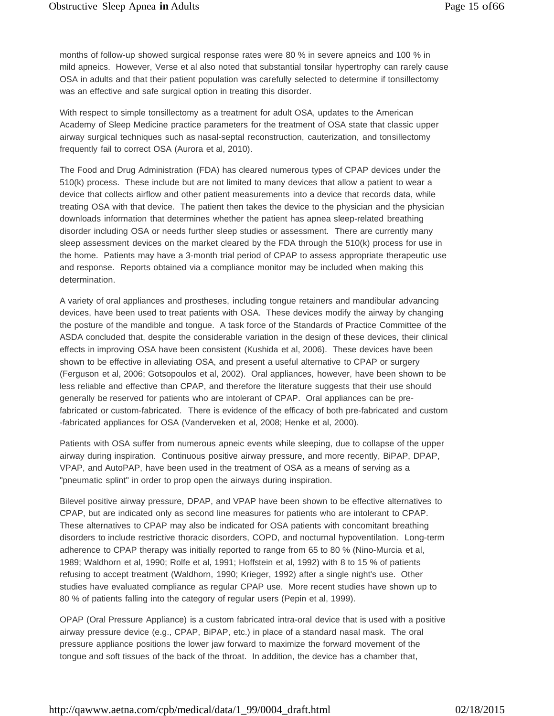months of follow-up showed surgical response rates were 80 % in severe apneics and 100 % in mild apneics. However, Verse et al also noted that substantial tonsilar hypertrophy can rarely cause OSA in adults and that their patient population was carefully selected to determine if tonsillectomy was an effective and safe surgical option in treating this disorder.

With respect to simple tonsillectomy as a treatment for adult OSA, updates to the American Academy of Sleep Medicine practice parameters for the treatment of OSA state that classic upper airway surgical techniques such as nasal-septal reconstruction, cauterization, and tonsillectomy frequently fail to correct OSA (Aurora et al, 2010).

The Food and Drug Administration (FDA) has cleared numerous types of CPAP devices under the 510(k) process. These include but are not limited to many devices that allow a patient to wear a device that collects airflow and other patient measurements into a device that records data, while treating OSA with that device. The patient then takes the device to the physician and the physician downloads information that determines whether the patient has apnea sleep-related breathing disorder including OSA or needs further sleep studies or assessment. There are currently many sleep assessment devices on the market cleared by the FDA through the 510(k) process for use in the home. Patients may have a 3-month trial period of CPAP to assess appropriate therapeutic use and response. Reports obtained via a compliance monitor may be included when making this determination.

A variety of oral appliances and prostheses, including tongue retainers and mandibular advancing devices, have been used to treat patients with OSA. These devices modify the airway by changing the posture of the mandible and tongue. A task force of the Standards of Practice Committee of the ASDA concluded that, despite the considerable variation in the design of these devices, their clinical effects in improving OSA have been consistent (Kushida et al, 2006). These devices have been shown to be effective in alleviating OSA, and present a useful alternative to CPAP or surgery (Ferguson et al, 2006; Gotsopoulos et al, 2002). Oral appliances, however, have been shown to be less reliable and effective than CPAP, and therefore the literature suggests that their use should generally be reserved for patients who are intolerant of CPAP. Oral appliances can be prefabricated or custom-fabricated. There is evidence of the efficacy of both pre-fabricated and custom -fabricated appliances for OSA (Vanderveken et al, 2008; Henke et al, 2000).

Patients with OSA suffer from numerous apneic events while sleeping, due to collapse of the upper airway during inspiration. Continuous positive airway pressure, and more recently, BiPAP, DPAP, VPAP, and AutoPAP, have been used in the treatment of OSA as a means of serving as a "pneumatic splint" in order to prop open the airways during inspiration.

Bilevel positive airway pressure, DPAP, and VPAP have been shown to be effective alternatives to CPAP, but are indicated only as second line measures for patients who are intolerant to CPAP. These alternatives to CPAP may also be indicated for OSA patients with concomitant breathing disorders to include restrictive thoracic disorders, COPD, and nocturnal hypoventilation. Long-term adherence to CPAP therapy was initially reported to range from 65 to 80 % (Nino-Murcia et al, 1989; Waldhorn et al, 1990; Rolfe et al, 1991; Hoffstein et al, 1992) with 8 to 15 % of patients refusing to accept treatment (Waldhorn, 1990; Krieger, 1992) after a single night's use. Other studies have evaluated compliance as regular CPAP use. More recent studies have shown up to 80 % of patients falling into the category of regular users (Pepin et al, 1999).

OPAP (Oral Pressure Appliance) is a custom fabricated intra-oral device that is used with a positive airway pressure device (e.g., CPAP, BiPAP, etc.) in place of a standard nasal mask. The oral pressure appliance positions the lower jaw forward to maximize the forward movement of the tongue and soft tissues of the back of the throat. In addition, the device has a chamber that,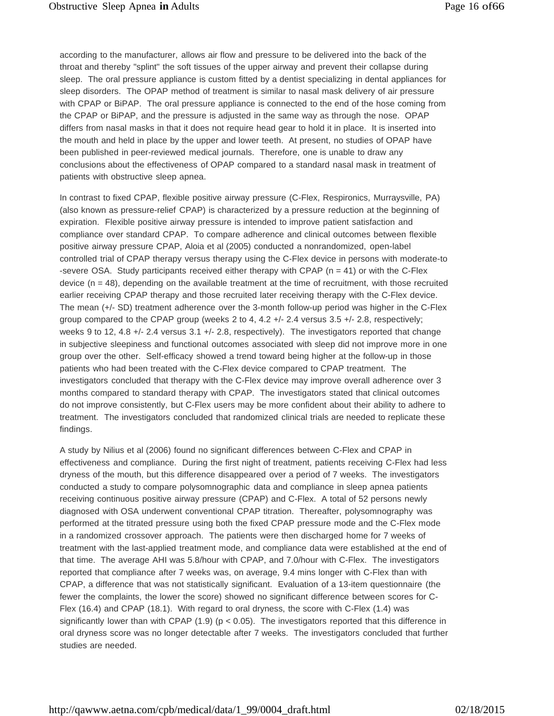according to the manufacturer, allows air flow and pressure to be delivered into the back of the throat and thereby "splint" the soft tissues of the upper airway and prevent their collapse during sleep. The oral pressure appliance is custom fitted by a dentist specializing in dental appliances for sleep disorders. The OPAP method of treatment is similar to nasal mask delivery of air pressure with CPAP or BiPAP. The oral pressure appliance is connected to the end of the hose coming from the CPAP or BiPAP, and the pressure is adjusted in the same way as through the nose. OPAP differs from nasal masks in that it does not require head gear to hold it in place. It is inserted into the mouth and held in place by the upper and lower teeth. At present, no studies of OPAP have been published in peer-reviewed medical journals. Therefore, one is unable to draw any conclusions about the effectiveness of OPAP compared to a standard nasal mask in treatment of patients with obstructive sleep apnea.

In contrast to fixed CPAP, flexible positive airway pressure (C-Flex, Respironics, Murraysville, PA) (also known as pressure-relief CPAP) is characterized by a pressure reduction at the beginning of expiration. Flexible positive airway pressure is intended to improve patient satisfaction and compliance over standard CPAP. To compare adherence and clinical outcomes between flexible positive airway pressure CPAP, Aloia et al (2005) conducted a nonrandomized, open-label controlled trial of CPAP therapy versus therapy using the C-Flex device in persons with moderate-to -severe OSA. Study participants received either therapy with CPAP ( $n = 41$ ) or with the C-Flex device  $(n = 48)$ , depending on the available treatment at the time of recruitment, with those recruited earlier receiving CPAP therapy and those recruited later receiving therapy with the C-Flex device. The mean (+/- SD) treatment adherence over the 3-month follow-up period was higher in the C-Flex group compared to the CPAP group (weeks 2 to 4, 4.2 +/- 2.4 versus 3.5 +/- 2.8, respectively; weeks 9 to 12, 4.8  $+/-$  2.4 versus 3.1  $+/-$  2.8, respectively). The investigators reported that change in subjective sleepiness and functional outcomes associated with sleep did not improve more in one group over the other. Self-efficacy showed a trend toward being higher at the follow-up in those patients who had been treated with the C-Flex device compared to CPAP treatment. The investigators concluded that therapy with the C-Flex device may improve overall adherence over 3 months compared to standard therapy with CPAP. The investigators stated that clinical outcomes do not improve consistently, but C-Flex users may be more confident about their ability to adhere to treatment. The investigators concluded that randomized clinical trials are needed to replicate these findings.

A study by Nilius et al (2006) found no significant differences between C-Flex and CPAP in effectiveness and compliance. During the first night of treatment, patients receiving C-Flex had less dryness of the mouth, but this difference disappeared over a period of 7 weeks. The investigators conducted a study to compare polysomnographic data and compliance in sleep apnea patients receiving continuous positive airway pressure (CPAP) and C-Flex. A total of 52 persons newly diagnosed with OSA underwent conventional CPAP titration. Thereafter, polysomnography was performed at the titrated pressure using both the fixed CPAP pressure mode and the C-Flex mode in a randomized crossover approach. The patients were then discharged home for 7 weeks of treatment with the last-applied treatment mode, and compliance data were established at the end of that time. The average AHI was 5.8/hour with CPAP, and 7.0/hour with C-Flex. The investigators reported that compliance after 7 weeks was, on average, 9.4 mins longer with C-Flex than with CPAP, a difference that was not statistically significant. Evaluation of a 13-item questionnaire (the fewer the complaints, the lower the score) showed no significant difference between scores for C-Flex (16.4) and CPAP (18.1). With regard to oral dryness, the score with C-Flex (1.4) was significantly lower than with CPAP (1.9) ( $p < 0.05$ ). The investigators reported that this difference in oral dryness score was no longer detectable after 7 weeks. The investigators concluded that further studies are needed.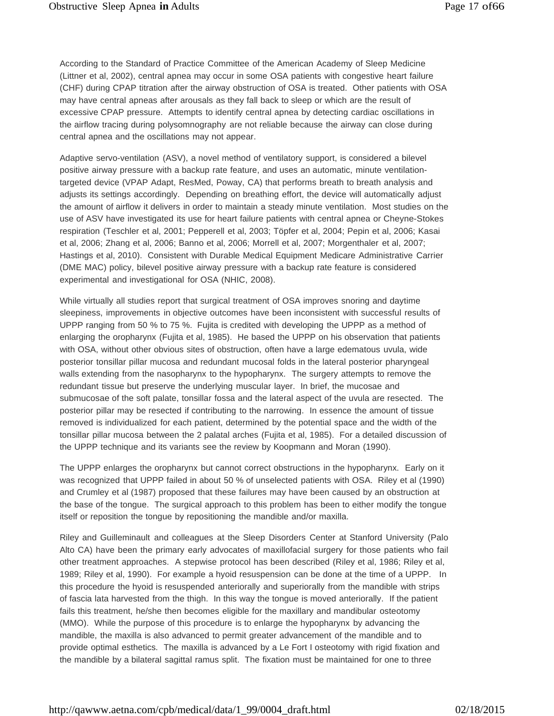According to the Standard of Practice Committee of the American Academy of Sleep Medicine (Littner et al, 2002), central apnea may occur in some OSA patients with congestive heart failure (CHF) during CPAP titration after the airway obstruction of OSA is treated. Other patients with OSA may have central apneas after arousals as they fall back to sleep or which are the result of excessive CPAP pressure. Attempts to identify central apnea by detecting cardiac oscillations in the airflow tracing during polysomnography are not reliable because the airway can close during central apnea and the oscillations may not appear.

Adaptive servo-ventilation (ASV), a novel method of ventilatory support, is considered a bilevel positive airway pressure with a backup rate feature, and uses an automatic, minute ventilationtargeted device (VPAP Adapt, ResMed, Poway, CA) that performs breath to breath analysis and adjusts its settings accordingly. Depending on breathing effort, the device will automatically adjust the amount of airflow it delivers in order to maintain a steady minute ventilation. Most studies on the use of ASV have investigated its use for heart failure patients with central apnea or Cheyne-Stokes respiration (Teschler et al, 2001; Pepperell et al, 2003; Töpfer et al, 2004; Pepin et al, 2006; Kasai et al, 2006; Zhang et al, 2006; Banno et al, 2006; Morrell et al, 2007; Morgenthaler et al, 2007; Hastings et al, 2010). Consistent with Durable Medical Equipment Medicare Administrative Carrier (DME MAC) policy, bilevel positive airway pressure with a backup rate feature is considered experimental and investigational for OSA (NHIC, 2008).

While virtually all studies report that surgical treatment of OSA improves snoring and daytime sleepiness, improvements in objective outcomes have been inconsistent with successful results of UPPP ranging from 50 % to 75 %. Fujita is credited with developing the UPPP as a method of enlarging the oropharynx (Fujita et al, 1985). He based the UPPP on his observation that patients with OSA, without other obvious sites of obstruction, often have a large edematous uvula, wide posterior tonsillar pillar mucosa and redundant mucosal folds in the lateral posterior pharyngeal walls extending from the nasopharynx to the hypopharynx. The surgery attempts to remove the redundant tissue but preserve the underlying muscular layer. In brief, the mucosae and submucosae of the soft palate, tonsillar fossa and the lateral aspect of the uvula are resected. The posterior pillar may be resected if contributing to the narrowing. In essence the amount of tissue removed is individualized for each patient, determined by the potential space and the width of the tonsillar pillar mucosa between the 2 palatal arches (Fujita et al, 1985). For a detailed discussion of the UPPP technique and its variants see the review by Koopmann and Moran (1990).

The UPPP enlarges the oropharynx but cannot correct obstructions in the hypopharynx. Early on it was recognized that UPPP failed in about 50 % of unselected patients with OSA. Riley et al (1990) and Crumley et al (1987) proposed that these failures may have been caused by an obstruction at the base of the tongue. The surgical approach to this problem has been to either modify the tongue itself or reposition the tongue by repositioning the mandible and/or maxilla.

Riley and Guilleminault and colleagues at the Sleep Disorders Center at Stanford University (Palo Alto CA) have been the primary early advocates of maxillofacial surgery for those patients who fail other treatment approaches. A stepwise protocol has been described (Riley et al, 1986; Riley et al, 1989; Riley et al, 1990). For example a hyoid resuspension can be done at the time of a UPPP. In this procedure the hyoid is resuspended anteriorally and superiorally from the mandible with strips of fascia lata harvested from the thigh. In this way the tongue is moved anteriorally. If the patient fails this treatment, he/she then becomes eligible for the maxillary and mandibular osteotomy (MMO). While the purpose of this procedure is to enlarge the hypopharynx by advancing the mandible, the maxilla is also advanced to permit greater advancement of the mandible and to provide optimal esthetics. The maxilla is advanced by a Le Fort I osteotomy with rigid fixation and the mandible by a bilateral sagittal ramus split. The fixation must be maintained for one to three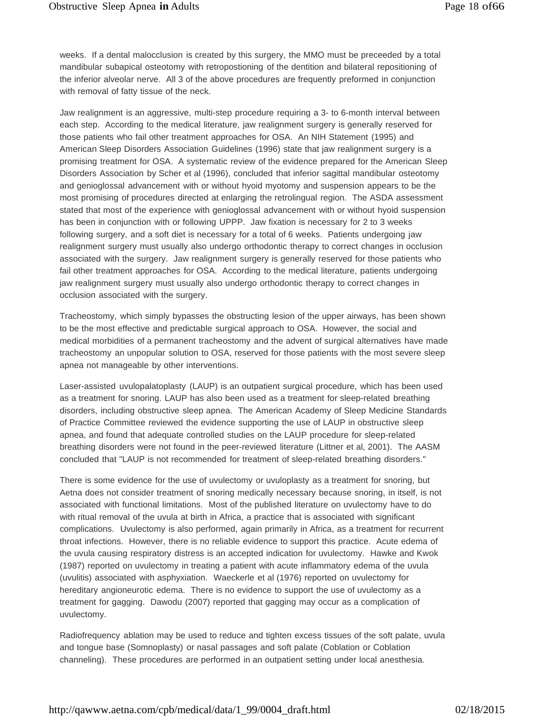weeks. If a dental malocclusion is created by this surgery, the MMO must be preceeded by a total mandibular subapical osteotomy with retropostioning of the dentition and bilateral repositioning of the inferior alveolar nerve. All 3 of the above procedures are frequently preformed in conjunction with removal of fatty tissue of the neck.

Jaw realignment is an aggressive, multi-step procedure requiring a 3- to 6-month interval between each step. According to the medical literature, jaw realignment surgery is generally reserved for those patients who fail other treatment approaches for OSA. An NIH Statement (1995) and American Sleep Disorders Association Guidelines (1996) state that jaw realignment surgery is a promising treatment for OSA. A systematic review of the evidence prepared for the American Sleep Disorders Association by Scher et al (1996), concluded that inferior sagittal mandibular osteotomy and genioglossal advancement with or without hyoid myotomy and suspension appears to be the most promising of procedures directed at enlarging the retrolingual region. The ASDA assessment stated that most of the experience with genioglossal advancement with or without hyoid suspension has been in conjunction with or following UPPP. Jaw fixation is necessary for 2 to 3 weeks following surgery, and a soft diet is necessary for a total of 6 weeks. Patients undergoing jaw realignment surgery must usually also undergo orthodontic therapy to correct changes in occlusion associated with the surgery. Jaw realignment surgery is generally reserved for those patients who fail other treatment approaches for OSA. According to the medical literature, patients undergoing jaw realignment surgery must usually also undergo orthodontic therapy to correct changes in occlusion associated with the surgery.

Tracheostomy, which simply bypasses the obstructing lesion of the upper airways, has been shown to be the most effective and predictable surgical approach to OSA. However, the social and medical morbidities of a permanent tracheostomy and the advent of surgical alternatives have made tracheostomy an unpopular solution to OSA, reserved for those patients with the most severe sleep apnea not manageable by other interventions.

Laser-assisted uvulopalatoplasty (LAUP) is an outpatient surgical procedure, which has been used as a treatment for snoring. LAUP has also been used as a treatment for sleep-related breathing disorders, including obstructive sleep apnea. The American Academy of Sleep Medicine Standards of Practice Committee reviewed the evidence supporting the use of LAUP in obstructive sleep apnea, and found that adequate controlled studies on the LAUP procedure for sleep-related breathing disorders were not found in the peer-reviewed literature (Littner et al, 2001). The AASM concluded that "LAUP is not recommended for treatment of sleep-related breathing disorders."

There is some evidence for the use of uvulectomy or uvuloplasty as a treatment for snoring, but Aetna does not consider treatment of snoring medically necessary because snoring, in itself, is not associated with functional limitations. Most of the published literature on uvulectomy have to do with ritual removal of the uvula at birth in Africa, a practice that is associated with significant complications. Uvulectomy is also performed, again primarily in Africa, as a treatment for recurrent throat infections. However, there is no reliable evidence to support this practice. Acute edema of the uvula causing respiratory distress is an accepted indication for uvulectomy. Hawke and Kwok (1987) reported on uvulectomy in treating a patient with acute inflammatory edema of the uvula (uvulitis) associated with asphyxiation. Waeckerle et al (1976) reported on uvulectomy for hereditary angioneurotic edema. There is no evidence to support the use of uvulectomy as a treatment for gagging. Dawodu (2007) reported that gagging may occur as a complication of uvulectomy.

Radiofrequency ablation may be used to reduce and tighten excess tissues of the soft palate, uvula and tongue base (Somnoplasty) or nasal passages and soft palate (Coblation or Coblation channeling). These procedures are performed in an outpatient setting under local anesthesia.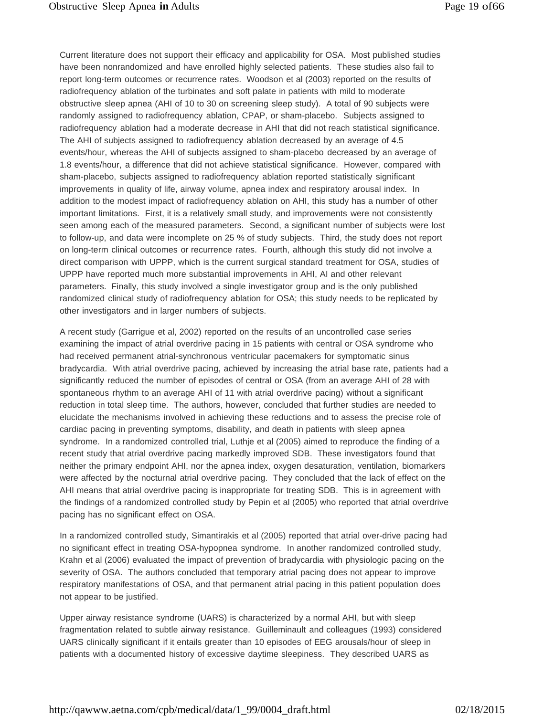Current literature does not support their efficacy and applicability for OSA. Most published studies have been nonrandomized and have enrolled highly selected patients. These studies also fail to report long-term outcomes or recurrence rates. Woodson et al (2003) reported on the results of radiofrequency ablation of the turbinates and soft palate in patients with mild to moderate obstructive sleep apnea (AHI of 10 to 30 on screening sleep study). A total of 90 subjects were randomly assigned to radiofrequency ablation, CPAP, or sham-placebo. Subjects assigned to radiofrequency ablation had a moderate decrease in AHI that did not reach statistical significance. The AHI of subjects assigned to radiofrequency ablation decreased by an average of 4.5 events/hour, whereas the AHI of subjects assigned to sham-placebo decreased by an average of 1.8 events/hour, a difference that did not achieve statistical significance. However, compared with sham-placebo, subjects assigned to radiofrequency ablation reported statistically significant improvements in quality of life, airway volume, apnea index and respiratory arousal index. In addition to the modest impact of radiofrequency ablation on AHI, this study has a number of other important limitations. First, it is a relatively small study, and improvements were not consistently seen among each of the measured parameters. Second, a significant number of subjects were lost to follow-up, and data were incomplete on 25 % of study subjects. Third, the study does not report on long-term clinical outcomes or recurrence rates. Fourth, although this study did not involve a direct comparison with UPPP, which is the current surgical standard treatment for OSA, studies of UPPP have reported much more substantial improvements in AHI, AI and other relevant parameters. Finally, this study involved a single investigator group and is the only published randomized clinical study of radiofrequency ablation for OSA; this study needs to be replicated by other investigators and in larger numbers of subjects.

A recent study (Garrigue et al, 2002) reported on the results of an uncontrolled case series examining the impact of atrial overdrive pacing in 15 patients with central or OSA syndrome who had received permanent atrial-synchronous ventricular pacemakers for symptomatic sinus bradycardia. With atrial overdrive pacing, achieved by increasing the atrial base rate, patients had a significantly reduced the number of episodes of central or OSA (from an average AHI of 28 with spontaneous rhythm to an average AHI of 11 with atrial overdrive pacing) without a significant reduction in total sleep time. The authors, however, concluded that further studies are needed to elucidate the mechanisms involved in achieving these reductions and to assess the precise role of cardiac pacing in preventing symptoms, disability, and death in patients with sleep apnea syndrome. In a randomized controlled trial, Luthje et al (2005) aimed to reproduce the finding of a recent study that atrial overdrive pacing markedly improved SDB. These investigators found that neither the primary endpoint AHI, nor the apnea index, oxygen desaturation, ventilation, biomarkers were affected by the nocturnal atrial overdrive pacing. They concluded that the lack of effect on the AHI means that atrial overdrive pacing is inappropriate for treating SDB. This is in agreement with the findings of a randomized controlled study by Pepin et al (2005) who reported that atrial overdrive pacing has no significant effect on OSA.

In a randomized controlled study, Simantirakis et al (2005) reported that atrial over-drive pacing had no significant effect in treating OSA-hypopnea syndrome. In another randomized controlled study, Krahn et al (2006) evaluated the impact of prevention of bradycardia with physiologic pacing on the severity of OSA. The authors concluded that temporary atrial pacing does not appear to improve respiratory manifestations of OSA, and that permanent atrial pacing in this patient population does not appear to be justified.

Upper airway resistance syndrome (UARS) is characterized by a normal AHI, but with sleep fragmentation related to subtle airway resistance. Guilleminault and colleagues (1993) considered UARS clinically significant if it entails greater than 10 episodes of EEG arousals/hour of sleep in patients with a documented history of excessive daytime sleepiness. They described UARS as

[http://qawww.aetna.com/cpb/medical/data/1\\_99/0004\\_draft.html](http://qawww.aetna.com/cpb/medical/data/1_99/0004_draft.html) 02/18/2015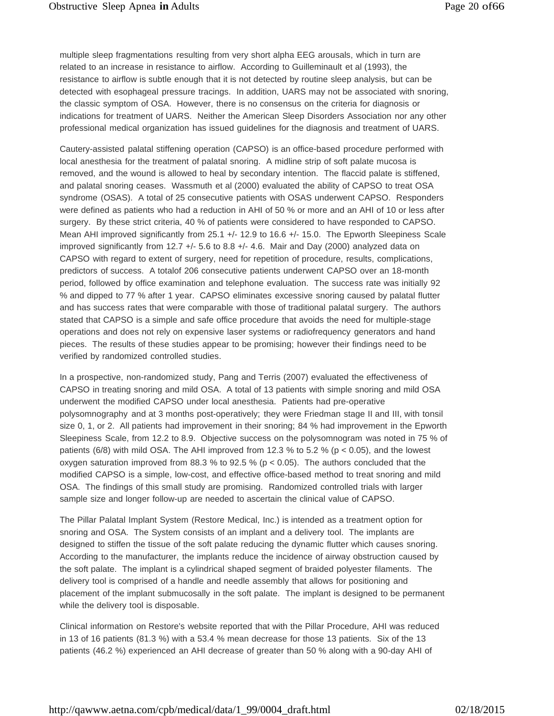multiple sleep fragmentations resulting from very short alpha EEG arousals, which in turn are related to an increase in resistance to airflow. According to Guilleminault et al (1993), the resistance to airflow is subtle enough that it is not detected by routine sleep analysis, but can be detected with esophageal pressure tracings. In addition, UARS may not be associated with snoring, the classic symptom of OSA. However, there is no consensus on the criteria for diagnosis or indications for treatment of UARS. Neither the American Sleep Disorders Association nor any other professional medical organization has issued guidelines for the diagnosis and treatment of UARS.

Cautery-assisted palatal stiffening operation (CAPSO) is an office-based procedure performed with local anesthesia for the treatment of palatal snoring. A midline strip of soft palate mucosa is removed, and the wound is allowed to heal by secondary intention. The flaccid palate is stiffened, and palatal snoring ceases. Wassmuth et al (2000) evaluated the ability of CAPSO to treat OSA syndrome (OSAS). A total of 25 consecutive patients with OSAS underwent CAPSO. Responders were defined as patients who had a reduction in AHI of 50 % or more and an AHI of 10 or less after surgery. By these strict criteria, 40 % of patients were considered to have responded to CAPSO. Mean AHI improved significantly from 25.1 +/- 12.9 to 16.6 +/- 15.0. The Epworth Sleepiness Scale improved significantly from 12.7 +/- 5.6 to 8.8 +/- 4.6. Mair and Day (2000) analyzed data on CAPSO with regard to extent of surgery, need for repetition of procedure, results, complications, predictors of success. A totalof 206 consecutive patients underwent CAPSO over an 18-month period, followed by office examination and telephone evaluation. The success rate was initially 92 % and dipped to 77 % after 1 year. CAPSO eliminates excessive snoring caused by palatal flutter and has success rates that were comparable with those of traditional palatal surgery. The authors stated that CAPSO is a simple and safe office procedure that avoids the need for multiple-stage operations and does not rely on expensive laser systems or radiofrequency generators and hand pieces. The results of these studies appear to be promising; however their findings need to be verified by randomized controlled studies.

In a prospective, non-randomized study, Pang and Terris (2007) evaluated the effectiveness of CAPSO in treating snoring and mild OSA. A total of 13 patients with simple snoring and mild OSA underwent the modified CAPSO under local anesthesia. Patients had pre-operative polysomnography and at 3 months post-operatively; they were Friedman stage II and III, with tonsil size 0, 1, or 2. All patients had improvement in their snoring; 84 % had improvement in the Epworth Sleepiness Scale, from 12.2 to 8.9. Objective success on the polysomnogram was noted in 75 % of patients (6/8) with mild OSA. The AHI improved from 12.3 % to 5.2 % ( $p < 0.05$ ), and the lowest oxygen saturation improved from 88.3 % to 92.5 % ( $p < 0.05$ ). The authors concluded that the modified CAPSO is a simple, low-cost, and effective office-based method to treat snoring and mild OSA. The findings of this small study are promising. Randomized controlled trials with larger sample size and longer follow-up are needed to ascertain the clinical value of CAPSO.

The Pillar Palatal Implant System (Restore Medical, Inc.) is intended as a treatment option for snoring and OSA. The System consists of an implant and a delivery tool. The implants are designed to stiffen the tissue of the soft palate reducing the dynamic flutter which causes snoring. According to the manufacturer, the implants reduce the incidence of airway obstruction caused by the soft palate. The implant is a cylindrical shaped segment of braided polyester filaments. The delivery tool is comprised of a handle and needle assembly that allows for positioning and placement of the implant submucosally in the soft palate. The implant is designed to be permanent while the delivery tool is disposable.

Clinical information on Restore's website reported that with the Pillar Procedure, AHI was reduced in 13 of 16 patients (81.3 %) with a 53.4 % mean decrease for those 13 patients. Six of the 13 patients (46.2 %) experienced an AHI decrease of greater than 50 % along with a 90-day AHI of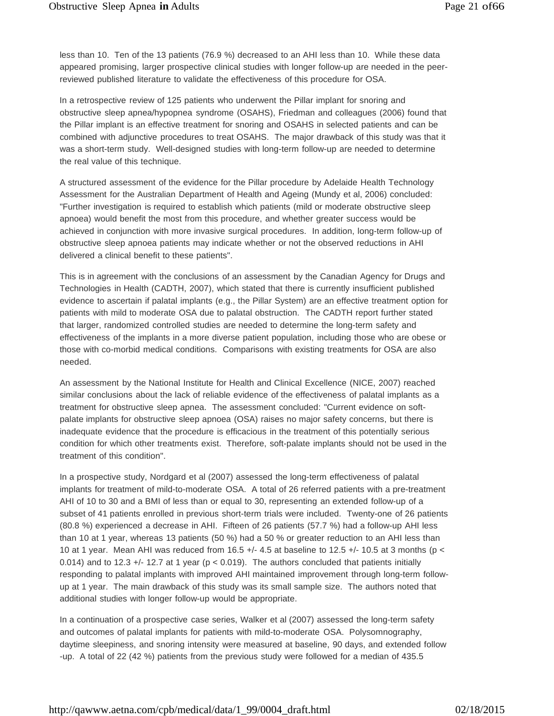less than 10. Ten of the 13 patients (76.9 %) decreased to an AHI less than 10. While these data appeared promising, larger prospective clinical studies with longer follow-up are needed in the peerreviewed published literature to validate the effectiveness of this procedure for OSA.

In a retrospective review of 125 patients who underwent the Pillar implant for snoring and obstructive sleep apnea/hypopnea syndrome (OSAHS), Friedman and colleagues (2006) found that the Pillar implant is an effective treatment for snoring and OSAHS in selected patients and can be combined with adjunctive procedures to treat OSAHS. The major drawback of this study was that it was a short-term study. Well-designed studies with long-term follow-up are needed to determine the real value of this technique.

A structured assessment of the evidence for the Pillar procedure by Adelaide Health Technology Assessment for the Australian Department of Health and Ageing (Mundy et al, 2006) concluded: "Further investigation is required to establish which patients (mild or moderate obstructive sleep apnoea) would benefit the most from this procedure, and whether greater success would be achieved in conjunction with more invasive surgical procedures. In addition, long-term follow-up of obstructive sleep apnoea patients may indicate whether or not the observed reductions in AHI delivered a clinical benefit to these patients".

This is in agreement with the conclusions of an assessment by the Canadian Agency for Drugs and Technologies in Health (CADTH, 2007), which stated that there is currently insufficient published evidence to ascertain if palatal implants (e.g., the Pillar System) are an effective treatment option for patients with mild to moderate OSA due to palatal obstruction. The CADTH report further stated that larger, randomized controlled studies are needed to determine the long-term safety and effectiveness of the implants in a more diverse patient population, including those who are obese or those with co-morbid medical conditions. Comparisons with existing treatments for OSA are also needed.

An assessment by the National Institute for Health and Clinical Excellence (NICE, 2007) reached similar conclusions about the lack of reliable evidence of the effectiveness of palatal implants as a treatment for obstructive sleep apnea. The assessment concluded: "Current evidence on softpalate implants for obstructive sleep apnoea (OSA) raises no major safety concerns, but there is inadequate evidence that the procedure is efficacious in the treatment of this potentially serious condition for which other treatments exist. Therefore, soft-palate implants should not be used in the treatment of this condition".

In a prospective study, Nordgard et al (2007) assessed the long-term effectiveness of palatal implants for treatment of mild-to-moderate OSA. A total of 26 referred patients with a pre-treatment AHI of 10 to 30 and a BMI of less than or equal to 30, representing an extended follow-up of a subset of 41 patients enrolled in previous short-term trials were included. Twenty-one of 26 patients (80.8 %) experienced a decrease in AHI. Fifteen of 26 patients (57.7 %) had a follow-up AHI less than 10 at 1 year, whereas 13 patients (50 %) had a 50 % or greater reduction to an AHI less than 10 at 1 year. Mean AHI was reduced from 16.5  $+/-$  4.5 at baseline to 12.5  $+/-$  10.5 at 3 months (p < 0.014) and to 12.3  $+/-$  12.7 at 1 year (p < 0.019). The authors concluded that patients initially responding to palatal implants with improved AHI maintained improvement through long-term followup at 1 year. The main drawback of this study was its small sample size. The authors noted that additional studies with longer follow-up would be appropriate.

In a continuation of a prospective case series, Walker et al (2007) assessed the long-term safety and outcomes of palatal implants for patients with mild-to-moderate OSA. Polysomnography, daytime sleepiness, and snoring intensity were measured at baseline, 90 days, and extended follow -up. A total of 22 (42 %) patients from the previous study were followed for a median of 435.5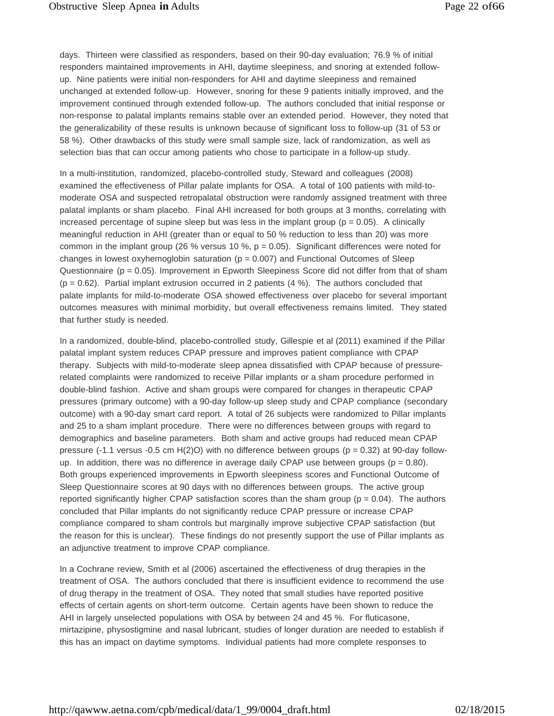days. Thirteen were classified as responders, based on their 90-day evaluation; 76.9 % of initial responders maintained improvements in AHI, daytime sleepiness, and snoring at extended followup. Nine patients were initial non-responders for AHI and daytime sleepiness and remained unchanged at extended follow-up. However, snoring for these 9 patients initially improved, and the improvement continued through extended follow-up. The authors concluded that initial response or non-response to palatal implants remains stable over an extended period. However, they noted that the generalizability of these results is unknown because of significant loss to follow-up (31 of 53 or 58 %). Other drawbacks of this study were small sample size, lack of randomization, as well as selection bias that can occur among patients who chose to participate in a follow-up study.

In a multi-institution, randomized, placebo-controlled study, Steward and colleagues (2008) examined the effectiveness of Pillar palate implants for OSA. A total of 100 patients with mild-tomoderate OSA and suspected retropalatal obstruction were randomly assigned treatment with three palatal implants or sham placebo. Final AHI increased for both groups at 3 months, correlating with increased percentage of supine sleep but was less in the implant group ( $p = 0.05$ ). A clinically meaningful reduction in AHI (greater than or equal to 50 % reduction to less than 20) was more common in the implant group (26 % versus 10 %,  $p = 0.05$ ). Significant differences were noted for changes in lowest oxyhemoglobin saturation ( $p = 0.007$ ) and Functional Outcomes of Sleep Questionnaire ( $p = 0.05$ ). Improvement in Epworth Sleepiness Score did not differ from that of sham  $(p = 0.62)$ . Partial implant extrusion occurred in 2 patients  $(4\%)$ . The authors concluded that palate implants for mild-to-moderate OSA showed effectiveness over placebo for several important outcomes measures with minimal morbidity, but overall effectiveness remains limited. They stated that further study is needed.

In a randomized, double-blind, placebo-controlled study, Gillespie et al (2011) examined if the Pillar palatal implant system reduces CPAP pressure and improves patient compliance with CPAP therapy. Subjects with mild-to-moderate sleep apnea dissatisfied with CPAP because of pressurerelated complaints were randomized to receive Pillar implants or a sham procedure performed in double-blind fashion. Active and sham groups were compared for changes in therapeutic CPAP pressures (primary outcome) with a 90-day follow-up sleep study and CPAP compliance (secondary outcome) with a 90-day smart card report. A total of 26 subjects were randomized to Pillar implants and 25 to a sham implant procedure. There were no differences between groups with regard to demographics and baseline parameters. Both sham and active groups had reduced mean CPAP pressure (-1.1 versus -0.5 cm  $H(2)O$ ) with no difference between groups ( $p = 0.32$ ) at 90-day followup. In addition, there was no difference in average daily CPAP use between groups ( $p = 0.80$ ). Both groups experienced improvements in Epworth sleepiness scores and Functional Outcome of Sleep Questionnaire scores at 90 days with no differences between groups. The active group reported significantly higher CPAP satisfaction scores than the sham group ( $p = 0.04$ ). The authors concluded that Pillar implants do not significantly reduce CPAP pressure or increase CPAP compliance compared to sham controls but marginally improve subjective CPAP satisfaction (but the reason for this is unclear). These findings do not presently support the use of Pillar implants as an adjunctive treatment to improve CPAP compliance.

In a Cochrane review, Smith et al (2006) ascertained the effectiveness of drug therapies in the treatment of OSA. The authors concluded that there is insufficient evidence to recommend the use of drug therapy in the treatment of OSA. They noted that small studies have reported positive effects of certain agents on short-term outcome. Certain agents have been shown to reduce the AHI in largely unselected populations with OSA by between 24 and 45 %. For fluticasone, mirtazipine, physostigmine and nasal lubricant, studies of longer duration are needed to establish if this has an impact on daytime symptoms. Individual patients had more complete responses to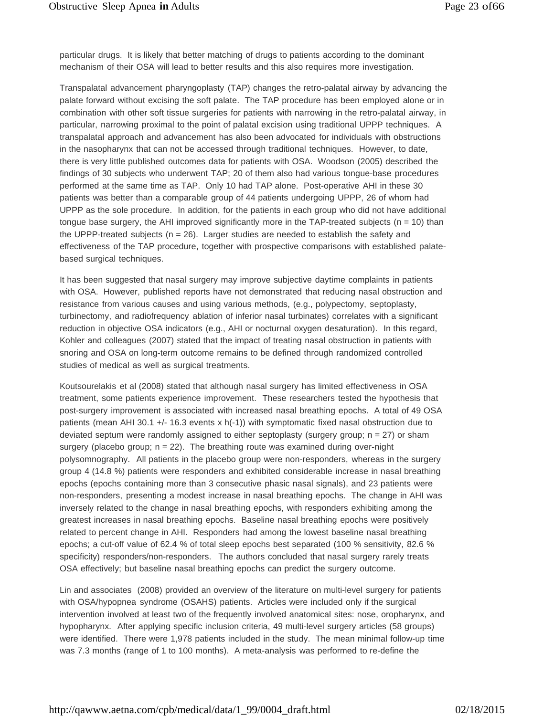particular drugs. It is likely that better matching of drugs to patients according to the dominant mechanism of their OSA will lead to better results and this also requires more investigation.

Transpalatal advancement pharyngoplasty (TAP) changes the retro-palatal airway by advancing the palate forward without excising the soft palate. The TAP procedure has been employed alone or in combination with other soft tissue surgeries for patients with narrowing in the retro-palatal airway, in particular, narrowing proximal to the point of palatal excision using traditional UPPP techniques. A transpalatal approach and advancement has also been advocated for individuals with obstructions in the nasopharynx that can not be accessed through traditional techniques. However, to date, there is very little published outcomes data for patients with OSA. Woodson (2005) described the findings of 30 subjects who underwent TAP; 20 of them also had various tongue-base procedures performed at the same time as TAP. Only 10 had TAP alone. Post-operative AHI in these 30 patients was better than a comparable group of 44 patients undergoing UPPP, 26 of whom had UPPP as the sole procedure. In addition, for the patients in each group who did not have additional tongue base surgery, the AHI improved significantly more in the TAP-treated subjects  $(n = 10)$  than the UPPP-treated subjects ( $n = 26$ ). Larger studies are needed to establish the safety and effectiveness of the TAP procedure, together with prospective comparisons with established palatebased surgical techniques.

It has been suggested that nasal surgery may improve subjective daytime complaints in patients with OSA. However, published reports have not demonstrated that reducing nasal obstruction and resistance from various causes and using various methods, (e.g., polypectomy, septoplasty, turbinectomy, and radiofrequency ablation of inferior nasal turbinates) correlates with a significant reduction in objective OSA indicators (e.g., AHI or nocturnal oxygen desaturation). In this regard, Kohler and colleagues (2007) stated that the impact of treating nasal obstruction in patients with snoring and OSA on long-term outcome remains to be defined through randomized controlled studies of medical as well as surgical treatments.

Koutsourelakis et al (2008) stated that although nasal surgery has limited effectiveness in OSA treatment, some patients experience improvement. These researchers tested the hypothesis that post-surgery improvement is associated with increased nasal breathing epochs. A total of 49 OSA patients (mean AHI 30.1 +/- 16.3 events x h(-1)) with symptomatic fixed nasal obstruction due to deviated septum were randomly assigned to either septoplasty (surgery group;  $n = 27$ ) or sham surgery (placebo group; n = 22). The breathing route was examined during over-night polysomnography. All patients in the placebo group were non-responders, whereas in the surgery group 4 (14.8 %) patients were responders and exhibited considerable increase in nasal breathing epochs (epochs containing more than 3 consecutive phasic nasal signals), and 23 patients were non-responders, presenting a modest increase in nasal breathing epochs. The change in AHI was inversely related to the change in nasal breathing epochs, with responders exhibiting among the greatest increases in nasal breathing epochs. Baseline nasal breathing epochs were positively related to percent change in AHI. Responders had among the lowest baseline nasal breathing epochs; a cut-off value of 62.4 % of total sleep epochs best separated (100 % sensitivity, 82.6 % specificity) responders/non-responders. The authors concluded that nasal surgery rarely treats OSA effectively; but baseline nasal breathing epochs can predict the surgery outcome.

Lin and associates (2008) provided an overview of the literature on multi-level surgery for patients with OSA/hypopnea syndrome (OSAHS) patients. Articles were included only if the surgical intervention involved at least two of the frequently involved anatomical sites: nose, oropharynx, and hypopharynx. After applying specific inclusion criteria, 49 multi-level surgery articles (58 groups) were identified. There were 1,978 patients included in the study. The mean minimal follow-up time was 7.3 months (range of 1 to 100 months). A meta-analysis was performed to re-define the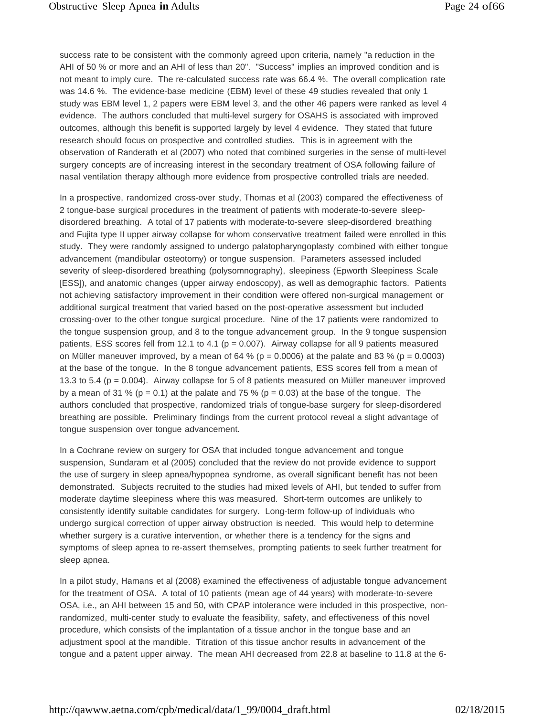success rate to be consistent with the commonly agreed upon criteria, namely "a reduction in the AHI of 50 % or more and an AHI of less than 20". "Success" implies an improved condition and is not meant to imply cure. The re-calculated success rate was 66.4 %. The overall complication rate was 14.6 %. The evidence-base medicine (EBM) level of these 49 studies revealed that only 1 study was EBM level 1, 2 papers were EBM level 3, and the other 46 papers were ranked as level 4 evidence. The authors concluded that multi-level surgery for OSAHS is associated with improved outcomes, although this benefit is supported largely by level 4 evidence. They stated that future research should focus on prospective and controlled studies. This is in agreement with the observation of Randerath et al (2007) who noted that combined surgeries in the sense of multi-level surgery concepts are of increasing interest in the secondary treatment of OSA following failure of nasal ventilation therapy although more evidence from prospective controlled trials are needed.

In a prospective, randomized cross-over study, Thomas et al (2003) compared the effectiveness of 2 tongue-base surgical procedures in the treatment of patients with moderate-to-severe sleepdisordered breathing. A total of 17 patients with moderate-to-severe sleep-disordered breathing and Fujita type II upper airway collapse for whom conservative treatment failed were enrolled in this study. They were randomly assigned to undergo palatopharyngoplasty combined with either tongue advancement (mandibular osteotomy) or tongue suspension. Parameters assessed included severity of sleep-disordered breathing (polysomnography), sleepiness (Epworth Sleepiness Scale [ESS]), and anatomic changes (upper airway endoscopy), as well as demographic factors. Patients not achieving satisfactory improvement in their condition were offered non-surgical management or additional surgical treatment that varied based on the post-operative assessment but included crossing-over to the other tongue surgical procedure. Nine of the 17 patients were randomized to the tongue suspension group, and 8 to the tongue advancement group. In the 9 tongue suspension patients, ESS scores fell from 12.1 to 4.1 ( $p = 0.007$ ). Airway collapse for all 9 patients measured on Müller maneuver improved, by a mean of 64 % ( $p = 0.0006$ ) at the palate and 83 % ( $p = 0.0003$ ) at the base of the tongue. In the 8 tongue advancement patients, ESS scores fell from a mean of 13.3 to 5.4 ( $p = 0.004$ ). Airway collapse for 5 of 8 patients measured on Müller maneuver improved by a mean of 31 % ( $p = 0.1$ ) at the palate and 75 % ( $p = 0.03$ ) at the base of the tongue. The authors concluded that prospective, randomized trials of tongue-base surgery for sleep-disordered breathing are possible. Preliminary findings from the current protocol reveal a slight advantage of tongue suspension over tongue advancement.

In a Cochrane review on surgery for OSA that included tongue advancement and tongue suspension, Sundaram et al (2005) concluded that the review do not provide evidence to support the use of surgery in sleep apnea/hypopnea syndrome, as overall significant benefit has not been demonstrated. Subjects recruited to the studies had mixed levels of AHI, but tended to suffer from moderate daytime sleepiness where this was measured. Short-term outcomes are unlikely to consistently identify suitable candidates for surgery. Long-term follow-up of individuals who undergo surgical correction of upper airway obstruction is needed. This would help to determine whether surgery is a curative intervention, or whether there is a tendency for the signs and symptoms of sleep apnea to re-assert themselves, prompting patients to seek further treatment for sleep apnea.

In a pilot study, Hamans et al (2008) examined the effectiveness of adjustable tongue advancement for the treatment of OSA. A total of 10 patients (mean age of 44 years) with moderate-to-severe OSA, i.e., an AHI between 15 and 50, with CPAP intolerance were included in this prospective, nonrandomized, multi-center study to evaluate the feasibility, safety, and effectiveness of this novel procedure, which consists of the implantation of a tissue anchor in the tongue base and an adjustment spool at the mandible. Titration of this tissue anchor results in advancement of the tongue and a patent upper airway. The mean AHI decreased from 22.8 at baseline to 11.8 at the 6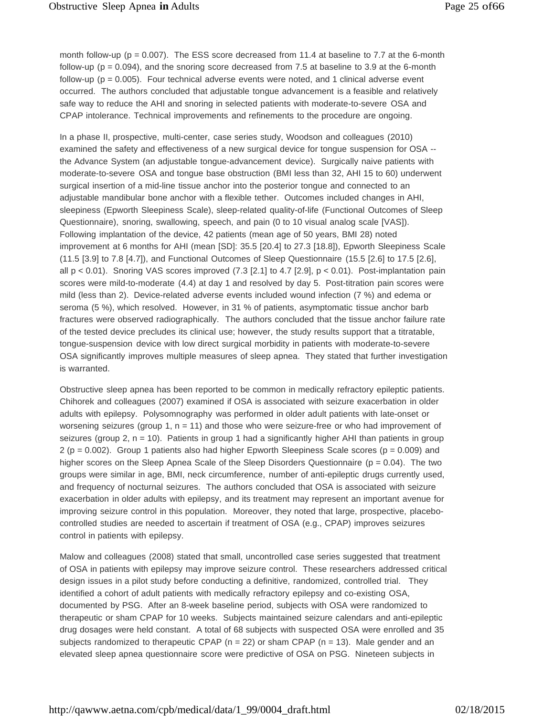month follow-up ( $p = 0.007$ ). The ESS score decreased from 11.4 at baseline to 7.7 at the 6-month follow-up ( $p = 0.094$ ), and the snoring score decreased from 7.5 at baseline to 3.9 at the 6-month follow-up ( $p = 0.005$ ). Four technical adverse events were noted, and 1 clinical adverse event occurred. The authors concluded that adjustable tongue advancement is a feasible and relatively safe way to reduce the AHI and snoring in selected patients with moderate-to-severe OSA and CPAP intolerance. Technical improvements and refinements to the procedure are ongoing.

In a phase II, prospective, multi-center, case series study, Woodson and colleagues (2010) examined the safety and effectiveness of a new surgical device for tongue suspension for OSA - the Advance System (an adjustable tongue-advancement device). Surgically naive patients with moderate-to-severe OSA and tongue base obstruction (BMI less than 32, AHI 15 to 60) underwent surgical insertion of a mid-line tissue anchor into the posterior tongue and connected to an adjustable mandibular bone anchor with a flexible tether. Outcomes included changes in AHI, sleepiness (Epworth Sleepiness Scale), sleep-related quality-of-life (Functional Outcomes of Sleep Questionnaire), snoring, swallowing, speech, and pain (0 to 10 visual analog scale [VAS]). Following implantation of the device, 42 patients (mean age of 50 years, BMI 28) noted improvement at 6 months for AHI (mean [SD]: 35.5 [20.4] to 27.3 [18.8]), Epworth Sleepiness Scale (11.5 [3.9] to 7.8 [4.7]), and Functional Outcomes of Sleep Questionnaire (15.5 [2.6] to 17.5 [2.6], all  $p < 0.01$ ). Snoring VAS scores improved (7.3 [2.1] to 4.7 [2.9],  $p < 0.01$ ). Post-implantation pain scores were mild-to-moderate (4.4) at day 1 and resolved by day 5. Post-titration pain scores were mild (less than 2). Device-related adverse events included wound infection (7 %) and edema or seroma (5 %), which resolved. However, in 31 % of patients, asymptomatic tissue anchor barb fractures were observed radiographically. The authors concluded that the tissue anchor failure rate of the tested device precludes its clinical use; however, the study results support that a titratable, tongue-suspension device with low direct surgical morbidity in patients with moderate-to-severe OSA significantly improves multiple measures of sleep apnea. They stated that further investigation is warranted.

Obstructive sleep apnea has been reported to be common in medically refractory epileptic patients. Chihorek and colleagues (2007) examined if OSA is associated with seizure exacerbation in older adults with epilepsy. Polysomnography was performed in older adult patients with late-onset or worsening seizures (group 1,  $n = 11$ ) and those who were seizure-free or who had improvement of seizures (group 2,  $n = 10$ ). Patients in group 1 had a significantly higher AHI than patients in group  $2 (p = 0.002)$ . Group 1 patients also had higher Epworth Sleepiness Scale scores ( $p = 0.009$ ) and higher scores on the Sleep Apnea Scale of the Sleep Disorders Questionnaire ( $p = 0.04$ ). The two groups were similar in age, BMI, neck circumference, number of anti-epileptic drugs currently used, and frequency of nocturnal seizures. The authors concluded that OSA is associated with seizure exacerbation in older adults with epilepsy, and its treatment may represent an important avenue for improving seizure control in this population. Moreover, they noted that large, prospective, placebocontrolled studies are needed to ascertain if treatment of OSA (e.g., CPAP) improves seizures control in patients with epilepsy.

Malow and colleagues (2008) stated that small, uncontrolled case series suggested that treatment of OSA in patients with epilepsy may improve seizure control. These researchers addressed critical design issues in a pilot study before conducting a definitive, randomized, controlled trial. They identified a cohort of adult patients with medically refractory epilepsy and co-existing OSA, documented by PSG. After an 8-week baseline period, subjects with OSA were randomized to therapeutic or sham CPAP for 10 weeks. Subjects maintained seizure calendars and anti-epileptic drug dosages were held constant. A total of 68 subjects with suspected OSA were enrolled and 35 subjects randomized to therapeutic CPAP ( $n = 22$ ) or sham CPAP ( $n = 13$ ). Male gender and an elevated sleep apnea questionnaire score were predictive of OSA on PSG. Nineteen subjects in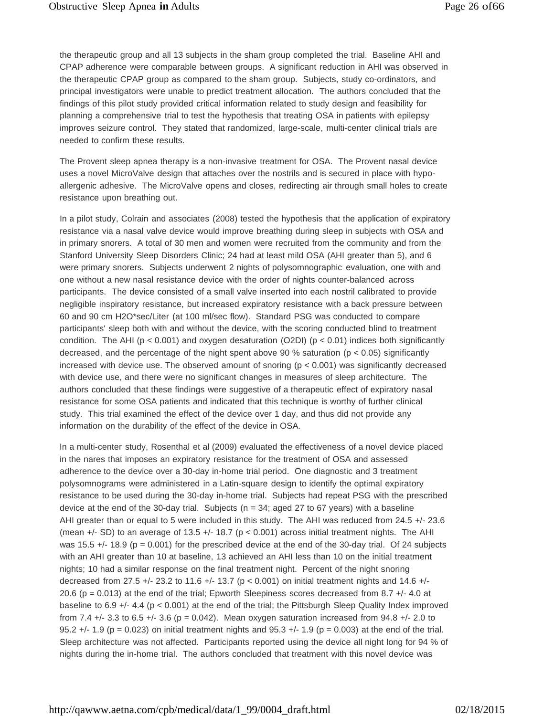the therapeutic group and all 13 subjects in the sham group completed the trial. Baseline AHI and CPAP adherence were comparable between groups. A significant reduction in AHI was observed in the therapeutic CPAP group as compared to the sham group. Subjects, study co-ordinators, and principal investigators were unable to predict treatment allocation. The authors concluded that the findings of this pilot study provided critical information related to study design and feasibility for planning a comprehensive trial to test the hypothesis that treating OSA in patients with epilepsy improves seizure control. They stated that randomized, large-scale, multi-center clinical trials are needed to confirm these results.

The Provent sleep apnea therapy is a non-invasive treatment for OSA. The Provent nasal device uses a novel MicroValve design that attaches over the nostrils and is secured in place with hypoallergenic adhesive. The MicroValve opens and closes, redirecting air through small holes to create resistance upon breathing out.

In a pilot study, Colrain and associates (2008) tested the hypothesis that the application of expiratory resistance via a nasal valve device would improve breathing during sleep in subjects with OSA and in primary snorers. A total of 30 men and women were recruited from the community and from the Stanford University Sleep Disorders Clinic; 24 had at least mild OSA (AHI greater than 5), and 6 were primary snorers. Subjects underwent 2 nights of polysomnographic evaluation, one with and one without a new nasal resistance device with the order of nights counter-balanced across participants. The device consisted of a small valve inserted into each nostril calibrated to provide negligible inspiratory resistance, but increased expiratory resistance with a back pressure between 60 and 90 cm H2O\*sec/Liter (at 100 ml/sec flow). Standard PSG was conducted to compare participants' sleep both with and without the device, with the scoring conducted blind to treatment condition. The AHI ( $p < 0.001$ ) and oxygen desaturation (O2DI) ( $p < 0.01$ ) indices both significantly decreased, and the percentage of the night spent above 90 % saturation ( $p < 0.05$ ) significantly increased with device use. The observed amount of snoring  $(p < 0.001)$  was significantly decreased with device use, and there were no significant changes in measures of sleep architecture. The authors concluded that these findings were suggestive of a therapeutic effect of expiratory nasal resistance for some OSA patients and indicated that this technique is worthy of further clinical study. This trial examined the effect of the device over 1 day, and thus did not provide any information on the durability of the effect of the device in OSA.

In a multi-center study, Rosenthal et al (2009) evaluated the effectiveness of a novel device placed in the nares that imposes an expiratory resistance for the treatment of OSA and assessed adherence to the device over a 30-day in-home trial period. One diagnostic and 3 treatment polysomnograms were administered in a Latin-square design to identify the optimal expiratory resistance to be used during the 30-day in-home trial. Subjects had repeat PSG with the prescribed device at the end of the 30-day trial. Subjects ( $n = 34$ ; aged 27 to 67 years) with a baseline AHI greater than or equal to 5 were included in this study. The AHI was reduced from 24.5 +/- 23.6 (mean  $+/-$  SD) to an average of 13.5  $+/-$  18.7 (p < 0.001) across initial treatment nights. The AHI was 15.5  $+/-$  18.9 (p = 0.001) for the prescribed device at the end of the 30-day trial. Of 24 subjects with an AHI greater than 10 at baseline, 13 achieved an AHI less than 10 on the initial treatment nights; 10 had a similar response on the final treatment night. Percent of the night snoring decreased from 27.5 +/- 23.2 to 11.6 +/- 13.7 ( $p < 0.001$ ) on initial treatment nights and 14.6 +/-20.6 (p = 0.013) at the end of the trial; Epworth Sleepiness scores decreased from 8.7 +/- 4.0 at baseline to 6.9 +/- 4.4 (p < 0.001) at the end of the trial; the Pittsburgh Sleep Quality Index improved from 7.4  $+/-$  3.3 to 6.5  $+/-$  3.6 (p = 0.042). Mean oxygen saturation increased from 94.8  $+/-$  2.0 to 95.2  $+/-$  1.9 (p = 0.023) on initial treatment nights and 95.3  $+/-$  1.9 (p = 0.003) at the end of the trial. Sleep architecture was not affected. Participants reported using the device all night long for 94 % of nights during the in-home trial. The authors concluded that treatment with this novel device was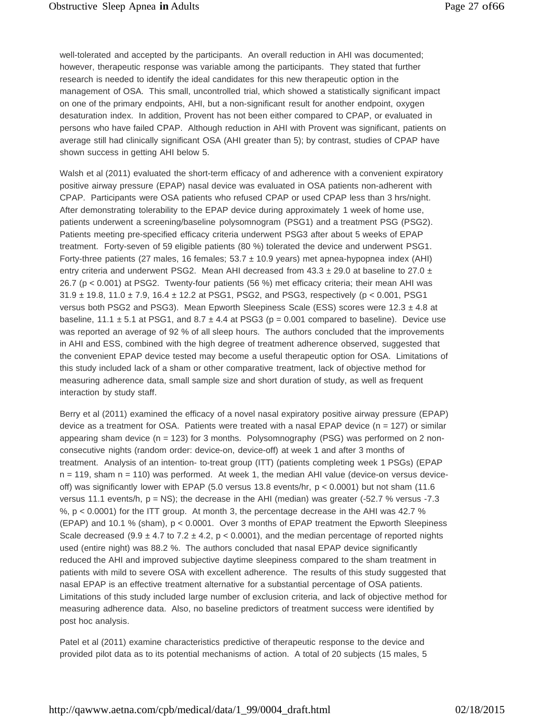well-tolerated and accepted by the participants. An overall reduction in AHI was documented; however, therapeutic response was variable among the participants. They stated that further research is needed to identify the ideal candidates for this new therapeutic option in the management of OSA. This small, uncontrolled trial, which showed a statistically significant impact on one of the primary endpoints, AHI, but a non-significant result for another endpoint, oxygen desaturation index. In addition, Provent has not been either compared to CPAP, or evaluated in persons who have failed CPAP. Although reduction in AHI with Provent was significant, patients on average still had clinically significant OSA (AHI greater than 5); by contrast, studies of CPAP have shown success in getting AHI below 5.

Walsh et al (2011) evaluated the short-term efficacy of and adherence with a convenient expiratory positive airway pressure (EPAP) nasal device was evaluated in OSA patients non-adherent with CPAP. Participants were OSA patients who refused CPAP or used CPAP less than 3 hrs/night. After demonstrating tolerability to the EPAP device during approximately 1 week of home use, patients underwent a screening/baseline polysomnogram (PSG1) and a treatment PSG (PSG2). Patients meeting pre-specified efficacy criteria underwent PSG3 after about 5 weeks of EPAP treatment. Forty-seven of 59 eligible patients (80 %) tolerated the device and underwent PSG1. Forty-three patients (27 males, 16 females;  $53.7 \pm 10.9$  years) met apnea-hypopnea index (AHI) entry criteria and underwent PSG2. Mean AHI decreased from  $43.3 \pm 29.0$  at baseline to 27.0  $\pm$ 26.7 (p < 0.001) at PSG2. Twenty-four patients (56 %) met efficacy criteria; their mean AHI was  $31.9 \pm 19.8$ , 11.0  $\pm$  7.9, 16.4  $\pm$  12.2 at PSG1, PSG2, and PSG3, respectively (p < 0.001, PSG1 versus both PSG2 and PSG3). Mean Epworth Sleepiness Scale (ESS) scores were  $12.3 \pm 4.8$  at baseline, 11.1  $\pm$  5.1 at PSG1, and 8.7  $\pm$  4.4 at PSG3 (p = 0.001 compared to baseline). Device use was reported an average of 92 % of all sleep hours. The authors concluded that the improvements in AHI and ESS, combined with the high degree of treatment adherence observed, suggested that the convenient EPAP device tested may become a useful therapeutic option for OSA. Limitations of this study included lack of a sham or other comparative treatment, lack of objective method for measuring adherence data, small sample size and short duration of study, as well as frequent interaction by study staff.

Berry et al (2011) examined the efficacy of a novel nasal expiratory positive airway pressure (EPAP) device as a treatment for OSA. Patients were treated with a nasal EPAP device ( $n = 127$ ) or similar appearing sham device  $(n = 123)$  for 3 months. Polysomnography (PSG) was performed on 2 nonconsecutive nights (random order: device-on, device-off) at week 1 and after 3 months of treatment. Analysis of an intention- to-treat group (ITT) (patients completing week 1 PSGs) (EPAP  $n = 119$ , sham  $n = 110$ ) was performed. At week 1, the median AHI value (device-on versus deviceoff) was significantly lower with EPAP (5.0 versus 13.8 events/hr, p < 0.0001) but not sham (11.6 versus 11.1 events/h,  $p = NS$ ; the decrease in the AHI (median) was greater (-52.7 % versus -7.3 %, p < 0.0001) for the ITT group. At month 3, the percentage decrease in the AHI was 42.7 % (EPAP) and 10.1 % (sham), p < 0.0001. Over 3 months of EPAP treatment the Epworth Sleepiness Scale decreased (9.9  $\pm$  4.7 to 7.2  $\pm$  4.2, p < 0.0001), and the median percentage of reported nights used (entire night) was 88.2 %. The authors concluded that nasal EPAP device significantly reduced the AHI and improved subjective daytime sleepiness compared to the sham treatment in patients with mild to severe OSA with excellent adherence. The results of this study suggested that nasal EPAP is an effective treatment alternative for a substantial percentage of OSA patients. Limitations of this study included large number of exclusion criteria, and lack of objective method for measuring adherence data. Also, no baseline predictors of treatment success were identified by post hoc analysis.

Patel et al (2011) examine characteristics predictive of therapeutic response to the device and provided pilot data as to its potential mechanisms of action. A total of 20 subjects (15 males, 5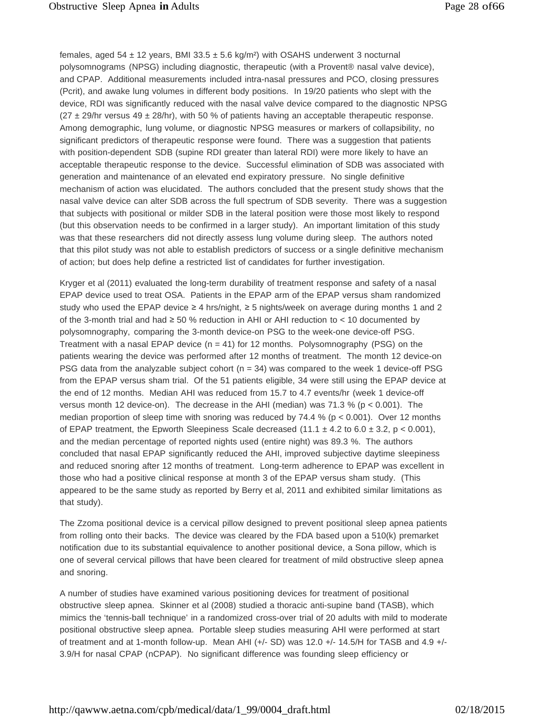females, aged 54  $\pm$  12 years, BMI 33.5  $\pm$  5.6 kg/m<sup>2</sup>) with OSAHS underwent 3 nocturnal polysomnograms (NPSG) including diagnostic, therapeutic (with a Provent® nasal valve device), and CPAP. Additional measurements included intra-nasal pressures and PCO, closing pressures (Pcrit), and awake lung volumes in different body positions. In 19/20 patients who slept with the device, RDI was significantly reduced with the nasal valve device compared to the diagnostic NPSG  $(27 \pm 29/hr$  versus  $49 \pm 28/hr$ ), with 50 % of patients having an acceptable therapeutic response. Among demographic, lung volume, or diagnostic NPSG measures or markers of collapsibility, no significant predictors of therapeutic response were found. There was a suggestion that patients with position-dependent SDB (supine RDI greater than lateral RDI) were more likely to have an acceptable therapeutic response to the device. Successful elimination of SDB was associated with generation and maintenance of an elevated end expiratory pressure. No single definitive mechanism of action was elucidated. The authors concluded that the present study shows that the nasal valve device can alter SDB across the full spectrum of SDB severity. There was a suggestion that subjects with positional or milder SDB in the lateral position were those most likely to respond (but this observation needs to be confirmed in a larger study). An important limitation of this study was that these researchers did not directly assess lung volume during sleep. The authors noted that this pilot study was not able to establish predictors of success or a single definitive mechanism of action; but does help define a restricted list of candidates for further investigation.

Kryger et al (2011) evaluated the long-term durability of treatment response and safety of a nasal EPAP device used to treat OSA. Patients in the EPAP arm of the EPAP versus sham randomized study who used the EPAP device ≥ 4 hrs/night, ≥ 5 nights/week on average during months 1 and 2 of the 3-month trial and had  $\geq 50$  % reduction in AHI or AHI reduction to  $< 10$  documented by polysomnography, comparing the 3-month device-on PSG to the week-one device-off PSG. Treatment with a nasal EPAP device  $(n = 41)$  for 12 months. Polysomnography (PSG) on the patients wearing the device was performed after 12 months of treatment. The month 12 device-on PSG data from the analyzable subject cohort ( $n = 34$ ) was compared to the week 1 device-off PSG from the EPAP versus sham trial. Of the 51 patients eligible, 34 were still using the EPAP device at the end of 12 months. Median AHI was reduced from 15.7 to 4.7 events/hr (week 1 device-off versus month 12 device-on). The decrease in the AHI (median) was 71.3 % ( $p < 0.001$ ). The median proportion of sleep time with snoring was reduced by  $74.4 % (p < 0.001)$ . Over 12 months of EPAP treatment, the Epworth Sleepiness Scale decreased  $(11.1 \pm 4.2 \text{ to } 6.0 \pm 3.2, p < 0.001)$ , and the median percentage of reported nights used (entire night) was 89.3 %. The authors concluded that nasal EPAP significantly reduced the AHI, improved subjective daytime sleepiness and reduced snoring after 12 months of treatment. Long-term adherence to EPAP was excellent in those who had a positive clinical response at month 3 of the EPAP versus sham study. (This appeared to be the same study as reported by Berry et al, 2011 and exhibited similar limitations as that study).

The Zzoma positional device is a cervical pillow designed to prevent positional sleep apnea patients from rolling onto their backs. The device was cleared by the FDA based upon a 510(k) premarket notification due to its substantial equivalence to another positional device, a Sona pillow, which is one of several cervical pillows that have been cleared for treatment of mild obstructive sleep apnea and snoring.

A number of studies have examined various positioning devices for treatment of positional obstructive sleep apnea. Skinner et al (2008) studied a thoracic anti-supine band (TASB), which mimics the 'tennis-ball technique' in a randomized cross-over trial of 20 adults with mild to moderate positional obstructive sleep apnea. Portable sleep studies measuring AHI were performed at start of treatment and at 1-month follow-up. Mean AHI (+/- SD) was 12.0 +/- 14.5/H for TASB and 4.9 +/- 3.9/H for nasal CPAP (nCPAP). No significant difference was founding sleep efficiency or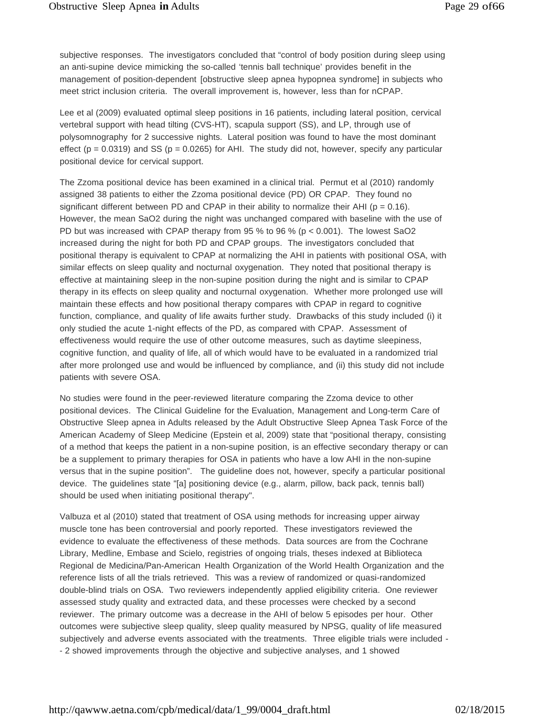subjective responses. The investigators concluded that "control of body position during sleep using an anti-supine device mimicking the so-called 'tennis ball technique' provides benefit in the management of position-dependent [obstructive sleep apnea hypopnea syndrome] in subjects who meet strict inclusion criteria. The overall improvement is, however, less than for nCPAP.

Lee et al (2009) evaluated optimal sleep positions in 16 patients, including lateral position, cervical vertebral support with head tilting (CVS-HT), scapula support (SS), and LP, through use of polysomnography for 2 successive nights. Lateral position was found to have the most dominant effect ( $p = 0.0319$ ) and SS ( $p = 0.0265$ ) for AHI. The study did not, however, specify any particular positional device for cervical support.

The Zzoma positional device has been examined in a clinical trial. Permut et al (2010) randomly assigned 38 patients to either the Zzoma positional device (PD) OR CPAP. They found no significant different between PD and CPAP in their ability to normalize their AHI ( $p = 0.16$ ). However, the mean SaO2 during the night was unchanged compared with baseline with the use of PD but was increased with CPAP therapy from 95 % to 96 % ( $p < 0.001$ ). The lowest SaO2 increased during the night for both PD and CPAP groups. The investigators concluded that positional therapy is equivalent to CPAP at normalizing the AHI in patients with positional OSA, with similar effects on sleep quality and nocturnal oxygenation. They noted that positional therapy is effective at maintaining sleep in the non-supine position during the night and is similar to CPAP therapy in its effects on sleep quality and nocturnal oxygenation. Whether more prolonged use will maintain these effects and how positional therapy compares with CPAP in regard to cognitive function, compliance, and quality of life awaits further study. Drawbacks of this study included (i) it only studied the acute 1-night effects of the PD, as compared with CPAP. Assessment of effectiveness would require the use of other outcome measures, such as daytime sleepiness, cognitive function, and quality of life, all of which would have to be evaluated in a randomized trial after more prolonged use and would be influenced by compliance, and (ii) this study did not include patients with severe OSA.

No studies were found in the peer-reviewed literature comparing the Zzoma device to other positional devices. The Clinical Guideline for the Evaluation, Management and Long-term Care of Obstructive Sleep apnea in Adults released by the Adult Obstructive Sleep Apnea Task Force of the American Academy of Sleep Medicine (Epstein et al, 2009) state that "positional therapy, consisting of a method that keeps the patient in a non-supine position, is an effective secondary therapy or can be a supplement to primary therapies for OSA in patients who have a low AHI in the non-supine versus that in the supine position". The guideline does not, however, specify a particular positional device. The guidelines state "[a] positioning device (e.g., alarm, pillow, back pack, tennis ball) should be used when initiating positional therapy".

Valbuza et al (2010) stated that treatment of OSA using methods for increasing upper airway muscle tone has been controversial and poorly reported. These investigators reviewed the evidence to evaluate the effectiveness of these methods. Data sources are from the Cochrane Library, Medline, Embase and Scielo, registries of ongoing trials, theses indexed at Biblioteca Regional de Medicina/Pan-American Health Organization of the World Health Organization and the reference lists of all the trials retrieved. This was a review of randomized or quasi-randomized double-blind trials on OSA. Two reviewers independently applied eligibility criteria. One reviewer assessed study quality and extracted data, and these processes were checked by a second reviewer. The primary outcome was a decrease in the AHI of below 5 episodes per hour. Other outcomes were subjective sleep quality, sleep quality measured by NPSG, quality of life measured subjectively and adverse events associated with the treatments. Three eligible trials were included - - 2 showed improvements through the objective and subjective analyses, and 1 showed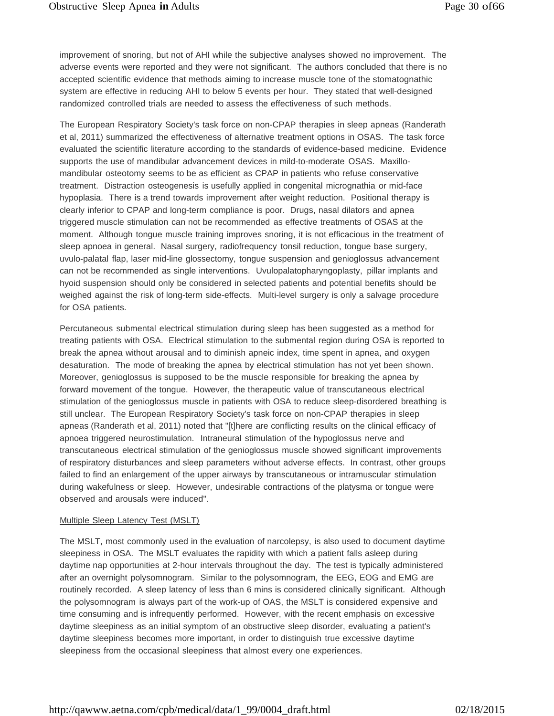improvement of snoring, but not of AHI while the subjective analyses showed no improvement. The adverse events were reported and they were not significant. The authors concluded that there is no accepted scientific evidence that methods aiming to increase muscle tone of the stomatognathic system are effective in reducing AHI to below 5 events per hour. They stated that well-designed randomized controlled trials are needed to assess the effectiveness of such methods.

The European Respiratory Society's task force on non-CPAP therapies in sleep apneas (Randerath et al, 2011) summarized the effectiveness of alternative treatment options in OSAS. The task force evaluated the scientific literature according to the standards of evidence-based medicine. Evidence supports the use of mandibular advancement devices in mild-to-moderate OSAS. Maxillomandibular osteotomy seems to be as efficient as CPAP in patients who refuse conservative treatment. Distraction osteogenesis is usefully applied in congenital micrognathia or mid-face hypoplasia. There is a trend towards improvement after weight reduction. Positional therapy is clearly inferior to CPAP and long-term compliance is poor. Drugs, nasal dilators and apnea triggered muscle stimulation can not be recommended as effective treatments of OSAS at the moment. Although tongue muscle training improves snoring, it is not efficacious in the treatment of sleep apnoea in general. Nasal surgery, radiofrequency tonsil reduction, tongue base surgery, uvulo-palatal flap, laser mid-line glossectomy, tongue suspension and genioglossus advancement can not be recommended as single interventions. Uvulopalatopharyngoplasty, pillar implants and hyoid suspension should only be considered in selected patients and potential benefits should be weighed against the risk of long-term side-effects. Multi-level surgery is only a salvage procedure for OSA patients.

Percutaneous submental electrical stimulation during sleep has been suggested as a method for treating patients with OSA. Electrical stimulation to the submental region during OSA is reported to break the apnea without arousal and to diminish apneic index, time spent in apnea, and oxygen desaturation. The mode of breaking the apnea by electrical stimulation has not yet been shown. Moreover, genioglossus is supposed to be the muscle responsible for breaking the apnea by forward movement of the tongue. However, the therapeutic value of transcutaneous electrical stimulation of the genioglossus muscle in patients with OSA to reduce sleep-disordered breathing is still unclear. The European Respiratory Society's task force on non-CPAP therapies in sleep apneas (Randerath et al, 2011) noted that "[t]here are conflicting results on the clinical efficacy of apnoea triggered neurostimulation. Intraneural stimulation of the hypoglossus nerve and transcutaneous electrical stimulation of the genioglossus muscle showed significant improvements of respiratory disturbances and sleep parameters without adverse effects. In contrast, other groups failed to find an enlargement of the upper airways by transcutaneous or intramuscular stimulation during wakefulness or sleep. However, undesirable contractions of the platysma or tongue were observed and arousals were induced".

#### Multiple Sleep Latency Test (MSLT)

The MSLT, most commonly used in the evaluation of narcolepsy, is also used to document daytime sleepiness in OSA. The MSLT evaluates the rapidity with which a patient falls asleep during daytime nap opportunities at 2-hour intervals throughout the day. The test is typically administered after an overnight polysomnogram. Similar to the polysomnogram, the EEG, EOG and EMG are routinely recorded. A sleep latency of less than 6 mins is considered clinically significant. Although the polysomnogram is always part of the work-up of OAS, the MSLT is considered expensive and time consuming and is infrequently performed. However, with the recent emphasis on excessive daytime sleepiness as an initial symptom of an obstructive sleep disorder, evaluating a patient's daytime sleepiness becomes more important, in order to distinguish true excessive daytime sleepiness from the occasional sleepiness that almost every one experiences.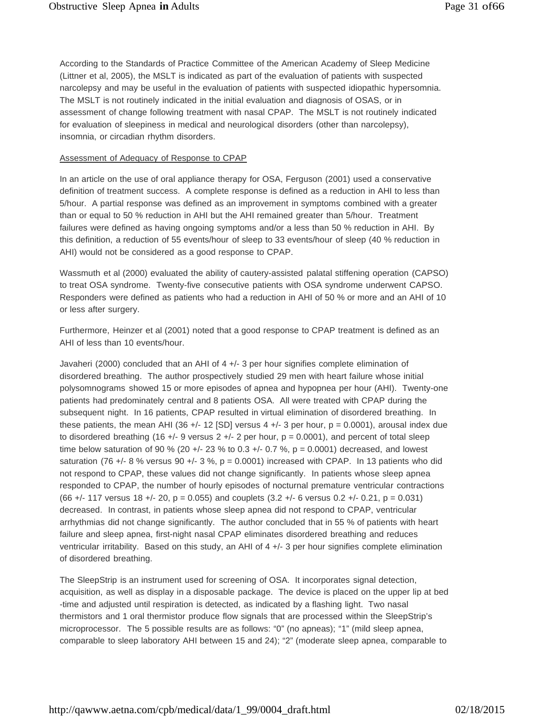According to the Standards of Practice Committee of the American Academy of Sleep Medicine (Littner et al, 2005), the MSLT is indicated as part of the evaluation of patients with suspected narcolepsy and may be useful in the evaluation of patients with suspected idiopathic hypersomnia. The MSLT is not routinely indicated in the initial evaluation and diagnosis of OSAS, or in assessment of change following treatment with nasal CPAP. The MSLT is not routinely indicated for evaluation of sleepiness in medical and neurological disorders (other than narcolepsy), insomnia, or circadian rhythm disorders.

#### Assessment of Adequacy of Response to CPAP

In an article on the use of oral appliance therapy for OSA, Ferguson (2001) used a conservative definition of treatment success. A complete response is defined as a reduction in AHI to less than 5/hour. A partial response was defined as an improvement in symptoms combined with a greater than or equal to 50 % reduction in AHI but the AHI remained greater than 5/hour. Treatment failures were defined as having ongoing symptoms and/or a less than 50 % reduction in AHI. By this definition, a reduction of 55 events/hour of sleep to 33 events/hour of sleep (40 % reduction in AHI) would not be considered as a good response to CPAP.

Wassmuth et al (2000) evaluated the ability of cautery-assisted palatal stiffening operation (CAPSO) to treat OSA syndrome. Twenty-five consecutive patients with OSA syndrome underwent CAPSO. Responders were defined as patients who had a reduction in AHI of 50 % or more and an AHI of 10 or less after surgery.

Furthermore, Heinzer et al (2001) noted that a good response to CPAP treatment is defined as an AHI of less than 10 events/hour.

Javaheri (2000) concluded that an AHI of 4 +/- 3 per hour signifies complete elimination of disordered breathing. The author prospectively studied 29 men with heart failure whose initial polysomnograms showed 15 or more episodes of apnea and hypopnea per hour (AHI). Twenty-one patients had predominately central and 8 patients OSA. All were treated with CPAP during the subsequent night. In 16 patients, CPAP resulted in virtual elimination of disordered breathing. In these patients, the mean AHI (36  $+/-$  12 [SD] versus 4  $+/-$  3 per hour, p = 0.0001), arousal index due to disordered breathing (16 +/- 9 versus  $2 +/2$  per hour,  $p = 0.0001$ ), and percent of total sleep time below saturation of 90 % (20 +/- 23 % to 0.3 +/- 0.7 %,  $p = 0.0001$ ) decreased, and lowest saturation (76 +/- 8 % versus 90 +/- 3 %,  $p = 0.0001$ ) increased with CPAP. In 13 patients who did not respond to CPAP, these values did not change significantly. In patients whose sleep apnea responded to CPAP, the number of hourly episodes of nocturnal premature ventricular contractions  $(66 +/- 117$  versus  $18 +/- 20$ ,  $p = 0.055$ ) and couplets  $(3.2 +/- 6$  versus  $0.2 +/- 0.21$ ,  $p = 0.031$ ) decreased. In contrast, in patients whose sleep apnea did not respond to CPAP, ventricular arrhythmias did not change significantly. The author concluded that in 55 % of patients with heart failure and sleep apnea, first-night nasal CPAP eliminates disordered breathing and reduces ventricular irritability. Based on this study, an AHI of 4 +/- 3 per hour signifies complete elimination of disordered breathing.

The SleepStrip is an instrument used for screening of OSA. It incorporates signal detection, acquisition, as well as display in a disposable package. The device is placed on the upper lip at bed -time and adjusted until respiration is detected, as indicated by a flashing light. Two nasal thermistors and 1 oral thermistor produce flow signals that are processed within the SleepStrip's microprocessor. The 5 possible results are as follows: "0" (no apneas); "1" (mild sleep apnea, comparable to sleep laboratory AHI between 15 and 24); "2" (moderate sleep apnea, comparable to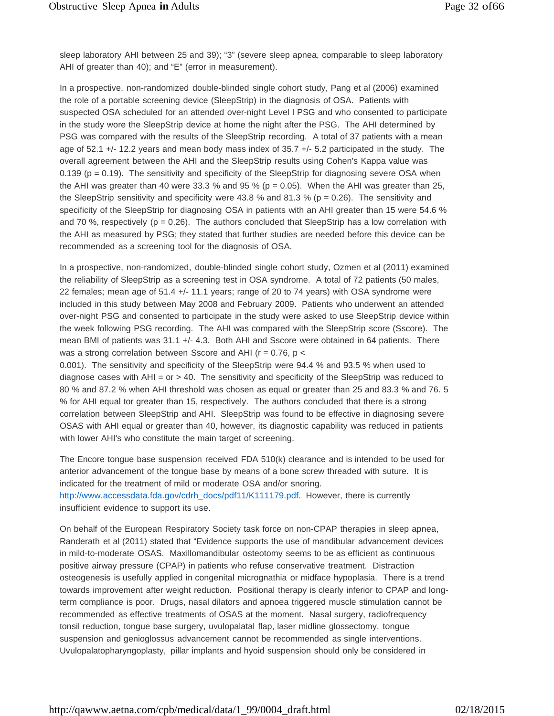sleep laboratory AHI between 25 and 39); "3" (severe sleep apnea, comparable to sleep laboratory AHI of greater than 40); and "E" (error in measurement).

In a prospective, non-randomized double-blinded single cohort study, Pang et al (2006) examined the role of a portable screening device (SleepStrip) in the diagnosis of OSA. Patients with suspected OSA scheduled for an attended over-night Level I PSG and who consented to participate in the study wore the SleepStrip device at home the night after the PSG. The AHI determined by PSG was compared with the results of the SleepStrip recording. A total of 37 patients with a mean age of 52.1 +/- 12.2 years and mean body mass index of 35.7 +/- 5.2 participated in the study. The overall agreement between the AHI and the SleepStrip results using Cohen's Kappa value was 0.139 ( $p = 0.19$ ). The sensitivity and specificity of the SleepStrip for diagnosing severe OSA when the AHI was greater than 40 were 33.3 % and 95 % ( $p = 0.05$ ). When the AHI was greater than 25, the SleepStrip sensitivity and specificity were 43.8 % and 81.3 % ( $p = 0.26$ ). The sensitivity and specificity of the SleepStrip for diagnosing OSA in patients with an AHI greater than 15 were 54.6 % and 70 %, respectively ( $p = 0.26$ ). The authors concluded that SleepStrip has a low correlation with the AHI as measured by PSG; they stated that further studies are needed before this device can be recommended as a screening tool for the diagnosis of OSA.

In a prospective, non-randomized, double-blinded single cohort study, Ozmen et al (2011) examined the reliability of SleepStrip as a screening test in OSA syndrome. A total of 72 patients (50 males, 22 females; mean age of 51.4 +/- 11.1 years; range of 20 to 74 years) with OSA syndrome were included in this study between May 2008 and February 2009. Patients who underwent an attended over-night PSG and consented to participate in the study were asked to use SleepStrip device within the week following PSG recording. The AHI was compared with the SleepStrip score (Sscore). The mean BMI of patients was 31.1 +/- 4.3. Both AHI and Sscore were obtained in 64 patients. There was a strong correlation between Sscore and AHI ( $r = 0.76$ ,  $p <$ 

0.001). The sensitivity and specificity of the SleepStrip were 94.4 % and 93.5 % when used to diagnose cases with AHI = or > 40. The sensitivity and specificity of the SleepStrip was reduced to 80 % and 87.2 % when AHI threshold was chosen as equal or greater than 25 and 83.3 % and 76. 5 % for AHI equal tor greater than 15, respectively. The authors concluded that there is a strong correlation between SleepStrip and AHI. SleepStrip was found to be effective in diagnosing severe OSAS with AHI equal or greater than 40, however, its diagnostic capability was reduced in patients with lower AHI's who constitute the main target of screening.

The Encore tongue base suspension received FDA 510(k) clearance and is intended to be used for anterior advancement of the tongue base by means of a bone screw threaded with suture. It is indicated for the treatment of mild or moderate OSA and/or snoring. [http://www.accessdata.fda.gov/cdrh\\_docs/pdf11/K111179.pdf.](http://www.accessdata.fda.gov/cdrh_docs/pdf11/K111179.pdf) However, there is currently insufficient evidence to support its use.

On behalf of the European Respiratory Society task force on non-CPAP therapies in sleep apnea, Randerath et al (2011) stated that "Evidence supports the use of mandibular advancement devices in mild-to-moderate OSAS. Maxillomandibular osteotomy seems to be as efficient as continuous positive airway pressure (CPAP) in patients who refuse conservative treatment. Distraction osteogenesis is usefully applied in congenital micrognathia or midface hypoplasia. There is a trend towards improvement after weight reduction. Positional therapy is clearly inferior to CPAP and longterm compliance is poor. Drugs, nasal dilators and apnoea triggered muscle stimulation cannot be recommended as effective treatments of OSAS at the moment. Nasal surgery, radiofrequency tonsil reduction, tongue base surgery, uvulopalatal flap, laser midline glossectomy, tongue suspension and genioglossus advancement cannot be recommended as single interventions. Uvulopalatopharyngoplasty, pillar implants and hyoid suspension should only be considered in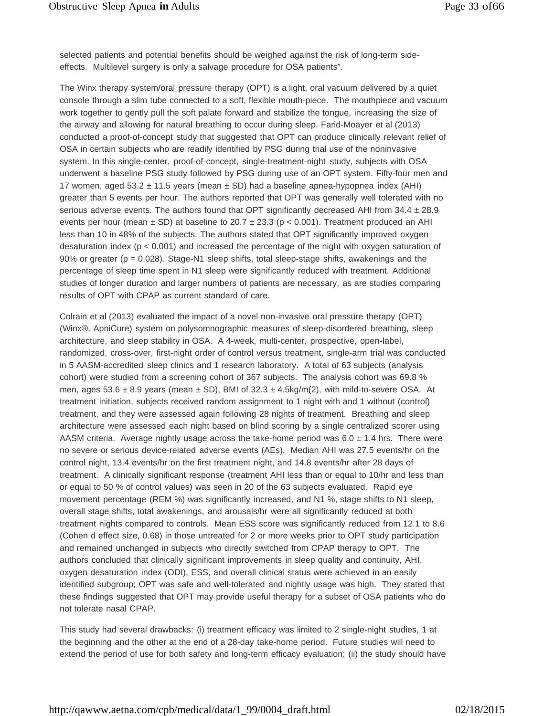selected patients and potential benefits should be weighed against the risk of long-term sideeffects. Multilevel surgery is only a salvage procedure for OSA patients".

The Winx therapy system/oral pressure therapy (OPT) is a light, oral vacuum delivered by a quiet console through a slim tube connected to a soft, flexible mouth-piece. The mouthpiece and vacuum work together to gently pull the soft palate forward and stabilize the tongue, increasing the size of the airway and allowing for natural breathing to occur during sleep. Farid-Moayer et al (2013) conducted a proof-of-concept study that suggested that OPT can produce clinically relevant relief of OSA in certain subjects who are readily identified by PSG during trial use of the noninvasive system. In this single-center, proof-of-concept, single-treatment-night study, subjects with OSA underwent a baseline PSG study followed by PSG during use of an OPT system. Fifty-four men and 17 women, aged  $53.2 \pm 11.5$  years (mean  $\pm$  SD) had a baseline apnea-hypopnea index (AHI) greater than 5 events per hour. The authors reported that OPT was generally well tolerated with no serious adverse events. The authors found that OPT significantly decreased AHI from  $34.4 \pm 28.9$ events per hour (mean  $\pm$  SD) at baseline to 20.7  $\pm$  23.3 (p < 0.001). Treatment produced an AHI less than 10 in 48% of the subjects. The authors stated that OPT significantly improved oxygen desaturation index (p < 0.001) and increased the percentage of the night with oxygen saturation of 90% or greater ( $p = 0.028$ ). Stage-N1 sleep shifts, total sleep-stage shifts, awakenings and the percentage of sleep time spent in N1 sleep were significantly reduced with treatment. Additional studies of longer duration and larger numbers of patients are necessary, as are studies comparing results of OPT with CPAP as current standard of care.

Colrain et al (2013) evaluated the impact of a novel non-invasive oral pressure therapy (OPT) (Winx®, ApniCure) system on polysomnographic measures of sleep-disordered breathing, sleep architecture, and sleep stability in OSA. A 4-week, multi-center, prospective, open-label, randomized, cross-over, first-night order of control versus treatment, single-arm trial was conducted in 5 AASM-accredited sleep clinics and 1 research laboratory. A total of 63 subjects (analysis cohort) were studied from a screening cohort of 367 subjects. The analysis cohort was 69.8 % men, ages  $53.6 \pm 8.9$  years (mean  $\pm$  SD), BMI of  $32.3 \pm 4.5$ kg/m(2), with mild-to-severe OSA. At treatment initiation, subjects received random assignment to 1 night with and 1 without (control) treatment, and they were assessed again following 28 nights of treatment. Breathing and sleep architecture were assessed each night based on blind scoring by a single centralized scorer using AASM criteria. Average nightly usage across the take-home period was  $6.0 \pm 1.4$  hrs. There were no severe or serious device-related adverse events (AEs). Median AHI was 27.5 events/hr on the control night, 13.4 events/hr on the first treatment night, and 14.8 events/hr after 28 days of treatment. A clinically significant response (treatment AHI less than or equal to 10/hr and less than or equal to 50 % of control values) was seen in 20 of the 63 subjects evaluated. Rapid eye movement percentage (REM %) was significantly increased, and N1 %, stage shifts to N1 sleep, overall stage shifts, total awakenings, and arousals/hr were all significantly reduced at both treatment nights compared to controls. Mean ESS score was significantly reduced from 12.1 to 8.6 (Cohen d effect size, 0.68) in those untreated for 2 or more weeks prior to OPT study participation and remained unchanged in subjects who directly switched from CPAP therapy to OPT. The authors concluded that clinically significant improvements in sleep quality and continuity, AHI, oxygen desaturation index (ODI), ESS, and overall clinical status were achieved in an easily identified subgroup; OPT was safe and well-tolerated and nightly usage was high. They stated that these findings suggested that OPT may provide useful therapy for a subset of OSA patients who do not tolerate nasal CPAP.

This study had several drawbacks: (i) treatment efficacy was limited to 2 single-night studies, 1 at the beginning and the other at the end of a 28-day take-home period. Future studies will need to extend the period of use for both safety and long-term efficacy evaluation; (ii) the study should have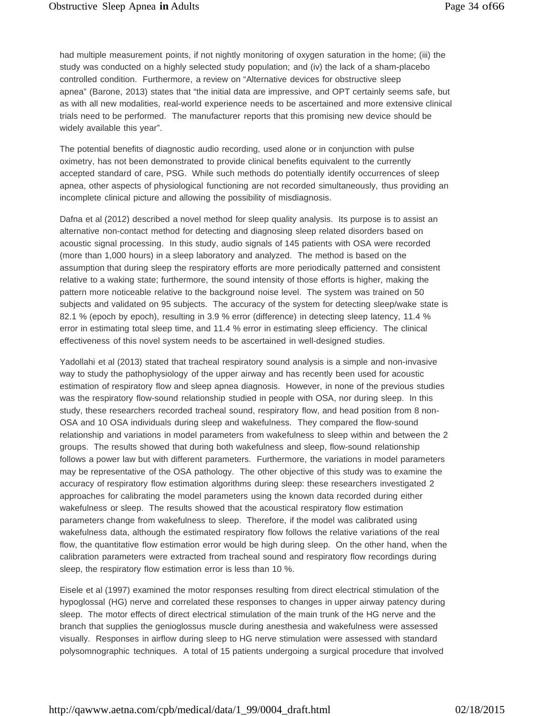had multiple measurement points, if not nightly monitoring of oxygen saturation in the home; (iii) the study was conducted on a highly selected study population; and (iv) the lack of a sham-placebo controlled condition. Furthermore, a review on "Alternative devices for obstructive sleep apnea" (Barone, 2013) states that "the initial data are impressive, and OPT certainly seems safe, but as with all new modalities, real-world experience needs to be ascertained and more extensive clinical trials need to be performed. The manufacturer reports that this promising new device should be widely available this year".

The potential benefits of diagnostic audio recording, used alone or in conjunction with pulse oximetry, has not been demonstrated to provide clinical benefits equivalent to the currently accepted standard of care, PSG. While such methods do potentially identify occurrences of sleep apnea, other aspects of physiological functioning are not recorded simultaneously, thus providing an incomplete clinical picture and allowing the possibility of misdiagnosis.

Dafna et al (2012) described a novel method for sleep quality analysis. Its purpose is to assist an alternative non-contact method for detecting and diagnosing sleep related disorders based on acoustic signal processing. In this study, audio signals of 145 patients with OSA were recorded (more than 1,000 hours) in a sleep laboratory and analyzed. The method is based on the assumption that during sleep the respiratory efforts are more periodically patterned and consistent relative to a waking state; furthermore, the sound intensity of those efforts is higher, making the pattern more noticeable relative to the background noise level. The system was trained on 50 subjects and validated on 95 subjects. The accuracy of the system for detecting sleep/wake state is 82.1 % (epoch by epoch), resulting in 3.9 % error (difference) in detecting sleep latency, 11.4 % error in estimating total sleep time, and 11.4 % error in estimating sleep efficiency. The clinical effectiveness of this novel system needs to be ascertained in well-designed studies.

Yadollahi et al (2013) stated that tracheal respiratory sound analysis is a simple and non-invasive way to study the pathophysiology of the upper airway and has recently been used for acoustic estimation of respiratory flow and sleep apnea diagnosis. However, in none of the previous studies was the respiratory flow-sound relationship studied in people with OSA, nor during sleep. In this study, these researchers recorded tracheal sound, respiratory flow, and head position from 8 non-OSA and 10 OSA individuals during sleep and wakefulness. They compared the flow-sound relationship and variations in model parameters from wakefulness to sleep within and between the 2 groups. The results showed that during both wakefulness and sleep, flow-sound relationship follows a power law but with different parameters. Furthermore, the variations in model parameters may be representative of the OSA pathology. The other objective of this study was to examine the accuracy of respiratory flow estimation algorithms during sleep: these researchers investigated 2 approaches for calibrating the model parameters using the known data recorded during either wakefulness or sleep. The results showed that the acoustical respiratory flow estimation parameters change from wakefulness to sleep. Therefore, if the model was calibrated using wakefulness data, although the estimated respiratory flow follows the relative variations of the real flow, the quantitative flow estimation error would be high during sleep. On the other hand, when the calibration parameters were extracted from tracheal sound and respiratory flow recordings during sleep, the respiratory flow estimation error is less than 10 %.

Eisele et al (1997) examined the motor responses resulting from direct electrical stimulation of the hypoglossal (HG) nerve and correlated these responses to changes in upper airway patency during sleep. The motor effects of direct electrical stimulation of the main trunk of the HG nerve and the branch that supplies the genioglossus muscle during anesthesia and wakefulness were assessed visually. Responses in airflow during sleep to HG nerve stimulation were assessed with standard polysomnographic techniques. A total of 15 patients undergoing a surgical procedure that involved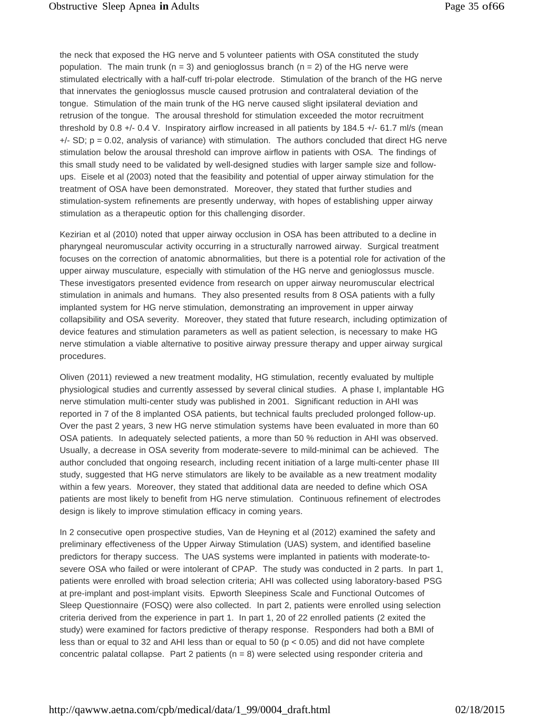the neck that exposed the HG nerve and 5 volunteer patients with OSA constituted the study population. The main trunk ( $n = 3$ ) and genioglossus branch ( $n = 2$ ) of the HG nerve were stimulated electrically with a half-cuff tri-polar electrode. Stimulation of the branch of the HG nerve that innervates the genioglossus muscle caused protrusion and contralateral deviation of the tongue. Stimulation of the main trunk of the HG nerve caused slight ipsilateral deviation and retrusion of the tongue. The arousal threshold for stimulation exceeded the motor recruitment threshold by 0.8 +/- 0.4 V. Inspiratory airflow increased in all patients by 184.5 +/- 61.7 ml/s (mean  $+/-$  SD; p = 0.02, analysis of variance) with stimulation. The authors concluded that direct HG nerve stimulation below the arousal threshold can improve airflow in patients with OSA. The findings of this small study need to be validated by well-designed studies with larger sample size and followups. Eisele et al (2003) noted that the feasibility and potential of upper airway stimulation for the treatment of OSA have been demonstrated. Moreover, they stated that further studies and stimulation-system refinements are presently underway, with hopes of establishing upper airway stimulation as a therapeutic option for this challenging disorder.

Kezirian et al (2010) noted that upper airway occlusion in OSA has been attributed to a decline in pharyngeal neuromuscular activity occurring in a structurally narrowed airway. Surgical treatment focuses on the correction of anatomic abnormalities, but there is a potential role for activation of the upper airway musculature, especially with stimulation of the HG nerve and genioglossus muscle. These investigators presented evidence from research on upper airway neuromuscular electrical stimulation in animals and humans. They also presented results from 8 OSA patients with a fully implanted system for HG nerve stimulation, demonstrating an improvement in upper airway collapsibility and OSA severity. Moreover, they stated that future research, including optimization of device features and stimulation parameters as well as patient selection, is necessary to make HG nerve stimulation a viable alternative to positive airway pressure therapy and upper airway surgical procedures.

Oliven (2011) reviewed a new treatment modality, HG stimulation, recently evaluated by multiple physiological studies and currently assessed by several clinical studies. A phase I, implantable HG nerve stimulation multi-center study was published in 2001. Significant reduction in AHI was reported in 7 of the 8 implanted OSA patients, but technical faults precluded prolonged follow-up. Over the past 2 years, 3 new HG nerve stimulation systems have been evaluated in more than 60 OSA patients. In adequately selected patients, a more than 50 % reduction in AHI was observed. Usually, a decrease in OSA severity from moderate-severe to mild-minimal can be achieved. The author concluded that ongoing research, including recent initiation of a large multi-center phase III study, suggested that HG nerve stimulators are likely to be available as a new treatment modality within a few years. Moreover, they stated that additional data are needed to define which OSA patients are most likely to benefit from HG nerve stimulation. Continuous refinement of electrodes design is likely to improve stimulation efficacy in coming years.

In 2 consecutive open prospective studies, Van de Heyning et al (2012) examined the safety and preliminary effectiveness of the Upper Airway Stimulation (UAS) system, and identified baseline predictors for therapy success. The UAS systems were implanted in patients with moderate-tosevere OSA who failed or were intolerant of CPAP. The study was conducted in 2 parts. In part 1, patients were enrolled with broad selection criteria; AHI was collected using laboratory-based PSG at pre-implant and post-implant visits. Epworth Sleepiness Scale and Functional Outcomes of Sleep Questionnaire (FOSQ) were also collected. In part 2, patients were enrolled using selection criteria derived from the experience in part 1. In part 1, 20 of 22 enrolled patients (2 exited the study) were examined for factors predictive of therapy response. Responders had both a BMI of less than or equal to 32 and AHI less than or equal to 50 ( $p < 0.05$ ) and did not have complete concentric palatal collapse. Part 2 patients  $(n = 8)$  were selected using responder criteria and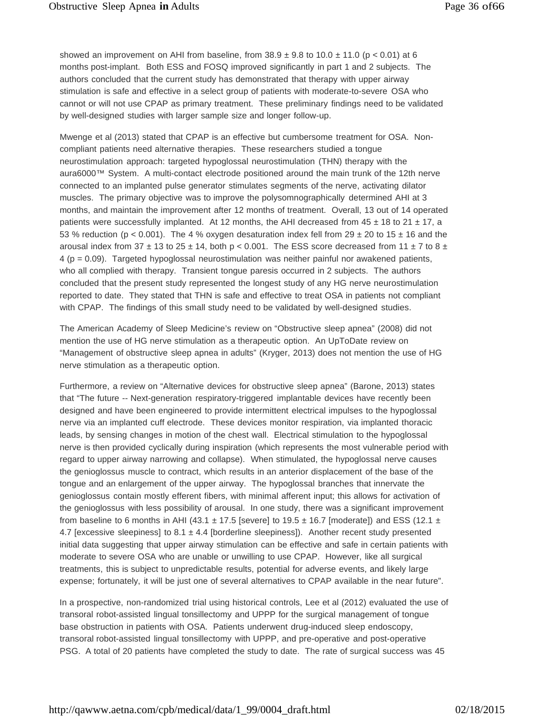showed an improvement on AHI from baseline, from  $38.9 \pm 9.8$  to  $10.0 \pm 11.0$  (p < 0.01) at 6 months post-implant. Both ESS and FOSQ improved significantly in part 1 and 2 subjects. The authors concluded that the current study has demonstrated that therapy with upper airway stimulation is safe and effective in a select group of patients with moderate-to-severe OSA who cannot or will not use CPAP as primary treatment. These preliminary findings need to be validated by well-designed studies with larger sample size and longer follow-up.

Mwenge et al (2013) stated that CPAP is an effective but cumbersome treatment for OSA. Noncompliant patients need alternative therapies. These researchers studied a tongue neurostimulation approach: targeted hypoglossal neurostimulation (THN) therapy with the aura6000™ System. A multi-contact electrode positioned around the main trunk of the 12th nerve connected to an implanted pulse generator stimulates segments of the nerve, activating dilator muscles. The primary objective was to improve the polysomnographically determined AHI at 3 months, and maintain the improvement after 12 months of treatment. Overall, 13 out of 14 operated patients were successfully implanted. At 12 months, the AHI decreased from  $45 \pm 18$  to  $21 \pm 17$ , a 53 % reduction (p < 0.001). The 4 % oxygen desaturation index fell from 29  $\pm$  20 to 15  $\pm$  16 and the arousal index from 37  $\pm$  13 to 25  $\pm$  14, both p < 0.001. The ESS score decreased from 11  $\pm$  7 to 8  $\pm$  $4 (p = 0.09)$ . Targeted hypoglossal neurostimulation was neither painful nor awakened patients, who all complied with therapy. Transient tongue paresis occurred in 2 subjects. The authors concluded that the present study represented the longest study of any HG nerve neurostimulation reported to date. They stated that THN is safe and effective to treat OSA in patients not compliant with CPAP. The findings of this small study need to be validated by well-designed studies.

The American Academy of Sleep Medicine's review on "Obstructive sleep apnea" (2008) did not mention the use of HG nerve stimulation as a therapeutic option. An UpToDate review on "Management of obstructive sleep apnea in adults" (Kryger, 2013) does not mention the use of HG nerve stimulation as a therapeutic option.

Furthermore, a review on "Alternative devices for obstructive sleep apnea" (Barone, 2013) states that "The future -- Next-generation respiratory-triggered implantable devices have recently been designed and have been engineered to provide intermittent electrical impulses to the hypoglossal nerve via an implanted cuff electrode. These devices monitor respiration, via implanted thoracic leads, by sensing changes in motion of the chest wall. Electrical stimulation to the hypoglossal nerve is then provided cyclically during inspiration (which represents the most vulnerable period with regard to upper airway narrowing and collapse). When stimulated, the hypoglossal nerve causes the genioglossus muscle to contract, which results in an anterior displacement of the base of the tongue and an enlargement of the upper airway. The hypoglossal branches that innervate the genioglossus contain mostly efferent fibers, with minimal afferent input; this allows for activation of the genioglossus with less possibility of arousal. In one study, there was a significant improvement from baseline to 6 months in AHI (43.1  $\pm$  17.5 [severe] to 19.5  $\pm$  16.7 [moderate]) and ESS (12.1  $\pm$ 4.7 [excessive sleepiness] to 8.1  $\pm$  4.4 [borderline sleepiness]). Another recent study presented initial data suggesting that upper airway stimulation can be effective and safe in certain patients with moderate to severe OSA who are unable or unwilling to use CPAP. However, like all surgical treatments, this is subject to unpredictable results, potential for adverse events, and likely large expense; fortunately, it will be just one of several alternatives to CPAP available in the near future".

In a prospective, non-randomized trial using historical controls, Lee et al (2012) evaluated the use of transoral robot-assisted lingual tonsillectomy and UPPP for the surgical management of tongue base obstruction in patients with OSA. Patients underwent drug-induced sleep endoscopy, transoral robot-assisted lingual tonsillectomy with UPPP, and pre-operative and post-operative PSG. A total of 20 patients have completed the study to date. The rate of surgical success was 45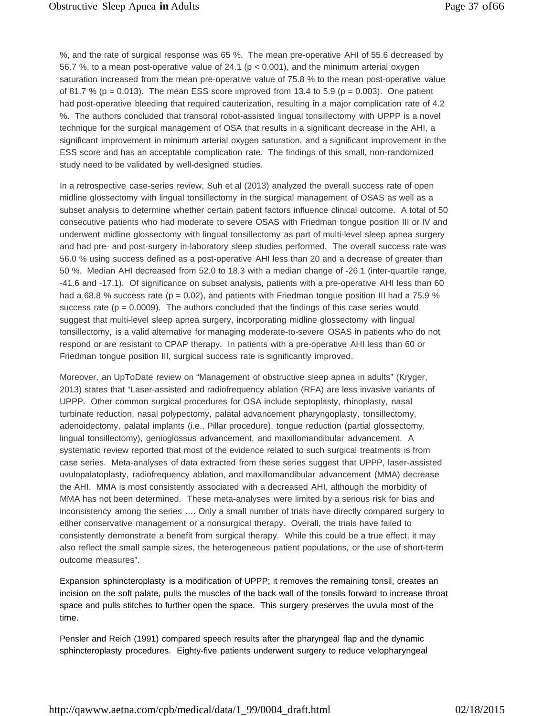%, and the rate of surgical response was 65 %. The mean pre-operative AHI of 55.6 decreased by 56.7 %, to a mean post-operative value of 24.1 ( $p < 0.001$ ), and the minimum arterial oxygen saturation increased from the mean pre-operative value of 75.8 % to the mean post-operative value of 81.7 % ( $p = 0.013$ ). The mean ESS score improved from 13.4 to 5.9 ( $p = 0.003$ ). One patient had post-operative bleeding that required cauterization, resulting in a major complication rate of 4.2 %. The authors concluded that transoral robot-assisted lingual tonsillectomy with UPPP is a novel technique for the surgical management of OSA that results in a significant decrease in the AHI, a significant improvement in minimum arterial oxygen saturation, and a significant improvement in the ESS score and has an acceptable complication rate. The findings of this small, non-randomized study need to be validated by well-designed studies.

In a retrospective case-series review, Suh et al (2013) analyzed the overall success rate of open midline glossectomy with lingual tonsillectomy in the surgical management of OSAS as well as a subset analysis to determine whether certain patient factors influence clinical outcome. A total of 50 consecutive patients who had moderate to severe OSAS with Friedman tongue position III or IV and underwent midline glossectomy with lingual tonsillectomy as part of multi-level sleep apnea surgery and had pre- and post-surgery in-laboratory sleep studies performed. The overall success rate was 56.0 % using success defined as a post-operative AHI less than 20 and a decrease of greater than 50 %. Median AHI decreased from 52.0 to 18.3 with a median change of -26.1 (inter-quartile range, -41.6 and -17.1). Of significance on subset analysis, patients with a pre-operative AHI less than 60 had a 68.8 % success rate ( $p = 0.02$ ), and patients with Friedman tongue position III had a 75.9 % success rate ( $p = 0.0009$ ). The authors concluded that the findings of this case series would suggest that multi-level sleep apnea surgery, incorporating midline glossectomy with lingual tonsillectomy, is a valid alternative for managing moderate-to-severe OSAS in patients who do not respond or are resistant to CPAP therapy. In patients with a pre-operative AHI less than 60 or Friedman tongue position III, surgical success rate is significantly improved.

Moreover, an UpToDate review on "Management of obstructive sleep apnea in adults" (Kryger, 2013) states that "Laser-assisted and radiofrequency ablation (RFA) are less invasive variants of UPPP. Other common surgical procedures for OSA include septoplasty, rhinoplasty, nasal turbinate reduction, nasal polypectomy, palatal advancement pharyngoplasty, tonsillectomy, adenoidectomy, palatal implants (i.e., Pillar procedure), tongue reduction (partial glossectomy, lingual tonsillectomy), genioglossus advancement, and maxillomandibular advancement. A systematic review reported that most of the evidence related to such surgical treatments is from case series. Meta-analyses of data extracted from these series suggest that UPPP, laser-assisted uvulopalatoplasty, radiofrequency ablation, and maxillomandibular advancement (MMA) decrease the AHI. MMA is most consistently associated with a decreased AHI, although the morbidity of MMA has not been determined. These meta-analyses were limited by a serious risk for bias and inconsistency among the series …. Only a small number of trials have directly compared surgery to either conservative management or a nonsurgical therapy. Overall, the trials have failed to consistently demonstrate a benefit from surgical therapy. While this could be a true effect, it may also reflect the small sample sizes, the heterogeneous patient populations, or the use of short-term outcome measures".

Expansion sphincteroplasty is a modification of UPPP; it removes the remaining tonsil, creates an incision on the soft palate, pulls the muscles of the back wall of the tonsils forward to increase throat space and pulls stitches to further open the space. This surgery preserves the uvula most of the time.

Pensler and Reich (1991) compared speech results after the pharyngeal flap and the dynamic sphincteroplasty procedures. Eighty-five patients underwent surgery to reduce velopharyngeal

[http://qawww.aetna.com/cpb/medical/data/1\\_99/0004\\_draft.html](http://qawww.aetna.com/cpb/medical/data/1_99/0004_draft.html) 02/18/2015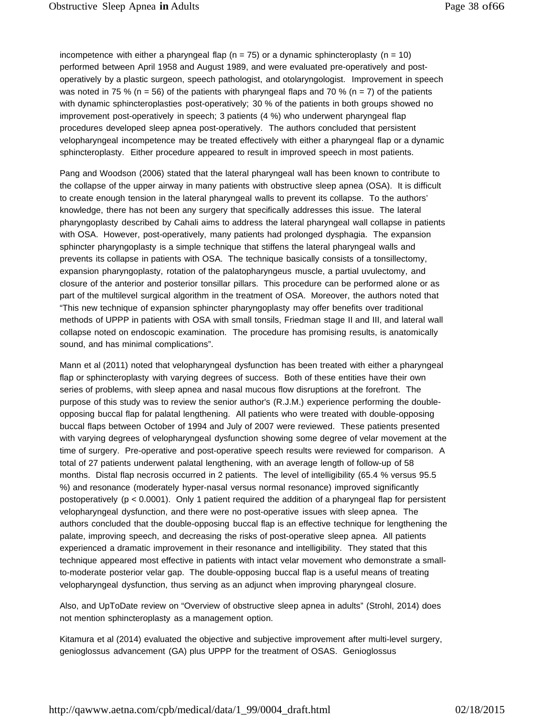incompetence with either a pharyngeal flap ( $n = 75$ ) or a dynamic sphincteroplasty ( $n = 10$ ) performed between April 1958 and August 1989, and were evaluated pre-operatively and postoperatively by a plastic surgeon, speech pathologist, and otolaryngologist. Improvement in speech was noted in 75 % (n = 56) of the patients with pharyngeal flaps and 70 % (n = 7) of the patients with dynamic sphincteroplasties post-operatively; 30 % of the patients in both groups showed no improvement post-operatively in speech; 3 patients (4 %) who underwent pharyngeal flap procedures developed sleep apnea post-operatively. The authors concluded that persistent velopharyngeal incompetence may be treated effectively with either a pharyngeal flap or a dynamic sphincteroplasty. Either procedure appeared to result in improved speech in most patients.

Pang and Woodson (2006) stated that the lateral pharyngeal wall has been known to contribute to the collapse of the upper airway in many patients with obstructive sleep apnea (OSA). It is difficult to create enough tension in the lateral pharyngeal walls to prevent its collapse. To the authors' knowledge, there has not been any surgery that specifically addresses this issue. The lateral pharyngoplasty described by Cahali aims to address the lateral pharyngeal wall collapse in patients with OSA. However, post-operatively, many patients had prolonged dysphagia. The expansion sphincter pharyngoplasty is a simple technique that stiffens the lateral pharyngeal walls and prevents its collapse in patients with OSA. The technique basically consists of a tonsillectomy, expansion pharyngoplasty, rotation of the palatopharyngeus muscle, a partial uvulectomy, and closure of the anterior and posterior tonsillar pillars. This procedure can be performed alone or as part of the multilevel surgical algorithm in the treatment of OSA. Moreover, the authors noted that "This new technique of expansion sphincter pharyngoplasty may offer benefits over traditional methods of UPPP in patients with OSA with small tonsils, Friedman stage II and III, and lateral wall collapse noted on endoscopic examination. The procedure has promising results, is anatomically sound, and has minimal complications".

Mann et al (2011) noted that velopharyngeal dysfunction has been treated with either a pharyngeal flap or sphincteroplasty with varying degrees of success. Both of these entities have their own series of problems, with sleep apnea and nasal mucous flow disruptions at the forefront. The purpose of this study was to review the senior author's (R.J.M.) experience performing the doubleopposing buccal flap for palatal lengthening. All patients who were treated with double-opposing buccal flaps between October of 1994 and July of 2007 were reviewed. These patients presented with varying degrees of velopharyngeal dysfunction showing some degree of velar movement at the time of surgery. Pre-operative and post-operative speech results were reviewed for comparison. A total of 27 patients underwent palatal lengthening, with an average length of follow-up of 58 months. Distal flap necrosis occurred in 2 patients. The level of intelligibility (65.4 % versus 95.5 %) and resonance (moderately hyper-nasal versus normal resonance) improved significantly postoperatively (p < 0.0001). Only 1 patient required the addition of a pharyngeal flap for persistent velopharyngeal dysfunction, and there were no post-operative issues with sleep apnea. The authors concluded that the double-opposing buccal flap is an effective technique for lengthening the palate, improving speech, and decreasing the risks of post-operative sleep apnea. All patients experienced a dramatic improvement in their resonance and intelligibility. They stated that this technique appeared most effective in patients with intact velar movement who demonstrate a smallto-moderate posterior velar gap. The double-opposing buccal flap is a useful means of treating velopharyngeal dysfunction, thus serving as an adjunct when improving pharyngeal closure.

Also, and UpToDate review on "Overview of obstructive sleep apnea in adults" (Strohl, 2014) does not mention sphincteroplasty as a management option.

Kitamura et al (2014) evaluated the objective and subjective improvement after multi-level surgery, genioglossus advancement (GA) plus UPPP for the treatment of OSAS. Genioglossus

[http://qawww.aetna.com/cpb/medical/data/1\\_99/0004\\_draft.html](http://qawww.aetna.com/cpb/medical/data/1_99/0004_draft.html) 02/18/2015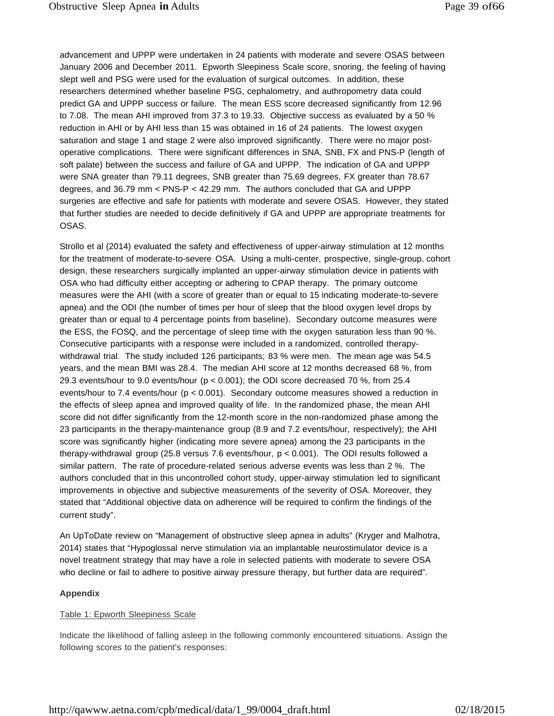advancement and UPPP were undertaken in 24 patients with moderate and severe OSAS between January 2006 and December 2011. Epworth Sleepiness Scale score, snoring, the feeling of having slept well and PSG were used for the evaluation of surgical outcomes. In addition, these researchers determined whether baseline PSG, cephalometry, and authropometry data could predict GA and UPPP success or failure. The mean ESS score decreased significantly from 12.96 to 7.08. The mean AHI improved from 37.3 to 19.33. Objective success as evaluated by a 50 % reduction in AHI or by AHI less than 15 was obtained in 16 of 24 patients. The lowest oxygen saturation and stage 1 and stage 2 were also improved significantly. There were no major postoperative complications. There were significant differences in SNA, SNB, FX and PNS-P (length of soft palate) between the success and failure of GA and UPPP. The indication of GA and UPPP were SNA greater than 79.11 degrees, SNB greater than 75.69 degrees, FX greater than 78.67 degrees, and 36.79 mm < PNS-P < 42.29 mm. The authors concluded that GA and UPPP surgeries are effective and safe for patients with moderate and severe OSAS. However, they stated that further studies are needed to decide definitively if GA and UPPP are appropriate treatments for OSAS.

Strollo et al (2014) evaluated the safety and effectiveness of upper-airway stimulation at 12 months for the treatment of moderate-to-severe OSA. Using a multi-center, prospective, single-group, cohort design, these researchers surgically implanted an upper-airway stimulation device in patients with OSA who had difficulty either accepting or adhering to CPAP therapy. The primary outcome measures were the AHI (with a score of greater than or equal to 15 indicating moderate-to-severe apnea) and the ODI (the number of times per hour of sleep that the blood oxygen level drops by greater than or equal to 4 percentage points from baseline). Secondary outcome measures were the ESS, the FOSQ, and the percentage of sleep time with the oxygen saturation less than 90 %. Consecutive participants with a response were included in a randomized, controlled therapywithdrawal trial. The study included 126 participants; 83 % were men. The mean age was 54.5 years, and the mean BMI was 28.4. The median AHI score at 12 months decreased 68 %, from 29.3 events/hour to 9.0 events/hour ( $p < 0.001$ ); the ODI score decreased 70 %, from 25.4 events/hour to 7.4 events/hour (p < 0.001). Secondary outcome measures showed a reduction in the effects of sleep apnea and improved quality of life. In the randomized phase, the mean AHI score did not differ significantly from the 12-month score in the non-randomized phase among the 23 participants in the therapy-maintenance group (8.9 and 7.2 events/hour, respectively); the AHI score was significantly higher (indicating more severe apnea) among the 23 participants in the therapy-withdrawal group (25.8 versus 7.6 events/hour, p < 0.001). The ODI results followed a similar pattern. The rate of procedure-related serious adverse events was less than 2 %. The authors concluded that in this uncontrolled cohort study, upper-airway stimulation led to significant improvements in objective and subjective measurements of the severity of OSA. Moreover, they stated that "Additional objective data on adherence will be required to confirm the findings of the current study".

An UpToDate review on "Management of obstructive sleep apnea in adults" (Kryger and Malhotra, 2014) states that "Hypoglossal nerve stimulation via an implantable neurostimulator device is a novel treatment strategy that may have a role in selected patients with moderate to severe OSA who decline or fail to adhere to positive airway pressure therapy, but further data are required".

#### **Appendix**

#### Table 1: Epworth Sleepiness Scale

Indicate the likelihood of falling asleep in the following commonly encountered situations. Assign the following scores to the patient's responses: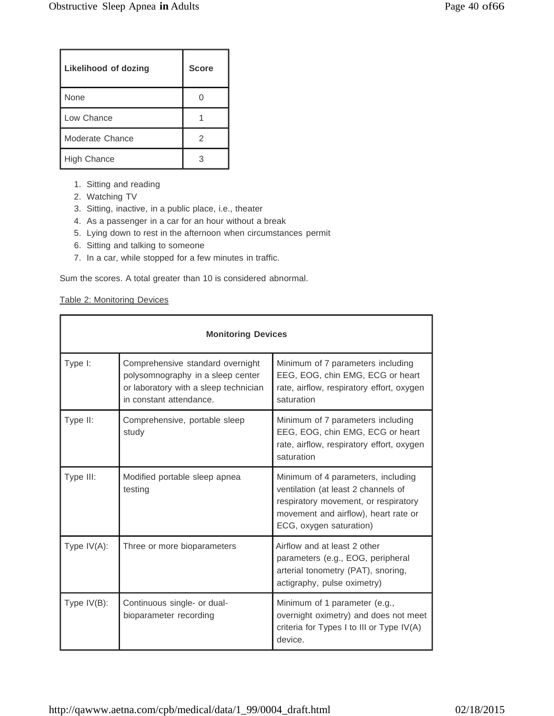| <b>Likelihood of dozing</b> | <b>Score</b> |
|-----------------------------|--------------|
| None                        |              |
| Low Chance                  |              |
| Moderate Chance             | 2            |
| <b>High Chance</b>          | З            |

- 1. Sitting and reading
- 2. Watching TV
- 3. Sitting, inactive, in a public place, i.e., theater
- 4. As a passenger in a car for an hour without a break
- 5. Lying down to rest in the afternoon when circumstances permit
- 6. Sitting and talking to someone
- 7. In a car, while stopped for a few minutes in traffic.

Sum the scores. A total greater than 10 is considered abnormal.

#### Table 2: Monitoring Devices

| <b>Monitoring Devices</b> |                                                                                                                                           |                                                                                                                                                                                      |
|---------------------------|-------------------------------------------------------------------------------------------------------------------------------------------|--------------------------------------------------------------------------------------------------------------------------------------------------------------------------------------|
| Type I:                   | Comprehensive standard overnight<br>polysomnography in a sleep center<br>or laboratory with a sleep technician<br>in constant attendance. | Minimum of 7 parameters including<br>EEG, EOG, chin EMG, ECG or heart<br>rate, airflow, respiratory effort, oxygen<br>saturation                                                     |
| Type II:                  | Comprehensive, portable sleep<br>study                                                                                                    | Minimum of 7 parameters including<br>EEG, EOG, chin EMG, ECG or heart<br>rate, airflow, respiratory effort, oxygen<br>saturation                                                     |
| Type III:                 | Modified portable sleep apnea<br>testing                                                                                                  | Minimum of 4 parameters, including<br>ventilation (at least 2 channels of<br>respiratory movement, or respiratory<br>movement and airflow), heart rate or<br>ECG, oxygen saturation) |
| Type $IV(A)$ :            | Three or more bioparameters                                                                                                               | Airflow and at least 2 other<br>parameters (e.g., EOG, peripheral<br>arterial tonometry (PAT), snoring,<br>actigraphy, pulse oximetry)                                               |
| Type $IV(B)$ :            | Continuous single- or dual-<br>bioparameter recording                                                                                     | Minimum of 1 parameter (e.g.,<br>overnight oximetry) and does not meet<br>criteria for Types I to III or Type IV(A)<br>device.                                                       |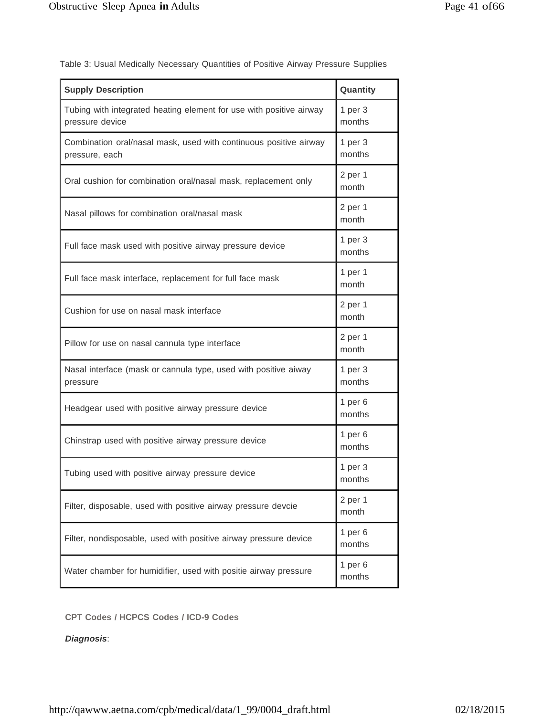| Table 3: Usual Medically Necessary Quantities of Positive Airway Pressure Supplies |
|------------------------------------------------------------------------------------|
|------------------------------------------------------------------------------------|

| <b>Supply Description</b>                                                              | Quantity              |
|----------------------------------------------------------------------------------------|-----------------------|
| Tubing with integrated heating element for use with positive airway<br>pressure device | 1 per 3<br>months     |
| Combination oral/nasal mask, used with continuous positive airway<br>pressure, each    | 1 per 3<br>months     |
| Oral cushion for combination oral/nasal mask, replacement only                         | 2 per 1<br>month      |
| Nasal pillows for combination oral/nasal mask                                          | 2 per 1<br>month      |
| Full face mask used with positive airway pressure device                               | 1 per 3<br>months     |
| Full face mask interface, replacement for full face mask                               | 1 per $1$<br>month    |
| Cushion for use on nasal mask interface                                                | 2 per 1<br>month      |
| Pillow for use on nasal cannula type interface                                         | 2 per 1<br>month      |
| Nasal interface (mask or cannula type, used with positive aiway<br>pressure            | $1per$ 3<br>months    |
| Headgear used with positive airway pressure device                                     | $1$ per $6$<br>months |
| Chinstrap used with positive airway pressure device                                    | 1 per $6$<br>months   |
| Tubing used with positive airway pressure device                                       | 1 per 3<br>months     |
| Filter, disposable, used with positive airway pressure devcie                          | 2 per 1<br>month      |
| Filter, nondisposable, used with positive airway pressure device                       | $1$ per $6$<br>months |
| Water chamber for humidifier, used with positie airway pressure                        | $1$ per $6$<br>months |

**CPT Codes / HCPCS Codes / ICD-9 Codes**

*Diagnosis*: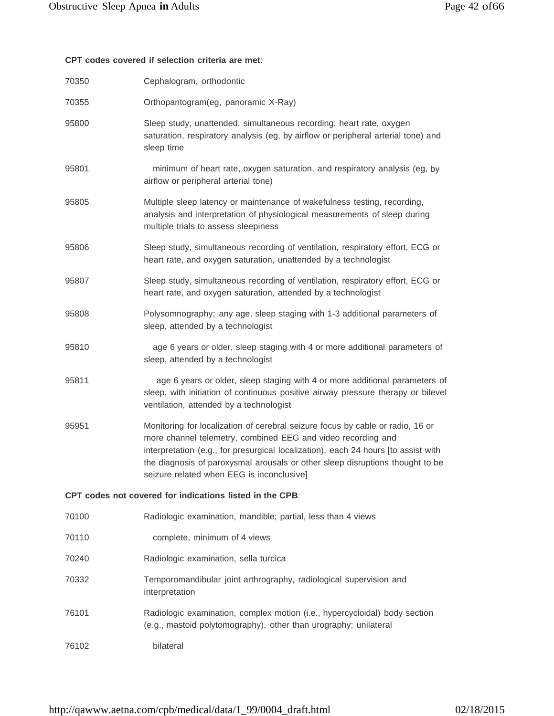# **CPT codes covered if selection criteria are met**:

| 70350 | Cephalogram, orthodontic                                                                                                                                                                                                                                                                                                                                           |
|-------|--------------------------------------------------------------------------------------------------------------------------------------------------------------------------------------------------------------------------------------------------------------------------------------------------------------------------------------------------------------------|
| 70355 | Orthopantogram(eg, panoramic X-Ray)                                                                                                                                                                                                                                                                                                                                |
| 95800 | Sleep study, unattended, simultaneous recording; heart rate, oxygen<br>saturation, respiratory analysis (eg, by airflow or peripheral arterial tone) and<br>sleep time                                                                                                                                                                                             |
| 95801 | minimum of heart rate, oxygen saturation, and respiratory analysis (eg, by<br>airflow or peripheral arterial tone)                                                                                                                                                                                                                                                 |
| 95805 | Multiple sleep latency or maintenance of wakefulness testing, recording,<br>analysis and interpretation of physiological measurements of sleep during<br>multiple trials to assess sleepiness                                                                                                                                                                      |
| 95806 | Sleep study, simultaneous recording of ventilation, respiratory effort, ECG or<br>heart rate, and oxygen saturation, unattended by a technologist                                                                                                                                                                                                                  |
| 95807 | Sleep study, simultaneous recording of ventilation, respiratory effort, ECG or<br>heart rate, and oxygen saturation, attended by a technologist                                                                                                                                                                                                                    |
| 95808 | Polysomnography; any age, sleep staging with 1-3 additional parameters of<br>sleep, attended by a technologist                                                                                                                                                                                                                                                     |
| 95810 | age 6 years or older, sleep staging with 4 or more additional parameters of<br>sleep, attended by a technologist                                                                                                                                                                                                                                                   |
| 95811 | age 6 years or older, sleep staging with 4 or more additional parameters of<br>sleep, with initiation of continuous positive airway pressure therapy or bilevel<br>ventilation, attended by a technologist                                                                                                                                                         |
| 95951 | Monitoring for localization of cerebral seizure focus by cable or radio, 16 or<br>more channel telemetry, combined EEG and video recording and<br>interpretation (e.g., for presurgical localization), each 24 hours [to assist with<br>the diagnosis of paroxysmal arousals or other sleep disruptions thought to be<br>seizure related when EEG is inconclusive] |
|       | CPT codes not covered for indications listed in the CPB:                                                                                                                                                                                                                                                                                                           |
| 70100 | Radiologic examination, mandible; partial, less than 4 views                                                                                                                                                                                                                                                                                                       |
| 70110 | complete, minimum of 4 views                                                                                                                                                                                                                                                                                                                                       |
| 70240 | Radiologic examination, sella turcica                                                                                                                                                                                                                                                                                                                              |
| 70332 | Temporomandibular joint arthrography, radiological supervision and<br>interpretation                                                                                                                                                                                                                                                                               |
| 76101 | Radiologic examination, complex motion (i.e., hypercycloidal) body section<br>(e.g., mastoid polytomography), other than urography; unilateral                                                                                                                                                                                                                     |
| 76102 | bilateral                                                                                                                                                                                                                                                                                                                                                          |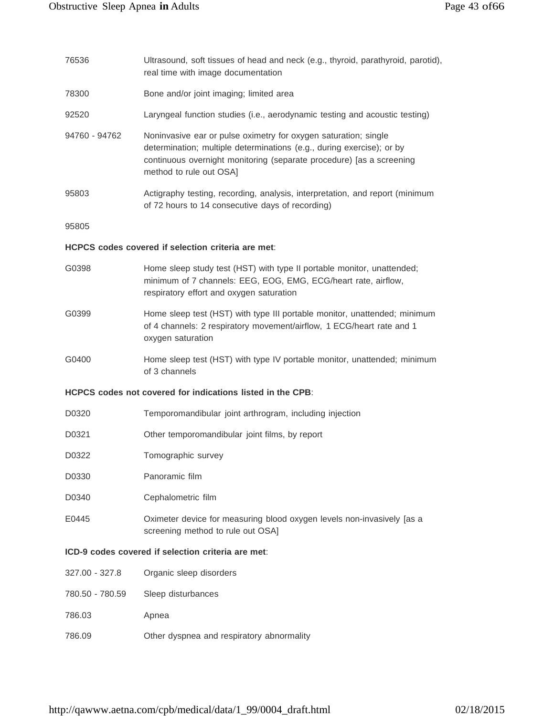| 76536                                              | Ultrasound, soft tissues of head and neck (e.g., thyroid, parathyroid, parotid),<br>real time with image documentation                                                                                                                      |  |
|----------------------------------------------------|---------------------------------------------------------------------------------------------------------------------------------------------------------------------------------------------------------------------------------------------|--|
| 78300                                              | Bone and/or joint imaging; limited area                                                                                                                                                                                                     |  |
| 92520                                              | Laryngeal function studies (i.e., aerodynamic testing and acoustic testing)                                                                                                                                                                 |  |
| 94760 - 94762                                      | Noninvasive ear or pulse oximetry for oxygen saturation; single<br>determination; multiple determinations (e.g., during exercise); or by<br>continuous overnight monitoring (separate procedure) [as a screening<br>method to rule out OSA] |  |
| 95803                                              | Actigraphy testing, recording, analysis, interpretation, and report (minimum<br>of 72 hours to 14 consecutive days of recording)                                                                                                            |  |
| 95805                                              |                                                                                                                                                                                                                                             |  |
|                                                    | HCPCS codes covered if selection criteria are met:                                                                                                                                                                                          |  |
| G0398                                              | Home sleep study test (HST) with type II portable monitor, unattended;<br>minimum of 7 channels: EEG, EOG, EMG, ECG/heart rate, airflow,<br>respiratory effort and oxygen saturation                                                        |  |
| G0399                                              | Home sleep test (HST) with type III portable monitor, unattended; minimum<br>of 4 channels: 2 respiratory movement/airflow, 1 ECG/heart rate and 1<br>oxygen saturation                                                                     |  |
| G0400                                              | Home sleep test (HST) with type IV portable monitor, unattended; minimum<br>of 3 channels                                                                                                                                                   |  |
|                                                    | HCPCS codes not covered for indications listed in the CPB:                                                                                                                                                                                  |  |
| D0320                                              | Temporomandibular joint arthrogram, including injection                                                                                                                                                                                     |  |
| D0321                                              | Other temporomandibular joint films, by report                                                                                                                                                                                              |  |
| D0322                                              | Tomographic survey                                                                                                                                                                                                                          |  |
| D0330                                              | Panoramic film                                                                                                                                                                                                                              |  |
| D0340                                              | Cephalometric film                                                                                                                                                                                                                          |  |
| E0445                                              | Oximeter device for measuring blood oxygen levels non-invasively [as a<br>screening method to rule out OSA]                                                                                                                                 |  |
| ICD-9 codes covered if selection criteria are met: |                                                                                                                                                                                                                                             |  |
| 327.00 - 327.8                                     | Organic sleep disorders                                                                                                                                                                                                                     |  |
| 780.50 - 780.59                                    | Sleep disturbances                                                                                                                                                                                                                          |  |
| 786.03                                             | Apnea                                                                                                                                                                                                                                       |  |
| 786.09                                             | Other dyspnea and respiratory abnormality                                                                                                                                                                                                   |  |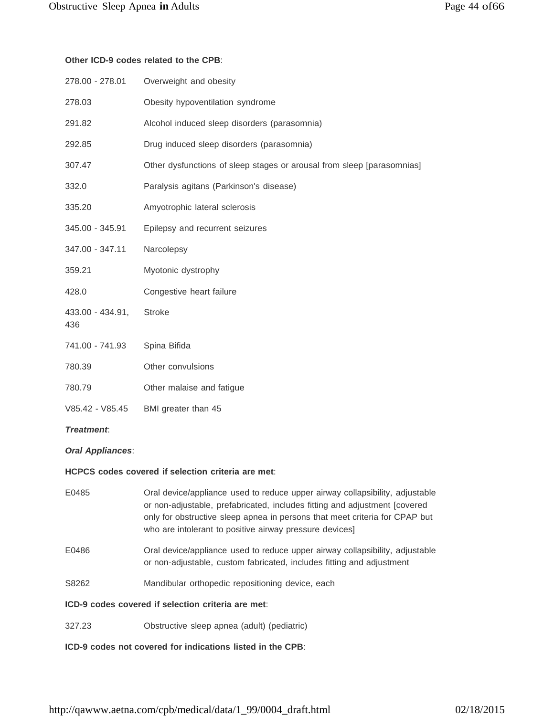#### **Other ICD-9 codes related to the CPB**:

| 278.00 - 278.01         | Overweight and obesity                                                 |
|-------------------------|------------------------------------------------------------------------|
| 278.03                  | Obesity hypoventilation syndrome                                       |
| 291.82                  | Alcohol induced sleep disorders (parasomnia)                           |
| 292.85                  | Drug induced sleep disorders (parasomnia)                              |
| 307.47                  | Other dysfunctions of sleep stages or arousal from sleep [parasomnias] |
| 332.0                   | Paralysis agitans (Parkinson's disease)                                |
| 335.20                  | Amyotrophic lateral sclerosis                                          |
| 345.00 - 345.91         | Epilepsy and recurrent seizures                                        |
| 347.00 - 347.11         | Narcolepsy                                                             |
| 359.21                  | Myotonic dystrophy                                                     |
| 428.0                   | Congestive heart failure                                               |
| 433.00 - 434.91,<br>436 | <b>Stroke</b>                                                          |
| 741.00 - 741.93         | Spina Bifida                                                           |
| 780.39                  | Other convulsions                                                      |
| 780.79                  | Other malaise and fatigue                                              |
| V85.42 - V85.45         | BMI greater than 45                                                    |
| <b>Treatment</b>        |                                                                        |

#### *Oral Appliances*:

#### **HCPCS codes covered if selection criteria are met**:

- E0485 Oral device/appliance used to reduce upper airway collapsibility, adjustable or non-adjustable, prefabricated, includes fitting and adjustment [covered only for obstructive sleep apnea in persons that meet criteria for CPAP but who are intolerant to positive airway pressure devices]
- E0486 Oral device/appliance used to reduce upper airway collapsibility, adjustable or non-adjustable, custom fabricated, includes fitting and adjustment
- S8262 Mandibular orthopedic repositioning device, each

#### **ICD-9 codes covered if selection criteria are met**:

327.23 Obstructive sleep apnea (adult) (pediatric)

**ICD-9 codes not covered for indications listed in the CPB**: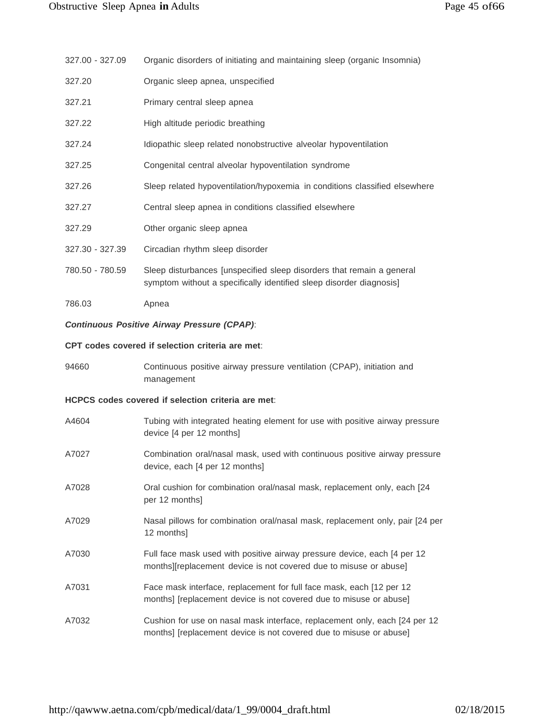|                 | Organic disorders of initiating and maintaining sleep (organic Insomnia) |  |  |  |
|-----------------|--------------------------------------------------------------------------|--|--|--|
| 327.00 - 327.09 |                                                                          |  |  |  |
|                 |                                                                          |  |  |  |
|                 |                                                                          |  |  |  |

- 327.20 Organic sleep apnea, unspecified
- 327.21 Primary central sleep apnea
- 327.22 High altitude periodic breathing
- 327.24 Idiopathic sleep related nonobstructive alveolar hypoventilation
- 327.25 Congenital central alveolar hypoventilation syndrome
- 327.26 Sleep related hypoventilation/hypoxemia in conditions classified elsewhere
- 327.27 Central sleep apnea in conditions classified elsewhere
- 327.29 Other organic sleep apnea
- 327.30 327.39 Circadian rhythm sleep disorder
- 780.50 780.59 Sleep disturbances [unspecified sleep disorders that remain a general symptom without a specifically identified sleep disorder diagnosis]
- 786.03 Apnea

#### *Continuous Positive Airway Pressure (CPAP)*:

#### **CPT codes covered if selection criteria are met**:

94660 Continuous positive airway pressure ventilation (CPAP), initiation and management

#### **HCPCS codes covered if selection criteria are met**:

| A4604 | Tubing with integrated heating element for use with positive airway pressure<br>device [4 per 12 months]                                          |
|-------|---------------------------------------------------------------------------------------------------------------------------------------------------|
| A7027 | Combination oral/nasal mask, used with continuous positive airway pressure<br>device, each [4 per 12 months]                                      |
| A7028 | Oral cushion for combination oral/nasal mask, replacement only, each [24<br>per 12 months]                                                        |
| A7029 | Nasal pillows for combination oral/nasal mask, replacement only, pair [24 per<br>12 months]                                                       |
| A7030 | Full face mask used with positive airway pressure device, each [4 per 12<br>months][replacement device is not covered due to misuse or abuse]     |
| A7031 | Face mask interface, replacement for full face mask, each [12 per 12<br>months] [replacement device is not covered due to misuse or abuse]        |
| A7032 | Cushion for use on nasal mask interface, replacement only, each [24 per 12]<br>months] [replacement device is not covered due to misuse or abuse] |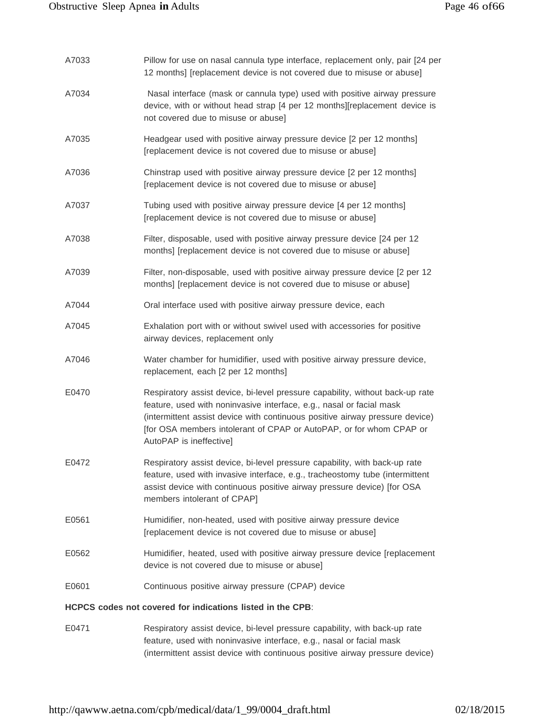| A7033 | Pillow for use on nasal cannula type interface, replacement only, pair [24 per<br>12 months] [replacement device is not covered due to misuse or abuse]                                                                                                                                                                                 |
|-------|-----------------------------------------------------------------------------------------------------------------------------------------------------------------------------------------------------------------------------------------------------------------------------------------------------------------------------------------|
| A7034 | Nasal interface (mask or cannula type) used with positive airway pressure<br>device, with or without head strap [4 per 12 months][replacement device is<br>not covered due to misuse or abuse]                                                                                                                                          |
| A7035 | Headgear used with positive airway pressure device [2 per 12 months]<br>[replacement device is not covered due to misuse or abuse]                                                                                                                                                                                                      |
| A7036 | Chinstrap used with positive airway pressure device [2 per 12 months]<br>[replacement device is not covered due to misuse or abuse]                                                                                                                                                                                                     |
| A7037 | Tubing used with positive airway pressure device [4 per 12 months]<br>[replacement device is not covered due to misuse or abuse]                                                                                                                                                                                                        |
| A7038 | Filter, disposable, used with positive airway pressure device [24 per 12<br>months] [replacement device is not covered due to misuse or abuse]                                                                                                                                                                                          |
| A7039 | Filter, non-disposable, used with positive airway pressure device [2 per 12<br>months] [replacement device is not covered due to misuse or abuse]                                                                                                                                                                                       |
| A7044 | Oral interface used with positive airway pressure device, each                                                                                                                                                                                                                                                                          |
| A7045 | Exhalation port with or without swivel used with accessories for positive<br>airway devices, replacement only                                                                                                                                                                                                                           |
| A7046 | Water chamber for humidifier, used with positive airway pressure device,<br>replacement, each [2 per 12 months]                                                                                                                                                                                                                         |
| E0470 | Respiratory assist device, bi-level pressure capability, without back-up rate<br>feature, used with noninvasive interface, e.g., nasal or facial mask<br>(intermittent assist device with continuous positive airway pressure device)<br>[for OSA members intolerant of CPAP or AutoPAP, or for whom CPAP or<br>AutoPAP is ineffective] |
| E0472 | Respiratory assist device, bi-level pressure capability, with back-up rate<br>feature, used with invasive interface, e.g., tracheostomy tube (intermittent<br>assist device with continuous positive airway pressure device) [for OSA<br>members intolerant of CPAP]                                                                    |
| E0561 | Humidifier, non-heated, used with positive airway pressure device<br>[replacement device is not covered due to misuse or abuse]                                                                                                                                                                                                         |
| E0562 | Humidifier, heated, used with positive airway pressure device [replacement<br>device is not covered due to misuse or abuse]                                                                                                                                                                                                             |
| E0601 | Continuous positive airway pressure (CPAP) device                                                                                                                                                                                                                                                                                       |
|       | HCPCS codes not covered for indications listed in the CPB:                                                                                                                                                                                                                                                                              |
| E0471 | Respiratory assist device, bi-level pressure capability, with back-up rate                                                                                                                                                                                                                                                              |

feature, used with noninvasive interface, e.g., nasal or facial mask (intermittent assist device with continuous positive airway pressure device)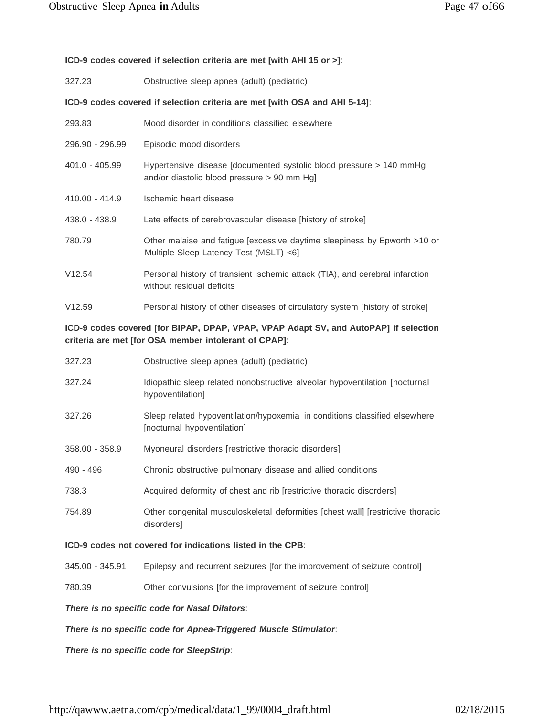# **ICD-9 codes covered if selection criteria are met [with AHI 15 or >]**:

| 327.23                                                                     | Obstructive sleep apnea (adult) (pediatric)                                                                          |  |  |
|----------------------------------------------------------------------------|----------------------------------------------------------------------------------------------------------------------|--|--|
| ICD-9 codes covered if selection criteria are met [with OSA and AHI 5-14]: |                                                                                                                      |  |  |
| 293.83                                                                     | Mood disorder in conditions classified elsewhere                                                                     |  |  |
| 296.90 - 296.99                                                            | Episodic mood disorders                                                                                              |  |  |
| $401.0 - 405.99$                                                           | Hypertensive disease [documented systolic blood pressure > 140 mmHg<br>and/or diastolic blood pressure $> 90$ mm Hg] |  |  |
| 410.00 - 414.9                                                             | Ischemic heart disease                                                                                               |  |  |
| 438.0 - 438.9                                                              | Late effects of cerebrovascular disease [history of stroke]                                                          |  |  |
| 780.79                                                                     | Other malaise and fatigue [excessive daytime sleepiness by Epworth >10 or<br>Multiple Sleep Latency Test (MSLT) <6]  |  |  |
| V12.54                                                                     | Personal history of transient ischemic attack (TIA), and cerebral infarction<br>without residual deficits            |  |  |
| V12.59                                                                     | Personal history of other diseases of circulatory system [history of stroke]                                         |  |  |

# **ICD-9 codes covered [for BIPAP, DPAP, VPAP, VPAP Adapt SV, and AutoPAP] if selection criteria are met [for OSA member intolerant of CPAP]**:

| 327.23                                                     | Obstructive sleep apnea (adult) (pediatric)                                                               |  |
|------------------------------------------------------------|-----------------------------------------------------------------------------------------------------------|--|
| 327.24                                                     | Idiopathic sleep related nonobstructive alveolar hypoventilation [nocturnal<br>hypoventilation]           |  |
| 327.26                                                     | Sleep related hypoventilation/hypoxemia in conditions classified elsewhere<br>[nocturnal hypoventilation] |  |
| 358.00 - 358.9                                             | Myoneural disorders (restrictive thoracic disorders)                                                      |  |
| $490 - 496$                                                | Chronic obstructive pulmonary disease and allied conditions                                               |  |
| 738.3                                                      | Acquired deformity of chest and rib [restrictive thoracic disorders]                                      |  |
| 754.89                                                     | Other congenital musculoskeletal deformities [chest wall] [restrictive thoracic<br>disorders]             |  |
| ICD-9 codes not covered for indications listed in the CPB: |                                                                                                           |  |

# 345.00 - 345.91 Epilepsy and recurrent seizures [for the improvement of seizure control]

780.39 Other convulsions [for the improvement of seizure control]

*There is no specific code for Nasal Dilators*:

*There is no specific code for Apnea-Triggered Muscle Stimulator*:

*There is no specific code for SleepStrip*: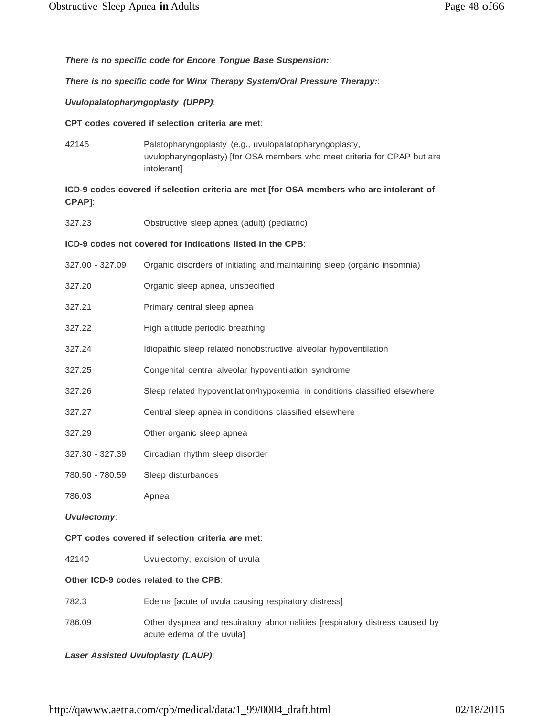*There is no specific code for Encore Tongue Base Suspension:*:

*There is no specific code for Winx Therapy System/Oral Pressure Therapy:*:

*Uvulopalatopharyngoplasty (UPPP)*:

**CPT codes covered if selection criteria are met**:

42145 Palatopharyngoplasty (e.g., uvulopalatopharyngoplasty, uvulopharyngoplasty) [for OSA members who meet criteria for CPAP but are intolerant]

**ICD-9 codes covered if selection criteria are met [for OSA members who are intolerant of CPAP]**:

327.23 Obstructive sleep apnea (adult) (pediatric)

#### **ICD-9 codes not covered for indications listed in the CPB**:

- 327.00 327.09 Organic disorders of initiating and maintaining sleep (organic insomnia)
- 327.20 Organic sleep apnea, unspecified
- 327.21 Primary central sleep apnea
- 327.22 High altitude periodic breathing
- 327.24 Idiopathic sleep related nonobstructive alveolar hypoventilation
- 327.25 Congenital central alveolar hypoventilation syndrome
- 327.26 Sleep related hypoventilation/hypoxemia in conditions classified elsewhere
- 327.27 Central sleep apnea in conditions classified elsewhere
- 327.29 Other organic sleep apnea
- 327.30 327.39 Circadian rhythm sleep disorder
- 780.50 780.59 Sleep disturbances
- 786.03 Apnea

*Uvulectomy*:

#### **CPT codes covered if selection criteria are met**:

42140 Uvulectomy, excision of uvula

#### **Other ICD-9 codes related to the CPB**:

- 782.3 Edema [acute of uvula causing respiratory distress]
- 786.09 Other dyspnea and respiratory abnormalities [respiratory distress caused by acute edema of the uvula]

*Laser Assisted Uvuloplasty (LAUP)*: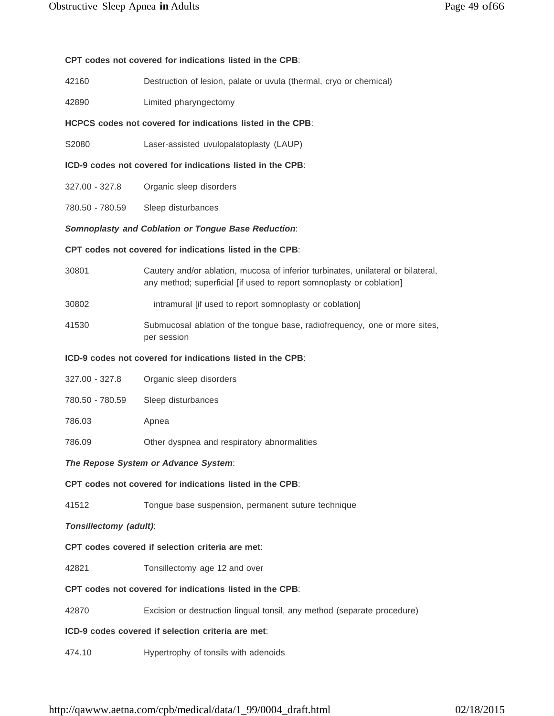#### **CPT codes not covered for indications listed in the CPB**:

- 42160 Destruction of lesion, palate or uvula (thermal, cryo or chemical)
- 42890 Limited pharyngectomy

#### **HCPCS codes not covered for indications listed in the CPB**:

- S2080 Laser-assisted uvulopalatoplasty (LAUP)
- **ICD-9 codes not covered for indications listed in the CPB**:
- 327.00 327.8 Organic sleep disorders
- 780.50 780.59 Sleep disturbances

#### *Somnoplasty and Coblation or Tongue Base Reduction*:

#### **CPT codes not covered for indications listed in the CPB**:

- 30801 Cautery and/or ablation, mucosa of inferior turbinates, unilateral or bilateral, any method; superficial [if used to report somnoplasty or coblation]
- 30802 intramural [if used to report somnoplasty or coblation]
- 41530 Submucosal ablation of the tongue base, radiofrequency, one or more sites, per session

#### **ICD-9 codes not covered for indications listed in the CPB**:

| 327.00 - 327.8  | Organic sleep disorders |
|-----------------|-------------------------|
| 780.50 - 780.59 | Sleep disturbances      |
| 786.03          | Apnea                   |
|                 |                         |

786.09 Other dyspnea and respiratory abnormalities

#### *The Repose System or Advance System*:

#### **CPT codes not covered for indications listed in the CPB**:

41512 Tongue base suspension, permanent suture technique

#### *Tonsillectomy (adult)*:

#### **CPT codes covered if selection criteria are met**:

42821 Tonsillectomy age 12 and over

#### **CPT codes not covered for indications listed in the CPB**:

42870 Excision or destruction lingual tonsil, any method (separate procedure)

#### **ICD-9 codes covered if selection criteria are met**:

474.10 Hypertrophy of tonsils with adenoids

[http://qawww.aetna.com/cpb/medical/data/1\\_99/0004\\_draft.html](http://qawww.aetna.com/cpb/medical/data/1_99/0004_draft.html) 02/18/2015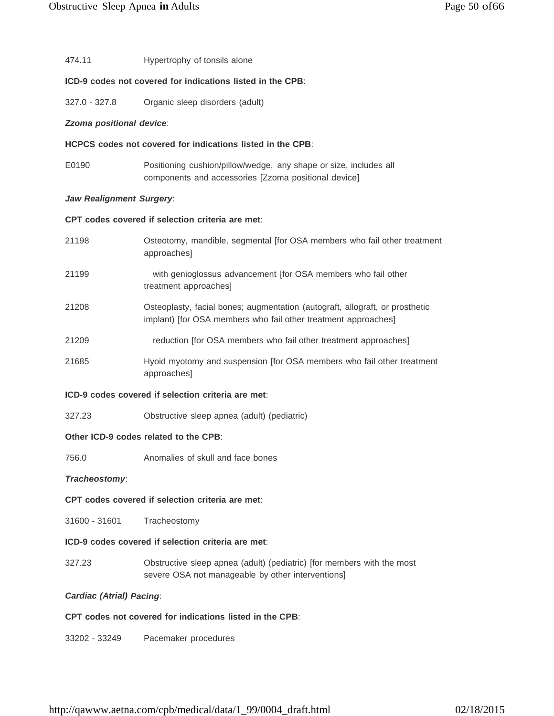#### 474.11 Hypertrophy of tonsils alone

#### **ICD-9 codes not covered for indications listed in the CPB**:

327.0 - 327.8 Organic sleep disorders (adult)

#### *Zzoma positional device*:

#### **HCPCS codes not covered for indications listed in the CPB**:

E0190 Positioning cushion/pillow/wedge, any shape or size, includes all components and accessories [Zzoma positional device]

#### *Jaw Realignment Surgery*:

#### **CPT codes covered if selection criteria are met**:

| 21198 | Osteotomy, mandible, segmental [for OSA members who fail other treatment<br>approaches]                                                        |
|-------|------------------------------------------------------------------------------------------------------------------------------------------------|
| 21199 | with genioglossus advancement for OSA members who fail other<br>treatment approaches]                                                          |
| 21208 | Osteoplasty, facial bones; augmentation (autograft, allograft, or prosthetic<br>implant) [for OSA members who fail other treatment approaches] |
| 21209 | reduction [for OSA members who fail other treatment approaches]                                                                                |
| 21685 | Hyoid myotomy and suspension [for OSA members who fail other treatment<br>approaches                                                           |

#### **ICD-9 codes covered if selection criteria are met**:

327.23 Obstructive sleep apnea (adult) (pediatric)

#### **Other ICD-9 codes related to the CPB**:

756.0 Anomalies of skull and face bones

#### *Tracheostomy*:

#### **CPT codes covered if selection criteria are met**:

31600 - 31601 Tracheostomy

#### **ICD-9 codes covered if selection criteria are met**:

327.23 Obstructive sleep apnea (adult) (pediatric) [for members with the most severe OSA not manageable by other interventions]

#### *Cardiac (Atrial) Pacing*:

#### **CPT codes not covered for indications listed in the CPB**:

33202 - 33249 Pacemaker procedures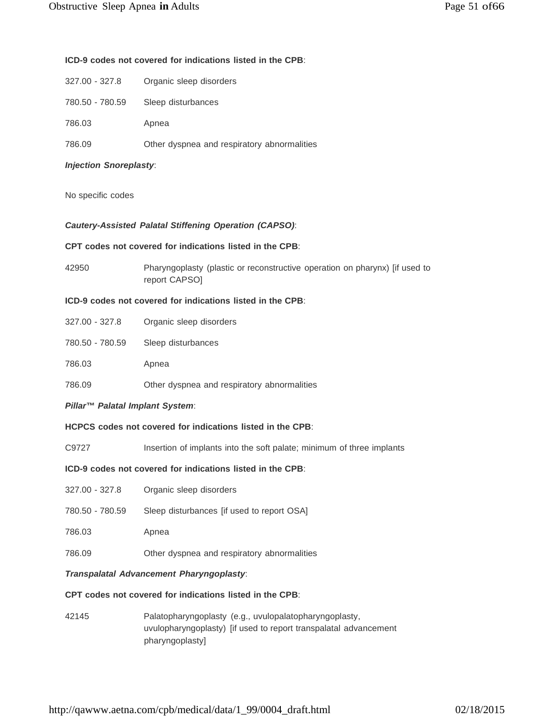#### **ICD-9 codes not covered for indications listed in the CPB**:

- 327.00 327.8 Organic sleep disorders
- 780.50 780.59 Sleep disturbances
- 786.03 Apnea
- 786.09 Other dyspnea and respiratory abnormalities

#### *Injection Snoreplasty*:

No specific codes

#### *Cautery-Assisted Palatal Stiffening Operation (CAPSO)*:

#### **CPT codes not covered for indications listed in the CPB**:

42950 Pharyngoplasty (plastic or reconstructive operation on pharynx) [if used to report CAPSO]

#### **ICD-9 codes not covered for indications listed in the CPB**:

| 327.00 - 327.8 |  | Organic sleep disorders |
|----------------|--|-------------------------|
|----------------|--|-------------------------|

- 780.50 780.59 Sleep disturbances
- 786.03 Apnea
- 786.09 Other dyspnea and respiratory abnormalities

#### *Pillar™ Palatal Implant System*:

#### **HCPCS codes not covered for indications listed in the CPB**:

C9727 Insertion of implants into the soft palate; minimum of three implants

#### **ICD-9 codes not covered for indications listed in the CPB**:

- 327.00 327.8 Organic sleep disorders
- 780.50 780.59 Sleep disturbances [if used to report OSA]
- 786.03 Apnea
- 786.09 Other dyspnea and respiratory abnormalities

#### *Transpalatal Advancement Pharyngoplasty*:

#### **CPT codes not covered for indications listed in the CPB**:

42145 Palatopharyngoplasty (e.g., uvulopalatopharyngoplasty, uvulopharyngoplasty) [if used to report transpalatal advancement pharyngoplasty]

[http://qawww.aetna.com/cpb/medical/data/1\\_99/0004\\_draft.html](http://qawww.aetna.com/cpb/medical/data/1_99/0004_draft.html) 02/18/2015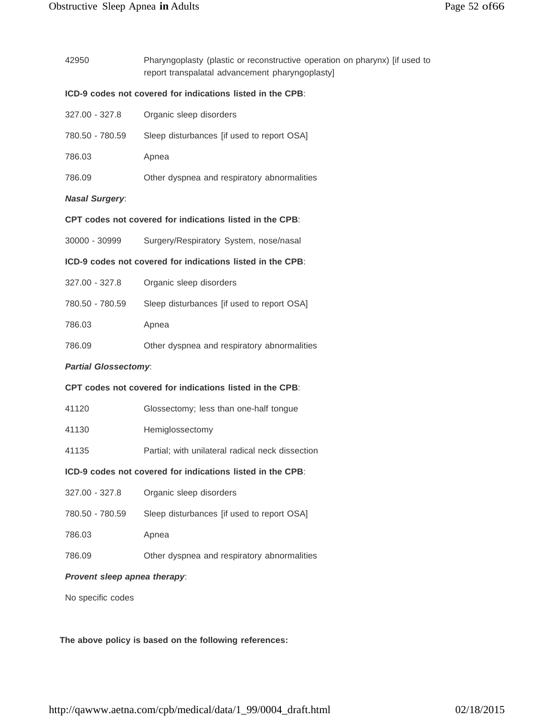| ICD-9 codes not covered for indications listed in the CPB:<br>327.00 - 327.8<br>Organic sleep disorders<br>780.50 - 780.59<br>Sleep disturbances [if used to report OSA]<br>786.03<br>Apnea<br>786.09<br>Other dyspnea and respiratory abnormalities<br><b>Nasal Surgery:</b><br>CPT codes not covered for indications listed in the CPB:<br>Surgery/Respiratory System, nose/nasal<br>30000 - 30999<br>ICD-9 codes not covered for indications listed in the CPB:<br>327.00 - 327.8<br>Organic sleep disorders<br>780.50 - 780.59<br>Sleep disturbances [if used to report OSA]<br>786.03<br>Apnea<br>786.09<br>Other dyspnea and respiratory abnormalities<br><b>Partial Glossectomy:</b><br>CPT codes not covered for indications listed in the CPB:<br>41120<br>Glossectomy; less than one-half tongue<br>41130<br>Hemiglossectomy<br>41135<br>Partial; with unilateral radical neck dissection<br>ICD-9 codes not covered for indications listed in the CPB:<br>327.00 - 327.8<br>Organic sleep disorders<br>780.50 - 780.59<br>Sleep disturbances [if used to report OSA]<br>786.03<br>Apnea<br>Other dyspnea and respiratory abnormalities<br>786.09<br>Provent sleep apnea therapy: | 42950 | Pharyngoplasty (plastic or reconstructive operation on pharynx) [if used to<br>report transpalatal advancement pharyngoplasty] |  |  |
|---------------------------------------------------------------------------------------------------------------------------------------------------------------------------------------------------------------------------------------------------------------------------------------------------------------------------------------------------------------------------------------------------------------------------------------------------------------------------------------------------------------------------------------------------------------------------------------------------------------------------------------------------------------------------------------------------------------------------------------------------------------------------------------------------------------------------------------------------------------------------------------------------------------------------------------------------------------------------------------------------------------------------------------------------------------------------------------------------------------------------------------------------------------------------------------------|-------|--------------------------------------------------------------------------------------------------------------------------------|--|--|
|                                                                                                                                                                                                                                                                                                                                                                                                                                                                                                                                                                                                                                                                                                                                                                                                                                                                                                                                                                                                                                                                                                                                                                                             |       |                                                                                                                                |  |  |
|                                                                                                                                                                                                                                                                                                                                                                                                                                                                                                                                                                                                                                                                                                                                                                                                                                                                                                                                                                                                                                                                                                                                                                                             |       |                                                                                                                                |  |  |
|                                                                                                                                                                                                                                                                                                                                                                                                                                                                                                                                                                                                                                                                                                                                                                                                                                                                                                                                                                                                                                                                                                                                                                                             |       |                                                                                                                                |  |  |
|                                                                                                                                                                                                                                                                                                                                                                                                                                                                                                                                                                                                                                                                                                                                                                                                                                                                                                                                                                                                                                                                                                                                                                                             |       |                                                                                                                                |  |  |
|                                                                                                                                                                                                                                                                                                                                                                                                                                                                                                                                                                                                                                                                                                                                                                                                                                                                                                                                                                                                                                                                                                                                                                                             |       |                                                                                                                                |  |  |
|                                                                                                                                                                                                                                                                                                                                                                                                                                                                                                                                                                                                                                                                                                                                                                                                                                                                                                                                                                                                                                                                                                                                                                                             |       |                                                                                                                                |  |  |
|                                                                                                                                                                                                                                                                                                                                                                                                                                                                                                                                                                                                                                                                                                                                                                                                                                                                                                                                                                                                                                                                                                                                                                                             |       |                                                                                                                                |  |  |
|                                                                                                                                                                                                                                                                                                                                                                                                                                                                                                                                                                                                                                                                                                                                                                                                                                                                                                                                                                                                                                                                                                                                                                                             |       |                                                                                                                                |  |  |
|                                                                                                                                                                                                                                                                                                                                                                                                                                                                                                                                                                                                                                                                                                                                                                                                                                                                                                                                                                                                                                                                                                                                                                                             |       |                                                                                                                                |  |  |
|                                                                                                                                                                                                                                                                                                                                                                                                                                                                                                                                                                                                                                                                                                                                                                                                                                                                                                                                                                                                                                                                                                                                                                                             |       |                                                                                                                                |  |  |
|                                                                                                                                                                                                                                                                                                                                                                                                                                                                                                                                                                                                                                                                                                                                                                                                                                                                                                                                                                                                                                                                                                                                                                                             |       |                                                                                                                                |  |  |
|                                                                                                                                                                                                                                                                                                                                                                                                                                                                                                                                                                                                                                                                                                                                                                                                                                                                                                                                                                                                                                                                                                                                                                                             |       |                                                                                                                                |  |  |
|                                                                                                                                                                                                                                                                                                                                                                                                                                                                                                                                                                                                                                                                                                                                                                                                                                                                                                                                                                                                                                                                                                                                                                                             |       |                                                                                                                                |  |  |
|                                                                                                                                                                                                                                                                                                                                                                                                                                                                                                                                                                                                                                                                                                                                                                                                                                                                                                                                                                                                                                                                                                                                                                                             |       |                                                                                                                                |  |  |
|                                                                                                                                                                                                                                                                                                                                                                                                                                                                                                                                                                                                                                                                                                                                                                                                                                                                                                                                                                                                                                                                                                                                                                                             |       |                                                                                                                                |  |  |
|                                                                                                                                                                                                                                                                                                                                                                                                                                                                                                                                                                                                                                                                                                                                                                                                                                                                                                                                                                                                                                                                                                                                                                                             |       |                                                                                                                                |  |  |
|                                                                                                                                                                                                                                                                                                                                                                                                                                                                                                                                                                                                                                                                                                                                                                                                                                                                                                                                                                                                                                                                                                                                                                                             |       |                                                                                                                                |  |  |
|                                                                                                                                                                                                                                                                                                                                                                                                                                                                                                                                                                                                                                                                                                                                                                                                                                                                                                                                                                                                                                                                                                                                                                                             |       |                                                                                                                                |  |  |
|                                                                                                                                                                                                                                                                                                                                                                                                                                                                                                                                                                                                                                                                                                                                                                                                                                                                                                                                                                                                                                                                                                                                                                                             |       |                                                                                                                                |  |  |
|                                                                                                                                                                                                                                                                                                                                                                                                                                                                                                                                                                                                                                                                                                                                                                                                                                                                                                                                                                                                                                                                                                                                                                                             |       |                                                                                                                                |  |  |
|                                                                                                                                                                                                                                                                                                                                                                                                                                                                                                                                                                                                                                                                                                                                                                                                                                                                                                                                                                                                                                                                                                                                                                                             |       |                                                                                                                                |  |  |
|                                                                                                                                                                                                                                                                                                                                                                                                                                                                                                                                                                                                                                                                                                                                                                                                                                                                                                                                                                                                                                                                                                                                                                                             |       |                                                                                                                                |  |  |
|                                                                                                                                                                                                                                                                                                                                                                                                                                                                                                                                                                                                                                                                                                                                                                                                                                                                                                                                                                                                                                                                                                                                                                                             |       |                                                                                                                                |  |  |
|                                                                                                                                                                                                                                                                                                                                                                                                                                                                                                                                                                                                                                                                                                                                                                                                                                                                                                                                                                                                                                                                                                                                                                                             |       |                                                                                                                                |  |  |

**The above policy is based on the following references:**

No specific codes

[http://qawww.aetna.com/cpb/medical/data/1\\_99/0004\\_draft.html](http://qawww.aetna.com/cpb/medical/data/1_99/0004_draft.html) 02/18/2015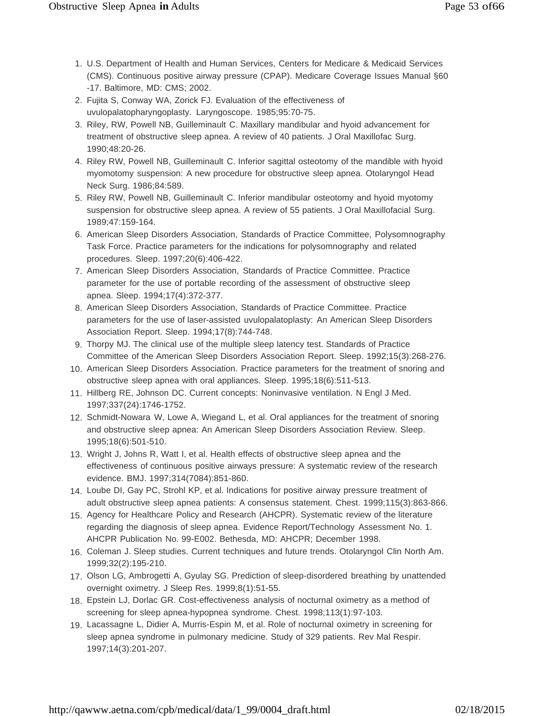- 1. U.S. Department of Health and Human Services, Centers for Medicare & Medicaid Services (CMS). Continuous positive airway pressure (CPAP). Medicare Coverage Issues Manual §60 -17. Baltimore, MD: CMS; 2002.
- 2. Fujita S, Conway WA, Zorick FJ. Evaluation of the effectiveness of uvulopalatopharyngoplasty. Laryngoscope. 1985;95:70-75.
- 3. Riley, RW, Powell NB, Guilleminault C. Maxillary mandibular and hyoid advancement for treatment of obstructive sleep apnea. A review of 40 patients. J Oral Maxillofac Surg. 1990;48:20-26.
- 4. Riley RW, Powell NB, Guilleminault C. Inferior sagittal osteotomy of the mandible with hyoid myomotomy suspension: A new procedure for obstructive sleep apnea. Otolaryngol Head Neck Surg. 1986;84:589.
- 5. Riley RW, Powell NB, Guilleminault C. Inferior mandibular osteotomy and hyoid myotomy suspension for obstructive sleep apnea. A review of 55 patients. J Oral Maxillofacial Surg. 1989;47:159-164.
- 6. American Sleep Disorders Association, Standards of Practice Committee, Polysomnography Task Force. Practice parameters for the indications for polysomnography and related procedures. Sleep. 1997;20(6):406-422.
- 7. American Sleep Disorders Association, Standards of Practice Committee. Practice parameter for the use of portable recording of the assessment of obstructive sleep apnea. Sleep. 1994;17(4):372-377.
- 8. American Sleep Disorders Association, Standards of Practice Committee. Practice parameters for the use of laser-assisted uvulopalatoplasty: An American Sleep Disorders Association Report. Sleep. 1994;17(8):744-748.
- 9. Thorpy MJ. The clinical use of the multiple sleep latency test. Standards of Practice Committee of the American Sleep Disorders Association Report. Sleep. 1992;15(3):268-276.
- 10. American Sleep Disorders Association. Practice parameters for the treatment of snoring and obstructive sleep apnea with oral appliances. Sleep. 1995;18(6):511-513.
- 11. Hillberg RE, Johnson DC. Current concepts: Noninvasive ventilation. N Engl J Med. 1997;337(24):1746-1752.
- 12. Schmidt-Nowara W, Lowe A, Wiegand L, et al. Oral appliances for the treatment of snoring and obstructive sleep apnea: An American Sleep Disorders Association Review. Sleep. 1995;18(6):501-510.
- 13. Wright J, Johns R, Watt I, et al. Health effects of obstructive sleep apnea and the effectiveness of continuous positive airways pressure: A systematic review of the research evidence. BMJ. 1997;314(7084):851-860.
- 14. Loube DI, Gay PC, Strohl KP, et al. Indications for positive airway pressure treatment of adult obstructive sleep apnea patients: A consensus statement. Chest. 1999;115(3):863-866.
- 15. Agency for Healthcare Policy and Research (AHCPR). Systematic review of the literature regarding the diagnosis of sleep apnea. Evidence Report/Technology Assessment No. 1. AHCPR Publication No. 99-E002. Bethesda, MD: AHCPR; December 1998.
- 16. Coleman J. Sleep studies. Current techniques and future trends. Otolaryngol Clin North Am. 1999;32(2):195-210.
- 17. Olson LG, Ambrogetti A, Gyulay SG. Prediction of sleep-disordered breathing by unattended overnight oximetry. J Sleep Res. 1999;8(1):51-55.
- 18. Epstein LJ, Dorlac GR. Cost-effectiveness analysis of nocturnal oximetry as a method of screening for sleep apnea-hypopnea syndrome. Chest. 1998;113(1):97-103.
- 19. Lacassagne L, Didier A, Murris-Espin M, et al. Role of nocturnal oximetry in screening for sleep apnea syndrome in pulmonary medicine. Study of 329 patients. Rev Mal Respir. 1997;14(3):201-207.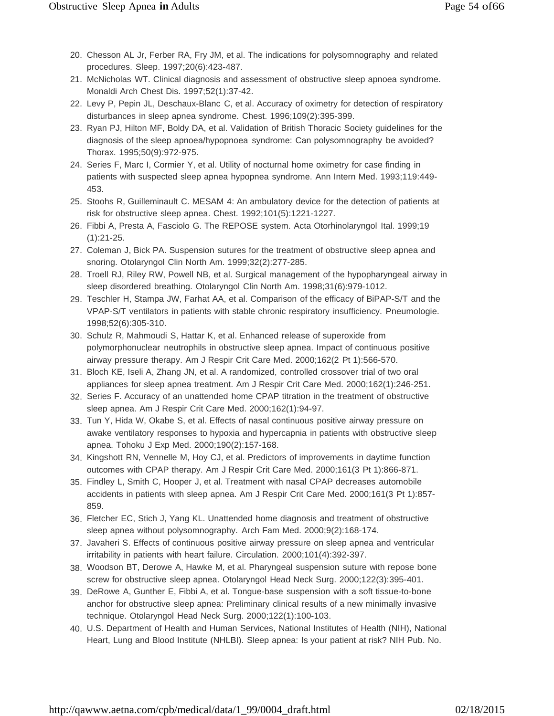- 20. Chesson AL Jr, Ferber RA, Fry JM, et al. The indications for polysomnography and related procedures. Sleep. 1997;20(6):423-487.
- 21. McNicholas WT. Clinical diagnosis and assessment of obstructive sleep apnoea syndrome. Monaldi Arch Chest Dis. 1997;52(1):37-42.
- 22. Levy P, Pepin JL, Deschaux-Blanc C, et al. Accuracy of oximetry for detection of respiratory disturbances in sleep apnea syndrome. Chest. 1996;109(2):395-399.
- 23. Ryan PJ, Hilton MF, Boldy DA, et al. Validation of British Thoracic Society guidelines for the diagnosis of the sleep apnoea/hypopnoea syndrome: Can polysomnography be avoided? Thorax. 1995;50(9):972-975.
- 24. Series F, Marc I, Cormier Y, et al. Utility of nocturnal home oximetry for case finding in patients with suspected sleep apnea hypopnea syndrome. Ann Intern Med. 1993;119:449- 453.
- 25. Stoohs R, Guilleminault C. MESAM 4: An ambulatory device for the detection of patients at risk for obstructive sleep apnea. Chest. 1992;101(5):1221-1227.
- 26. Fibbi A, Presta A, Fasciolo G. The REPOSE system. Acta Otorhinolaryngol Ital. 1999;19 (1):21-25.
- 27. Coleman J, Bick PA. Suspension sutures for the treatment of obstructive sleep apnea and snoring. Otolaryngol Clin North Am. 1999;32(2):277-285.
- 28. Troell RJ, Riley RW, Powell NB, et al. Surgical management of the hypopharyngeal airway in sleep disordered breathing. Otolaryngol Clin North Am. 1998;31(6):979-1012.
- 29. Teschler H, Stampa JW, Farhat AA, et al. Comparison of the efficacy of BiPAP-S/T and the VPAP-S/T ventilators in patients with stable chronic respiratory insufficiency. Pneumologie. 1998;52(6):305-310.
- 30. Schulz R, Mahmoudi S, Hattar K, et al. Enhanced release of superoxide from polymorphonuclear neutrophils in obstructive sleep apnea. Impact of continuous positive airway pressure therapy. Am J Respir Crit Care Med. 2000;162(2 Pt 1):566-570.
- 31. Bloch KE, Iseli A, Zhang JN, et al. A randomized, controlled crossover trial of two oral appliances for sleep apnea treatment. Am J Respir Crit Care Med. 2000;162(1):246-251.
- 32. Series F. Accuracy of an unattended home CPAP titration in the treatment of obstructive sleep apnea. Am J Respir Crit Care Med. 2000;162(1):94-97.
- 33. Tun Y, Hida W, Okabe S, et al. Effects of nasal continuous positive airway pressure on awake ventilatory responses to hypoxia and hypercapnia in patients with obstructive sleep apnea. Tohoku J Exp Med. 2000;190(2):157-168.
- 34. Kingshott RN, Vennelle M, Hoy CJ, et al. Predictors of improvements in daytime function outcomes with CPAP therapy. Am J Respir Crit Care Med. 2000;161(3 Pt 1):866-871.
- 35. Findley L, Smith C, Hooper J, et al. Treatment with nasal CPAP decreases automobile accidents in patients with sleep apnea. Am J Respir Crit Care Med. 2000;161(3 Pt 1):857- 859.
- 36. Fletcher EC, Stich J, Yang KL. Unattended home diagnosis and treatment of obstructive sleep apnea without polysomnography. Arch Fam Med. 2000;9(2):168-174.
- 37. Javaheri S. Effects of continuous positive airway pressure on sleep apnea and ventricular irritability in patients with heart failure. Circulation. 2000;101(4):392-397.
- 38. Woodson BT, Derowe A, Hawke M, et al. Pharyngeal suspension suture with repose bone screw for obstructive sleep apnea. Otolaryngol Head Neck Surg. 2000;122(3):395-401.
- 39. DeRowe A, Gunther E, Fibbi A, et al. Tongue-base suspension with a soft tissue-to-bone anchor for obstructive sleep apnea: Preliminary clinical results of a new minimally invasive technique. Otolaryngol Head Neck Surg. 2000;122(1):100-103.
- 40. U.S. Department of Health and Human Services, National Institutes of Health (NIH), National Heart, Lung and Blood Institute (NHLBI). Sleep apnea: Is your patient at risk? NIH Pub. No.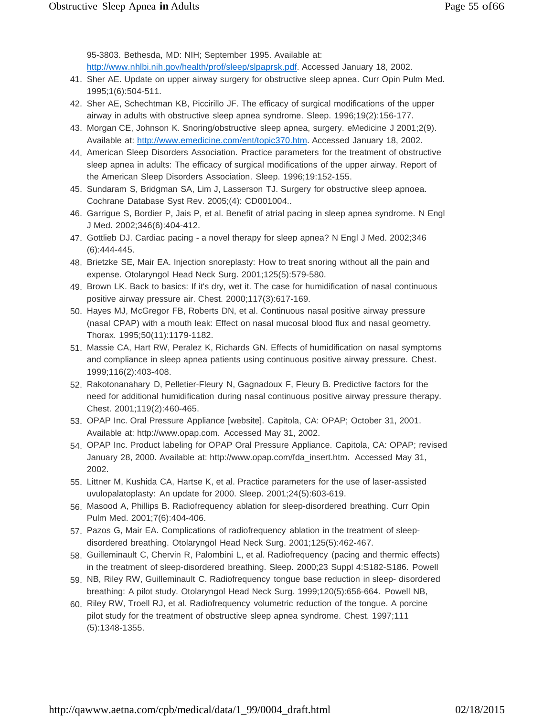95-3803. Bethesda, MD: NIH; September 1995. Available at: [http://www.nhlbi.nih.gov/health/prof/sleep/slpaprsk.pdf. A](http://www.nhlbi.nih.gov/health/prof/sleep/slpaprsk.pdf)ccessed January 18, 2002.

- 41. Sher AE. Update on upper airway surgery for obstructive sleep apnea. Curr Opin Pulm Med. 1995;1(6):504-511.
- 42. Sher AE, Schechtman KB, Piccirillo JF. The efficacy of surgical modifications of the upper airway in adults with obstructive sleep apnea syndrome. Sleep. 1996;19(2):156-177.
- 43. Morgan CE, Johnson K. Snoring/obstructive sleep apnea, surgery. eMedicine J 2001;2(9). Available at: [http://www.emedicine.com/ent/topic370.htm. A](http://www.emedicine.com/ent/topic370.htm)ccessed January 18, 2002.
- 44. American Sleep Disorders Association. Practice parameters for the treatment of obstructive sleep apnea in adults: The efficacy of surgical modifications of the upper airway. Report of the American Sleep Disorders Association. Sleep. 1996;19:152-155.
- 45. Sundaram S, Bridgman SA, Lim J, Lasserson TJ. Surgery for obstructive sleep apnoea. Cochrane Database Syst Rev. 2005;(4): CD001004..
- 46. Garrigue S, Bordier P, Jais P, et al. Benefit of atrial pacing in sleep apnea syndrome. N Engl J Med. 2002;346(6):404-412.
- 47. Gottlieb DJ. Cardiac pacing a novel therapy for sleep apnea? N Engl J Med. 2002;346 (6):444-445.
- 48. Brietzke SE, Mair EA. Injection snoreplasty: How to treat snoring without all the pain and expense. Otolaryngol Head Neck Surg. 2001;125(5):579-580.
- 49. Brown LK. Back to basics: If it's dry, wet it. The case for humidification of nasal continuous positive airway pressure air. Chest. 2000;117(3):617-169.
- 50. Hayes MJ, McGregor FB, Roberts DN, et al. Continuous nasal positive airway pressure (nasal CPAP) with a mouth leak: Effect on nasal mucosal blood flux and nasal geometry. Thorax. 1995;50(11):1179-1182.
- 51. Massie CA, Hart RW, Peralez K, Richards GN. Effects of humidification on nasal symptoms and compliance in sleep apnea patients using continuous positive airway pressure. Chest. 1999;116(2):403-408.
- 52. Rakotonanahary D, Pelletier-Fleury N, Gagnadoux F, Fleury B. Predictive factors for the need for additional humidification during nasal continuous positive airway pressure therapy. Chest. 2001;119(2):460-465.
- 53. OPAP Inc. Oral Pressure Appliance [website]. Capitola, CA: OPAP; October 31, 2001. Available at: [http://www.opap.com.](http://www.opap.com/) Accessed May 31, 2002.
- 54. OPAP Inc. Product labeling for OPAP Oral Pressure Appliance. Capitola, CA: OPAP; revised January 28, 2000. Available at: [http://www.opap.com/fda\\_insert.htm. A](http://www.opap.com/fda_insert.htm)ccessed May 31, 2002.
- 55. Littner M, Kushida CA, Hartse K, et al. Practice parameters for the use of laser-assisted uvulopalatoplasty: An update for 2000. Sleep. 2001;24(5):603-619.
- 56. Masood A, Phillips B. Radiofrequency ablation for sleep-disordered breathing. Curr Opin Pulm Med. 2001;7(6):404-406.
- 57. Pazos G, Mair EA. Complications of radiofrequency ablation in the treatment of sleepdisordered breathing. Otolaryngol Head Neck Surg. 2001;125(5):462-467.
- 58. Guilleminault C, Chervin R, Palombini L, et al. Radiofrequency (pacing and thermic effects) in the treatment of sleep-disordered breathing. Sleep. 2000;23 Suppl 4:S182-S186. Powell
- 59. NB, Riley RW, Guilleminault C. Radiofrequency tongue base reduction in sleep- disordered breathing: A pilot study. Otolaryngol Head Neck Surg. 1999;120(5):656-664. Powell NB,
- 60. Riley RW, Troell RJ, et al. Radiofrequency volumetric reduction of the tongue. A porcine pilot study for the treatment of obstructive sleep apnea syndrome. Chest. 1997;111 (5):1348-1355.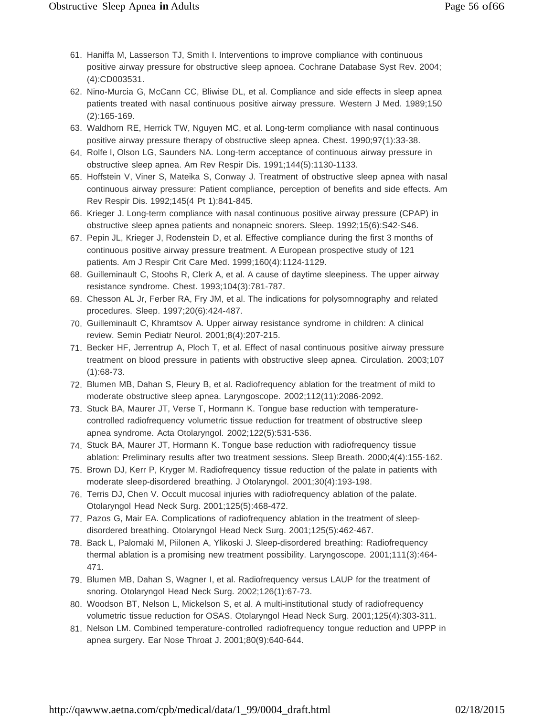- 61. Haniffa M, Lasserson TJ, Smith I. Interventions to improve compliance with continuous positive airway pressure for obstructive sleep apnoea. Cochrane Database Syst Rev. 2004; (4):CD003531.
- 62. Nino-Murcia G, McCann CC, Bliwise DL, et al. Compliance and side effects in sleep apnea patients treated with nasal continuous positive airway pressure. Western J Med. 1989;150 (2):165-169.
- 63. Waldhorn RE, Herrick TW, Nguyen MC, et al. Long-term compliance with nasal continuous positive airway pressure therapy of obstructive sleep apnea. Chest. 1990;97(1):33-38.
- 64. Rolfe I, Olson LG, Saunders NA. Long-term acceptance of continuous airway pressure in obstructive sleep apnea. Am Rev Respir Dis. 1991;144(5):1130-1133.
- 65. Hoffstein V, Viner S, Mateika S, Conway J. Treatment of obstructive sleep apnea with nasal continuous airway pressure: Patient compliance, perception of benefits and side effects. Am Rev Respir Dis. 1992;145(4 Pt 1):841-845.
- 66. Krieger J. Long-term compliance with nasal continuous positive airway pressure (CPAP) in obstructive sleep apnea patients and nonapneic snorers. Sleep. 1992;15(6):S42-S46.
- 67. Pepin JL, Krieger J, Rodenstein D, et al. Effective compliance during the first 3 months of continuous positive airway pressure treatment. A European prospective study of 121 patients. Am J Respir Crit Care Med. 1999;160(4):1124-1129.
- 68. Guilleminault C, Stoohs R, Clerk A, et al. A cause of daytime sleepiness. The upper airway resistance syndrome. Chest. 1993;104(3):781-787.
- 69. Chesson AL Jr, Ferber RA, Fry JM, et al. The indications for polysomnography and related procedures. Sleep. 1997;20(6):424-487.
- 70. Guilleminault C, Khramtsov A. Upper airway resistance syndrome in children: A clinical review. Semin Pediatr Neurol. 2001;8(4):207-215.
- 71. Becker HF, Jerrentrup A, Ploch T, et al. Effect of nasal continuous positive airway pressure treatment on blood pressure in patients with obstructive sleep apnea. Circulation. 2003;107 (1):68-73.
- 72. Blumen MB, Dahan S, Fleury B, et al. Radiofrequency ablation for the treatment of mild to moderate obstructive sleep apnea. Laryngoscope. 2002;112(11):2086-2092.
- 73. Stuck BA, Maurer JT, Verse T, Hormann K. Tongue base reduction with temperaturecontrolled radiofrequency volumetric tissue reduction for treatment of obstructive sleep apnea syndrome. Acta Otolaryngol. 2002;122(5):531-536.
- 74. Stuck BA, Maurer JT, Hormann K. Tongue base reduction with radiofrequency tissue ablation: Preliminary results after two treatment sessions. Sleep Breath. 2000;4(4):155-162.
- 75. Brown DJ, Kerr P, Kryger M. Radiofrequency tissue reduction of the palate in patients with moderate sleep-disordered breathing. J Otolaryngol. 2001;30(4):193-198.
- 76. Terris DJ, Chen V. Occult mucosal injuries with radiofrequency ablation of the palate. Otolaryngol Head Neck Surg. 2001;125(5):468-472.
- 77. Pazos G, Mair EA. Complications of radiofrequency ablation in the treatment of sleepdisordered breathing. Otolaryngol Head Neck Surg. 2001;125(5):462-467.
- 78. Back L, Palomaki M, Piilonen A, Ylikoski J. Sleep-disordered breathing: Radiofrequency thermal ablation is a promising new treatment possibility. Laryngoscope. 2001;111(3):464- 471.
- 79. Blumen MB, Dahan S, Wagner I, et al. Radiofrequency versus LAUP for the treatment of snoring. Otolaryngol Head Neck Surg. 2002;126(1):67-73.
- 80. Woodson BT, Nelson L, Mickelson S, et al. A multi-institutional study of radiofrequency volumetric tissue reduction for OSAS. Otolaryngol Head Neck Surg. 2001;125(4):303-311.
- 81. Nelson LM. Combined temperature-controlled radiofrequency tongue reduction and UPPP in apnea surgery. Ear Nose Throat J. 2001;80(9):640-644.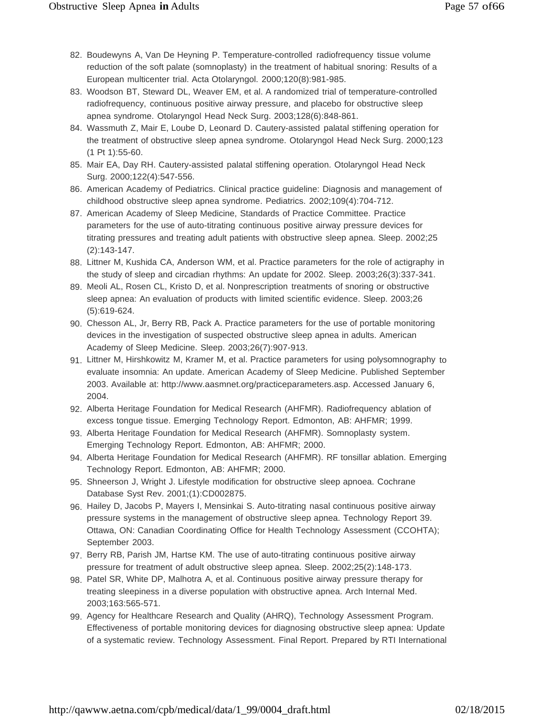- 82. Boudewyns A, Van De Heyning P. Temperature-controlled radiofrequency tissue volume reduction of the soft palate (somnoplasty) in the treatment of habitual snoring: Results of a European multicenter trial. Acta Otolaryngol. 2000;120(8):981-985.
- 83. Woodson BT, Steward DL, Weaver EM, et al. A randomized trial of temperature-controlled radiofrequency, continuous positive airway pressure, and placebo for obstructive sleep apnea syndrome. Otolaryngol Head Neck Surg. 2003;128(6):848-861.
- 84. Wassmuth Z, Mair E, Loube D, Leonard D. Cautery-assisted palatal stiffening operation for the treatment of obstructive sleep apnea syndrome. Otolaryngol Head Neck Surg. 2000;123 (1 Pt 1):55-60.
- 85. Mair EA, Day RH. Cautery-assisted palatal stiffening operation. Otolaryngol Head Neck Surg. 2000;122(4):547-556.
- 86. American Academy of Pediatrics. Clinical practice guideline: Diagnosis and management of childhood obstructive sleep apnea syndrome. Pediatrics. 2002;109(4):704-712.
- 87. American Academy of Sleep Medicine, Standards of Practice Committee. Practice parameters for the use of auto-titrating continuous positive airway pressure devices for titrating pressures and treating adult patients with obstructive sleep apnea. Sleep. 2002;25 (2):143-147.
- 88. Littner M, Kushida CA, Anderson WM, et al. Practice parameters for the role of actigraphy in the study of sleep and circadian rhythms: An update for 2002. Sleep. 2003;26(3):337-341.
- 89. Meoli AL, Rosen CL, Kristo D, et al. Nonprescription treatments of snoring or obstructive sleep apnea: An evaluation of products with limited scientific evidence. Sleep. 2003;26 (5):619-624.
- 90. Chesson AL, Jr, Berry RB, Pack A. Practice parameters for the use of portable monitoring devices in the investigation of suspected obstructive sleep apnea in adults. American Academy of Sleep Medicine. Sleep. 2003;26(7):907-913.
- 91. Littner M, Hirshkowitz M, Kramer M, et al. Practice parameters for using polysomnography to evaluate insomnia: An update. American Academy of Sleep Medicine. Published September 2003. Available at: [http://www.aasmnet.org/practiceparameters.asp. A](http://www.aasmnet.org/practiceparameters.asp)ccessed January 6, 2004.
- 92. Alberta Heritage Foundation for Medical Research (AHFMR). Radiofrequency ablation of excess tongue tissue. Emerging Technology Report. Edmonton, AB: AHFMR; 1999.
- 93. Alberta Heritage Foundation for Medical Research (AHFMR). Somnoplasty system. Emerging Technology Report. Edmonton, AB: AHFMR; 2000.
- 94. Alberta Heritage Foundation for Medical Research (AHFMR). RF tonsillar ablation. Emerging Technology Report. Edmonton, AB: AHFMR; 2000.
- 95. Shneerson J, Wright J. Lifestyle modification for obstructive sleep apnoea. Cochrane Database Syst Rev. 2001;(1):CD002875.
- 96. Hailey D, Jacobs P, Mayers I, Mensinkai S. Auto-titrating nasal continuous positive airway pressure systems in the management of obstructive sleep apnea. Technology Report 39. Ottawa, ON: Canadian Coordinating Office for Health Technology Assessment (CCOHTA); September 2003.
- 97. Berry RB, Parish JM, Hartse KM. The use of auto-titrating continuous positive airway pressure for treatment of adult obstructive sleep apnea. Sleep. 2002;25(2):148-173.
- 98. Patel SR, White DP, Malhotra A, et al. Continuous positive airway pressure therapy for treating sleepiness in a diverse population with obstructive apnea. Arch Internal Med. 2003;163:565-571.
- 99. Agency for Healthcare Research and Quality (AHRQ), Technology Assessment Program. Effectiveness of portable monitoring devices for diagnosing obstructive sleep apnea: Update of a systematic review. Technology Assessment. Final Report. Prepared by RTI International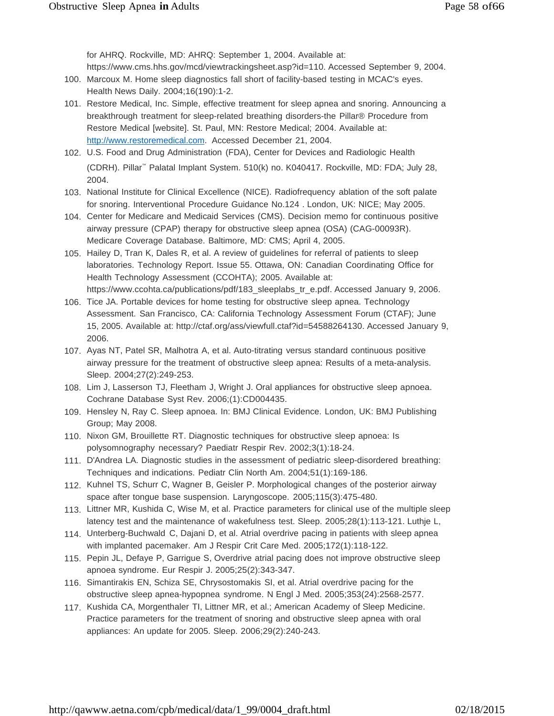for AHRQ. Rockville, MD: AHRQ: September 1, 2004. Available at: https:/[/www.cms.hhs.gov/mcd/viewtrackingsheet.asp?id=110. A](http://www.cms.hhs.gov/mcd/viewtrackingsheet.asp?id=110)ccessed September 9, 2004.

- 100. Marcoux M. Home sleep diagnostics fall short of facility-based testing in MCAC's eyes. Health News Daily. 2004;16(190):1-2.
- 101. Restore Medical, Inc. Simple, effective treatment for sleep apnea and snoring. Announcing a breakthrough treatment for sleep-related breathing disorders-the Pillar® Procedure from Restore Medical [website]. St. Paul, MN: Restore Medical; 2004. Available at: [http://www.restoremedical.com. A](http://www.restoremedical.com/)ccessed December 21, 2004.
- 102. U.S. Food and Drug Administration (FDA), Center for Devices and Radiologic Health (CDRH). Pillar ™ Palatal Implant System. 510(k) no. K040417. Rockville, MD: FDA; July 28, 2004.
- 103. National Institute for Clinical Excellence (NICE). Radiofrequency ablation of the soft palate for snoring. Interventional Procedure Guidance No.124 . London, UK: NICE; May 2005.
- 104. Center for Medicare and Medicaid Services (CMS). Decision memo for continuous positive airway pressure (CPAP) therapy for obstructive sleep apnea (OSA) (CAG-00093R). Medicare Coverage Database. Baltimore, MD: CMS; April 4, 2005.
- 105. Hailey D, Tran K, Dales R, et al. A review of guidelines for referral of patients to sleep laboratories. Technology Report. Issue 55. Ottawa, ON: Canadian Coordinating Office for Health Technology Assessment (CCOHTA); 2005. Available at: https:/[/www.ccohta.ca/publications/pdf/183\\_sleeplabs\\_tr\\_e.pdf. A](http://www.ccohta.ca/publications/pdf/183_sleeplabs_tr_e.pdf)ccessed January 9, 2006.
- 106. Tice JA. Portable devices for home testing for obstructive sleep apnea. Technology Assessment. San Francisco, CA: California Technology Assessment Forum (CTAF); June 15, 2005. Available at: [http://ctaf.org/ass/viewfull.ctaf?id=54588264130. A](http://ctaf.org/ass/viewfull.ctaf?id=54588264130)ccessed January 9, 2006.
- 107. Ayas NT, Patel SR, Malhotra A, et al. Auto-titrating versus standard continuous positive airway pressure for the treatment of obstructive sleep apnea: Results of a meta-analysis. Sleep. 2004;27(2):249-253.
- 108. Lim J, Lasserson TJ, Fleetham J, Wright J. Oral appliances for obstructive sleep apnoea. Cochrane Database Syst Rev. 2006;(1):CD004435.
- 109. Hensley N, Ray C. Sleep apnoea. In: BMJ Clinical Evidence. London, UK: BMJ Publishing Group; May 2008.
- 110. Nixon GM, Brouillette RT. Diagnostic techniques for obstructive sleep apnoea: Is polysomnography necessary? Paediatr Respir Rev. 2002;3(1):18-24.
- 111. D'Andrea LA. Diagnostic studies in the assessment of pediatric sleep-disordered breathing: Techniques and indications. Pediatr Clin North Am. 2004;51(1):169-186.
- 112. Kuhnel TS, Schurr C, Wagner B, Geisler P. Morphological changes of the posterior airway space after tongue base suspension. Laryngoscope. 2005;115(3):475-480.
- 113. Littner MR, Kushida C, Wise M, et al. Practice parameters for clinical use of the multiple sleep latency test and the maintenance of wakefulness test. Sleep. 2005;28(1):113-121. Luthje L,
- 114. Unterberg-Buchwald C, Dajani D, et al. Atrial overdrive pacing in patients with sleep apnea with implanted pacemaker. Am J Respir Crit Care Med. 2005;172(1):118-122.
- 115. Pepin JL, Defaye P, Garrigue S, Overdrive atrial pacing does not improve obstructive sleep apnoea syndrome. Eur Respir J. 2005;25(2):343-347.
- 116. Simantirakis EN, Schiza SE, Chrysostomakis SI, et al. Atrial overdrive pacing for the obstructive sleep apnea-hypopnea syndrome. N Engl J Med. 2005;353(24):2568-2577.
- 117. Kushida CA, Morgenthaler TI, Littner MR, et al.; American Academy of Sleep Medicine. Practice parameters for the treatment of snoring and obstructive sleep apnea with oral appliances: An update for 2005. Sleep. 2006;29(2):240-243.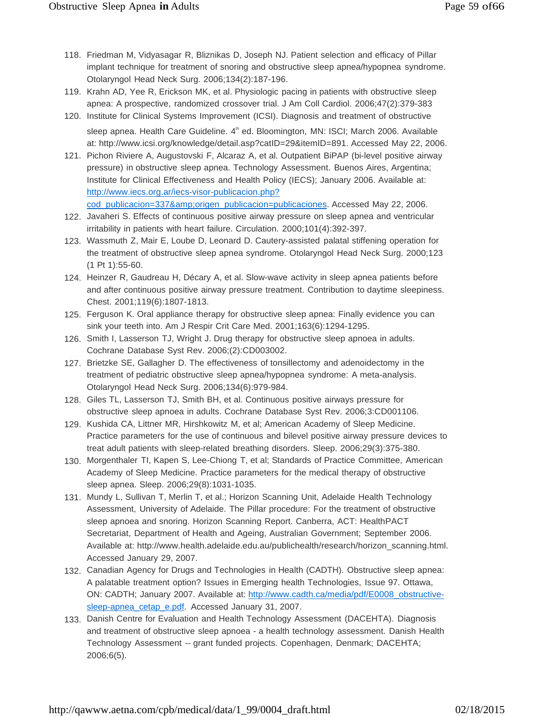- 118. Friedman M, Vidyasagar R, Bliznikas D, Joseph NJ. Patient selection and efficacy of Pillar implant technique for treatment of snoring and obstructive sleep apnea/hypopnea syndrome. Otolaryngol Head Neck Surg. 2006;134(2):187-196.
- 119. Krahn AD, Yee R, Erickson MK, et al. Physiologic pacing in patients with obstructive sleep apnea: A prospective, randomized crossover trial. J Am Coll Cardiol. 2006;47(2):379-383
- 120. Institute for Clinical Systems Improvement (ICSI). Diagnosis and treatment of obstructive sleep apnea. Health Care Guideline. 4<sup>th</sup> ed. Bloomington, MN: ISCI; March 2006. Available at: [http://www.icsi.org/knowledge/detail.asp?catID=29&itemID=891. A](http://www.icsi.org/knowledge/detail.asp?catID=29&itemID=891)ccessed May 22, 2006.
- 121. Pichon Riviere A, Augustovski F, Alcaraz A, et al. Outpatient BiPAP (bi-level positive airway pressure) in obstructive sleep apnea. Technology Assessment. Buenos Aires, Argentina; Institute for Clinical Effectiveness and Health Policy (IECS); January 2006. Available at: [http://www.iecs.org.ar/iecs-visor-publicacion.php?](http://www.iecs.org.ar/iecs-visor-publicacion.php) cod\_publicacion=337&origen\_publicacion=publicaciones. Accessed May 22, 2006.
- 122. Javaheri S. Effects of continuous positive airway pressure on sleep apnea and ventricular irritability in patients with heart failure. Circulation. 2000;101(4):392-397.
- 123. Wassmuth Z, Mair E, Loube D, Leonard D. Cautery-assisted palatal stiffening operation for the treatment of obstructive sleep apnea syndrome. Otolaryngol Head Neck Surg. 2000;123 (1 Pt 1):55-60.
- 124. Heinzer R, Gaudreau H, Décary A, et al. Slow-wave activity in sleep apnea patients before and after continuous positive airway pressure treatment. Contribution to daytime sleepiness. Chest. 2001;119(6):1807-1813.
- 125. Ferguson K. Oral appliance therapy for obstructive sleep apnea: Finally evidence you can sink your teeth into. Am J Respir Crit Care Med. 2001;163(6):1294-1295.
- 126. Smith I, Lasserson TJ, Wright J. Drug therapy for obstructive sleep apnoea in adults. Cochrane Database Syst Rev. 2006;(2):CD003002.
- 127. Brietzke SE, Gallagher D. The effectiveness of tonsillectomy and adenoidectomy in the treatment of pediatric obstructive sleep apnea/hypopnea syndrome: A meta-analysis. Otolaryngol Head Neck Surg. 2006;134(6):979-984.
- 128. Giles TL, Lasserson TJ, Smith BH, et al. Continuous positive airways pressure for obstructive sleep apnoea in adults. Cochrane Database Syst Rev. 2006;3:CD001106.
- 129. Kushida CA, Littner MR, Hirshkowitz M, et al; American Academy of Sleep Medicine. Practice parameters for the use of continuous and bilevel positive airway pressure devices to treat adult patients with sleep-related breathing disorders. Sleep. 2006;29(3):375-380.
- 130. Morgenthaler TI, Kapen S, Lee-Chiong T, et al; Standards of Practice Committee, American Academy of Sleep Medicine. Practice parameters for the medical therapy of obstructive sleep apnea. Sleep. 2006;29(8):1031-1035.
- 131. Mundy L, Sullivan T, Merlin T, et al.; Horizon Scanning Unit, Adelaide Health Technology Assessment, University of Adelaide. The Pillar procedure: For the treatment of obstructive sleep apnoea and snoring. Horizon Scanning Report. Canberra, ACT: HealthPACT Secretariat, Department of Health and Ageing, Australian Government; September 2006. Available at: [http://www.health.adelaide.edu.au/publichealth/research/horizon\\_scanning.html.](http://www.health.adelaide.edu.au/publichealth/research/horizon_scanning.html) Accessed January 29, 2007.
- 132. Canadian Agency for Drugs and Technologies in Health (CADTH). Obstructive sleep apnea: A palatable treatment option? Issues in Emerging health Technologies, Issue 97. Ottawa, ON: CADTH; January 2007. Available at: [http://www.cadth.ca/media/pdf/E0008\\_obstructive](http://www.cadth.ca/media/pdf/E0008_obstructive-)sleep-apnea\_cetap\_e.pdf. Accessed January 31, 2007.
- 133. Danish Centre for Evaluation and Health Technology Assessment (DACEHTA). Diagnosis and treatment of obstructive sleep apnoea - a health technology assessment. Danish Health Technology Assessment -- grant funded projects. Copenhagen, Denmark; DACEHTA; 2006;6(5).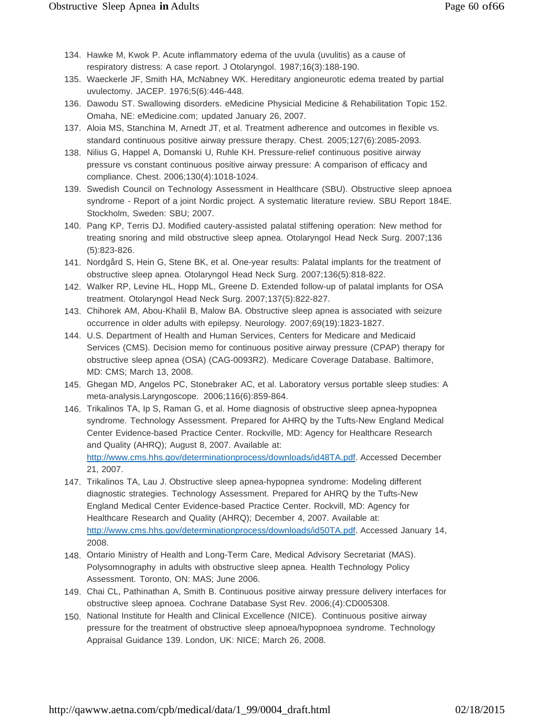- 134. Hawke M, Kwok P. Acute inflammatory edema of the uvula (uvulitis) as a cause of respiratory distress: A case report. J Otolaryngol. 1987;16(3):188-190.
- 135. Waeckerle JF, Smith HA, McNabney WK. Hereditary angioneurotic edema treated by partial uvulectomy. JACEP. 1976;5(6):446-448.
- 136. Dawodu ST. Swallowing disorders. eMedicine Physicial Medicine & Rehabilitation Topic 152. Omaha, NE: eMedicine.com; updated January 26, 2007.
- 137. Aloia MS, Stanchina M, Arnedt JT, et al. Treatment adherence and outcomes in flexible vs. standard continuous positive airway pressure therapy. Chest. 2005;127(6):2085-2093.
- 138. Nilius G, Happel A, Domanski U, Ruhle KH. Pressure-relief continuous positive airway pressure vs constant continuous positive airway pressure: A comparison of efficacy and compliance. Chest. 2006;130(4):1018-1024.
- 139. Swedish Council on Technology Assessment in Healthcare (SBU). Obstructive sleep apnoea syndrome - Report of a joint Nordic project. A systematic literature review. SBU Report 184E. Stockholm, Sweden: SBU; 2007.
- 140. Pang KP, Terris DJ. Modified cautery-assisted palatal stiffening operation: New method for treating snoring and mild obstructive sleep apnea. Otolaryngol Head Neck Surg. 2007;136 (5):823-826.
- 141. Nordgård S, Hein G, Stene BK, et al. One-year results: Palatal implants for the treatment of obstructive sleep apnea. Otolaryngol Head Neck Surg. 2007;136(5):818-822.
- 142. Walker RP, Levine HL, Hopp ML, Greene D. Extended follow-up of palatal implants for OSA treatment. Otolaryngol Head Neck Surg. 2007;137(5):822-827.
- 143. Chihorek AM, Abou-Khalil B, Malow BA. Obstructive sleep apnea is associated with seizure occurrence in older adults with epilepsy. Neurology. 2007;69(19):1823-1827.
- 144. U.S. Department of Health and Human Services, Centers for Medicare and Medicaid Services (CMS). Decision memo for continuous positive airway pressure (CPAP) therapy for obstructive sleep apnea (OSA) (CAG-0093R2). Medicare Coverage Database. Baltimore, MD: CMS; March 13, 2008.
- 145. Ghegan MD, Angelos PC, Stonebraker AC, et al. Laboratory versus portable sleep studies: A meta-analysis.Laryngoscope. 2006;116(6):859-864.
- 146. Trikalinos TA, Ip S, Raman G, et al. Home diagnosis of obstructive sleep apnea-hypopnea syndrome. Technology Assessment. Prepared for AHRQ by the Tufts-New England Medical Center Evidence-based Practice Center. Rockville, MD: Agency for Healthcare Research and Quality (AHRQ); August 8, 2007. Available at: [http://www.cms.hhs.gov/determinationprocess/downloads/id48TA.pdf. A](http://www.cms.hhs.gov/determinationprocess/downloads/id48TA.pdf)ccessed December 21, 2007.
- 147. Trikalinos TA, Lau J. Obstructive sleep apnea-hypopnea syndrome: Modeling different diagnostic strategies. Technology Assessment. Prepared for AHRQ by the Tufts-New England Medical Center Evidence-based Practice Center. Rockvill, MD: Agency for Healthcare Research and Quality (AHRQ); December 4, 2007. Available at: [http://www.cms.hhs.gov/determinationprocess/downloads/id50TA.pdf. A](http://www.cms.hhs.gov/determinationprocess/downloads/id50TA.pdf)ccessed January 14, 2008.
- 148. Ontario Ministry of Health and Long-Term Care, Medical Advisory Secretariat (MAS). Polysomnography in adults with obstructive sleep apnea. Health Technology Policy Assessment. Toronto, ON: MAS; June 2006.
- 149. Chai CL, Pathinathan A, Smith B. Continuous positive airway pressure delivery interfaces for obstructive sleep apnoea. Cochrane Database Syst Rev. 2006;(4):CD005308.
- 150. National Institute for Health and Clinical Excellence (NICE). Continuous positive airway pressure for the treatment of obstructive sleep apnoea/hypopnoea syndrome. Technology Appraisal Guidance 139. London, UK: NICE; March 26, 2008.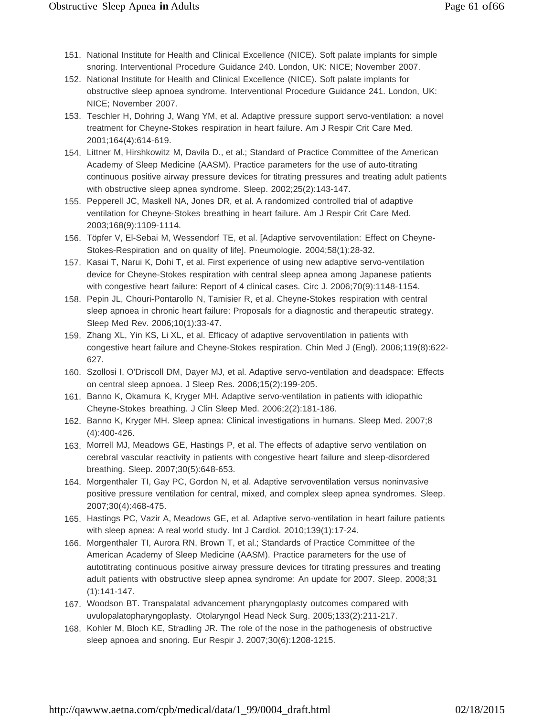- 151. National Institute for Health and Clinical Excellence (NICE). Soft palate implants for simple snoring. Interventional Procedure Guidance 240. London, UK: NICE; November 2007.
- 152. National Institute for Health and Clinical Excellence (NICE). Soft palate implants for obstructive sleep apnoea syndrome. Interventional Procedure Guidance 241. London, UK: NICE; November 2007.
- 153. Teschler H, Dohring J, Wang YM, et al. Adaptive pressure support servo-ventilation: a novel treatment for Cheyne-Stokes respiration in heart failure. Am J Respir Crit Care Med. 2001;164(4):614-619.
- 154. Littner M, Hirshkowitz M, Davila D., et al.; Standard of Practice Committee of the American Academy of Sleep Medicine (AASM). Practice parameters for the use of auto-titrating continuous positive airway pressure devices for titrating pressures and treating adult patients with obstructive sleep apnea syndrome. Sleep. 2002;25(2):143-147.
- 155. Pepperell JC, Maskell NA, Jones DR, et al. A randomized controlled trial of adaptive ventilation for Cheyne-Stokes breathing in heart failure. Am J Respir Crit Care Med. 2003;168(9):1109-1114.
- 156. Töpfer V, El-Sebai M, Wessendorf TE, et al. [Adaptive servoventilation: Effect on Cheyne-Stokes-Respiration and on quality of life]. Pneumologie. 2004;58(1):28-32.
- 157. Kasai T, Narui K, Dohi T, et al. First experience of using new adaptive servo-ventilation device for Cheyne-Stokes respiration with central sleep apnea among Japanese patients with congestive heart failure: Report of 4 clinical cases. Circ J. 2006;70(9):1148-1154.
- 158. Pepin JL, Chouri-Pontarollo N, Tamisier R, et al. Cheyne-Stokes respiration with central sleep apnoea in chronic heart failure: Proposals for a diagnostic and therapeutic strategy. Sleep Med Rev. 2006;10(1):33-47.
- 159. Zhang XL, Yin KS, Li XL, et al. Efficacy of adaptive servoventilation in patients with congestive heart failure and Cheyne-Stokes respiration. Chin Med J (Engl). 2006;119(8):622- 627.
- 160. Szollosi I, O'Driscoll DM, Dayer MJ, et al. Adaptive servo-ventilation and deadspace: Effects on central sleep apnoea. J Sleep Res. 2006;15(2):199-205.
- 161. Banno K, Okamura K, Kryger MH. Adaptive servo-ventilation in patients with idiopathic Cheyne-Stokes breathing. J Clin Sleep Med. 2006;2(2):181-186.
- 162. Banno K, Kryger MH. Sleep apnea: Clinical investigations in humans. Sleep Med. 2007;8 (4):400-426.
- 163. Morrell MJ, Meadows GE, Hastings P, et al. The effects of adaptive servo ventilation on cerebral vascular reactivity in patients with congestive heart failure and sleep-disordered breathing. Sleep. 2007;30(5):648-653.
- 164. Morgenthaler TI, Gay PC, Gordon N, et al. Adaptive servoventilation versus noninvasive positive pressure ventilation for central, mixed, and complex sleep apnea syndromes. Sleep. 2007;30(4):468-475.
- 165. Hastings PC, Vazir A, Meadows GE, et al. Adaptive servo-ventilation in heart failure patients with sleep apnea: A real world study. Int J Cardiol. 2010;139(1):17-24.
- 166. Morgenthaler TI, Aurora RN, Brown T, et al.; Standards of Practice Committee of the American Academy of Sleep Medicine (AASM). Practice parameters for the use of autotitrating continuous positive airway pressure devices for titrating pressures and treating adult patients with obstructive sleep apnea syndrome: An update for 2007. Sleep. 2008;31 (1):141-147.
- 167. Woodson BT. Transpalatal advancement pharyngoplasty outcomes compared with uvulopalatopharyngoplasty. Otolaryngol Head Neck Surg. 2005;133(2):211-217.
- 168. Kohler M, Bloch KE, Stradling JR. The role of the nose in the pathogenesis of obstructive sleep apnoea and snoring. Eur Respir J. 2007;30(6):1208-1215.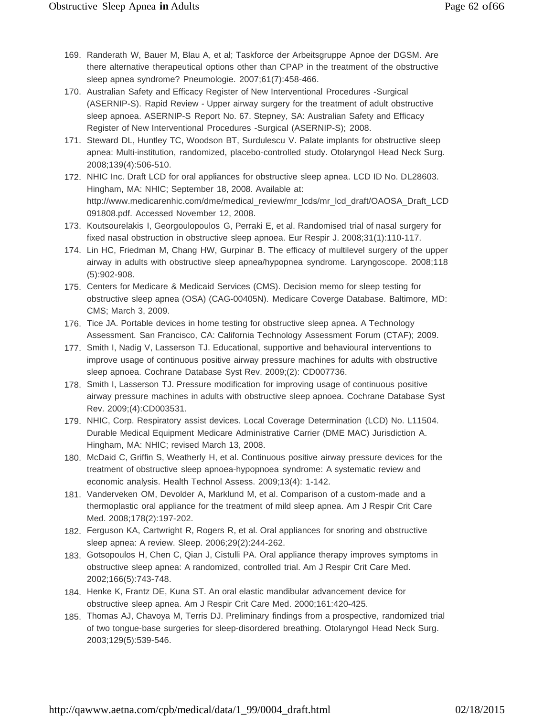- 169. Randerath W, Bauer M, Blau A, et al; Taskforce der Arbeitsgruppe Apnoe der DGSM. Are there alternative therapeutical options other than CPAP in the treatment of the obstructive sleep apnea syndrome? Pneumologie. 2007;61(7):458-466.
- 170. Australian Safety and Efficacy Register of New Interventional Procedures -Surgical (ASERNIP-S). Rapid Review - Upper airway surgery for the treatment of adult obstructive sleep apnoea. ASERNIP-S Report No. 67. Stepney, SA: Australian Safety and Efficacy Register of New Interventional Procedures -Surgical (ASERNIP-S); 2008.
- 171. Steward DL, Huntley TC, Woodson BT, Surdulescu V. Palate implants for obstructive sleep apnea: Multi-institution, randomized, placebo-controlled study. Otolaryngol Head Neck Surg. 2008;139(4):506-510.
- 172. NHIC Inc. Draft LCD for oral appliances for obstructive sleep apnea. LCD ID No. DL28603. Hingham, MA: NHIC; September 18, 2008. Available at[:](http://www.medicarenhic.com/dme/medical_review/mr_lcds/mr_lcd_draft/OAOSA_Draft_LCD) [http://www.medicarenhic.com/dme/medical\\_review/mr\\_lcds/mr\\_lcd\\_draft/OAOSA\\_Draft\\_LCD](http://www.medicarenhic.com/dme/medical_review/mr_lcds/mr_lcd_draft/OAOSA_Draft_LCD) 091808.pdf. Accessed November 12, 2008.
- 173. Koutsourelakis I, Georgoulopoulos G, Perraki E, et al. Randomised trial of nasal surgery for fixed nasal obstruction in obstructive sleep apnoea. Eur Respir J. 2008;31(1):110-117.
- 174. Lin HC, Friedman M, Chang HW, Gurpinar B. The efficacy of multilevel surgery of the upper airway in adults with obstructive sleep apnea/hypopnea syndrome. Laryngoscope. 2008;118 (5):902-908.
- 175. Centers for Medicare & Medicaid Services (CMS). Decision memo for sleep testing for obstructive sleep apnea (OSA) (CAG-00405N). Medicare Coverge Database. Baltimore, MD: CMS; March 3, 2009.
- 176. Tice JA. Portable devices in home testing for obstructive sleep apnea. A Technology Assessment. San Francisco, CA: California Technology Assessment Forum (CTAF); 2009.
- 177. Smith I, Nadig V, Lasserson TJ. Educational, supportive and behavioural interventions to improve usage of continuous positive airway pressure machines for adults with obstructive sleep apnoea. Cochrane Database Syst Rev. 2009;(2): CD007736.
- 178. Smith I, Lasserson TJ. Pressure modification for improving usage of continuous positive airway pressure machines in adults with obstructive sleep apnoea. Cochrane Database Syst Rev. 2009;(4):CD003531.
- 179. NHIC, Corp. Respiratory assist devices. Local Coverage Determination (LCD) No. L11504. Durable Medical Equipment Medicare Administrative Carrier (DME MAC) Jurisdiction A. Hingham, MA: NHIC; revised March 13, 2008.
- 180. McDaid C, Griffin S, Weatherly H, et al. Continuous positive airway pressure devices for the treatment of obstructive sleep apnoea-hypopnoea syndrome: A systematic review and economic analysis. Health Technol Assess. 2009;13(4): 1-142.
- 181. Vanderveken OM, Devolder A, Marklund M, et al. Comparison of a custom-made and a thermoplastic oral appliance for the treatment of mild sleep apnea. Am J Respir Crit Care Med. 2008;178(2):197-202.
- 182. Ferguson KA, Cartwright R, Rogers R, et al. Oral appliances for snoring and obstructive sleep apnea: A review. Sleep. 2006;29(2):244-262.
- 183. Gotsopoulos H, Chen C, Qian J, Cistulli PA. Oral appliance therapy improves symptoms in obstructive sleep apnea: A randomized, controlled trial. Am J Respir Crit Care Med. 2002;166(5):743-748.
- 184. Henke K, Frantz DE, Kuna ST. An oral elastic mandibular advancement device for obstructive sleep apnea. Am J Respir Crit Care Med. 2000;161:420-425.
- 185. Thomas AJ, Chavoya M, Terris DJ. Preliminary findings from a prospective, randomized trial of two tongue-base surgeries for sleep-disordered breathing. Otolaryngol Head Neck Surg. 2003;129(5):539-546.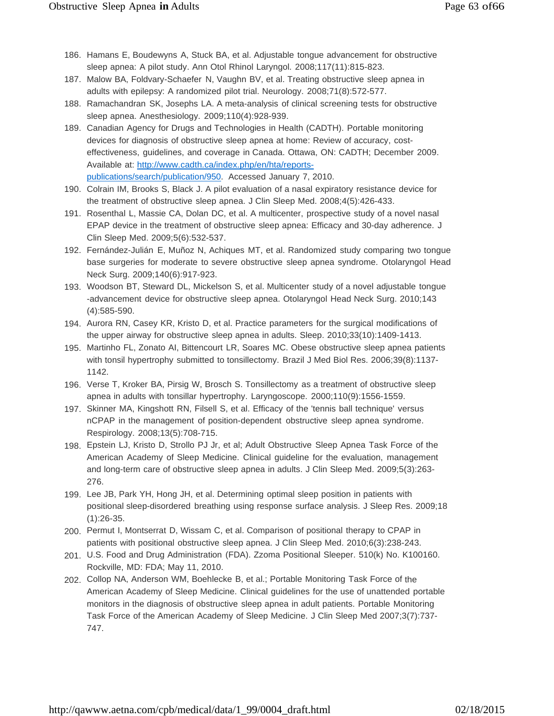- 186. Hamans E, Boudewyns A, Stuck BA, et al. Adjustable tongue advancement for obstructive sleep apnea: A pilot study. Ann Otol Rhinol Laryngol. 2008;117(11):815-823.
- 187. Malow BA, Foldvary-Schaefer N, Vaughn BV, et al. Treating obstructive sleep apnea in adults with epilepsy: A randomized pilot trial. Neurology. 2008;71(8):572-577.
- 188. Ramachandran SK, Josephs LA. A meta-analysis of clinical screening tests for obstructive sleep apnea. Anesthesiology. 2009;110(4):928-939.
- 189. Canadian Agency for Drugs and Technologies in Health (CADTH). Portable monitoring devices for diagnosis of obstructive sleep apnea at home: Review of accuracy, costeffectiveness, guidelines, and coverage in Canada. Ottawa, ON: CADTH; December 2009. Available at: [http://www.cadth.ca/index.php/en/hta/reports](http://www.cadth.ca/index.php/en/hta/reports-)publications/search/publication/950. Accessed January 7, 2010.
- 190. Colrain IM, Brooks S, Black J. A pilot evaluation of a nasal expiratory resistance device for the treatment of obstructive sleep apnea. J Clin Sleep Med. 2008;4(5):426-433.
- 191. Rosenthal L, Massie CA, Dolan DC, et al. A multicenter, prospective study of a novel nasal EPAP device in the treatment of obstructive sleep apnea: Efficacy and 30-day adherence. J Clin Sleep Med. 2009;5(6):532-537.
- 192. Fernández-Julián E, Muñoz N, Achiques MT, et al. Randomized study comparing two tongue base surgeries for moderate to severe obstructive sleep apnea syndrome. Otolaryngol Head Neck Surg. 2009;140(6):917-923.
- 193. Woodson BT, Steward DL, Mickelson S, et al. Multicenter study of a novel adjustable tongue -advancement device for obstructive sleep apnea. Otolaryngol Head Neck Surg. 2010;143 (4):585-590.
- 194. Aurora RN, Casey KR, Kristo D, et al. Practice parameters for the surgical modifications of the upper airway for obstructive sleep apnea in adults. Sleep. 2010;33(10):1409-1413.
- 195. Martinho FL, Zonato AI, Bittencourt LR, Soares MC. Obese obstructive sleep apnea patients with tonsil hypertrophy submitted to tonsillectomy. Brazil J Med Biol Res. 2006;39(8):1137- 1142.
- 196. Verse T, Kroker BA, Pirsig W, Brosch S. Tonsillectomy as a treatment of obstructive sleep apnea in adults with tonsillar hypertrophy. Laryngoscope. 2000;110(9):1556-1559.
- 197. Skinner MA, Kingshott RN, Filsell S, et al. Efficacy of the 'tennis ball technique' versus nCPAP in the management of position-dependent obstructive sleep apnea syndrome. Respirology. 2008;13(5):708-715.
- 198. Epstein LJ, Kristo D, Strollo PJ Jr, et al; Adult Obstructive Sleep Apnea Task Force of the American Academy of Sleep Medicine. Clinical guideline for the evaluation, management and long-term care of obstructive sleep apnea in adults. J Clin Sleep Med. 2009;5(3):263- 276.
- 199. Lee JB, Park YH, Hong JH, et al. Determining optimal sleep position in patients with positional sleep-disordered breathing using response surface analysis. J Sleep Res. 2009;18 (1):26-35.
- 200. Permut I, Montserrat D, Wissam C, et al. Comparison of positional therapy to CPAP in patients with positional obstructive sleep apnea. J Clin Sleep Med. 2010;6(3):238-243.
- 201. U.S. Food and Drug Administration (FDA). Zzoma Positional Sleeper. 510(k) No. K100160. Rockville, MD: FDA; May 11, 2010.
- 202. Collop NA, Anderson WM, Boehlecke B, et al.; Portable Monitoring Task Force of the American Academy of Sleep Medicine. Clinical guidelines for the use of unattended portable monitors in the diagnosis of obstructive sleep apnea in adult patients. Portable Monitoring Task Force of the American Academy of Sleep Medicine. J Clin Sleep Med 2007;3(7):737- 747.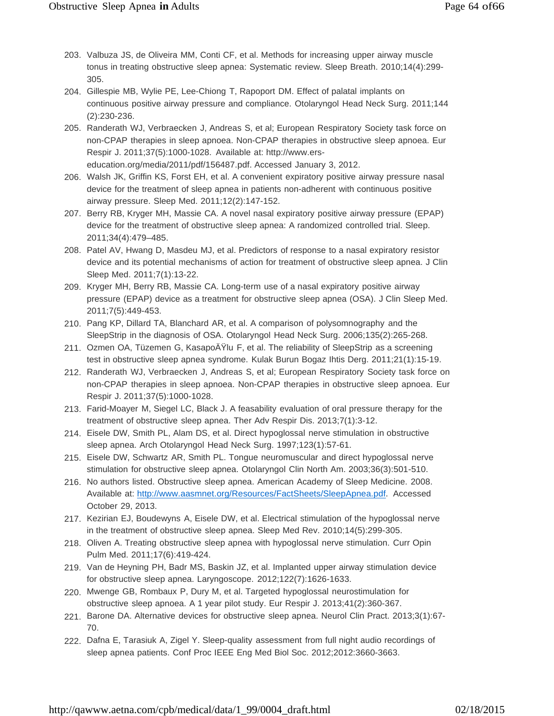- 203. Valbuza JS, de Oliveira MM, Conti CF, et al. Methods for increasing upper airway muscle tonus in treating obstructive sleep apnea: Systematic review. Sleep Breath. 2010;14(4):299- 305.
- 204. Gillespie MB, Wylie PE, Lee-Chiong T, Rapoport DM. Effect of palatal implants on continuous positive airway pressure and compliance. Otolaryngol Head Neck Surg. 2011;144 (2):230-236.
- 205. Randerath WJ, Verbraecken J, Andreas S, et al; European Respiratory Society task force on non-CPAP therapies in sleep apnoea. Non-CPAP therapies in obstructive sleep apnoea. Eur Respir J. 2011;37(5):1000-1028. Available at: http://www.erseducation.org/media/2011/pdf/156487.pdf. Accessed January 3, 2012.
- 206. Walsh JK, Griffin KS, Forst EH, et al. A convenient expiratory positive airway pressure nasal device for the treatment of sleep apnea in patients non-adherent with continuous positive airway pressure. Sleep Med. 2011;12(2):147-152.
- 207. Berry RB, Kryger MH, Massie CA. A novel nasal expiratory positive airway pressure (EPAP) device for the treatment of obstructive sleep apnea: A randomized controlled trial. Sleep. 2011;34(4):479–485.
- 208. Patel AV, Hwang D, Masdeu MJ, et al. Predictors of response to a nasal expiratory resistor device and its potential mechanisms of action for treatment of obstructive sleep apnea. J Clin Sleep Med. 2011;7(1):13-22.
- 209. Kryger MH, Berry RB, Massie CA. Long-term use of a nasal expiratory positive airway pressure (EPAP) device as a treatment for obstructive sleep apnea (OSA). J Clin Sleep Med. 2011;7(5):449-453.
- 210. Pang KP, Dillard TA, Blanchard AR, et al. A comparison of polysomnography and the SleepStrip in the diagnosis of OSA. Otolaryngol Head Neck Surg. 2006;135(2):265-268.
- 211. Ozmen OA, Tüzemen G, KasapoAYlu F, et al. The reliability of SleepStrip as a screening test in obstructive sleep apnea syndrome. Kulak Burun Bogaz Ihtis Derg. 2011;21(1):15-19.
- 212. Randerath WJ, Verbraecken J, Andreas S, et al; European Respiratory Society task force on non-CPAP therapies in sleep apnoea. Non-CPAP therapies in obstructive sleep apnoea. Eur Respir J. 2011;37(5):1000-1028.
- 213. Farid-Moayer M, Siegel LC, Black J. A feasability evaluation of oral pressure therapy for the treatment of obstructive sleep apnea. Ther Adv Respir Dis. 2013;7(1):3-12.
- 214. Eisele DW, Smith PL, Alam DS, et al. Direct hypoglossal nerve stimulation in obstructive sleep apnea. Arch Otolaryngol Head Neck Surg. 1997;123(1):57-61.
- 215. Eisele DW, Schwartz AR, Smith PL. Tongue neuromuscular and direct hypoglossal nerve stimulation for obstructive sleep apnea. Otolaryngol Clin North Am. 2003;36(3):501-510.
- 216. No authors listed. Obstructive sleep apnea. American Academy of Sleep Medicine. 2008. Available at: [http://www.aasmnet.org/Resources/FactSheets/SleepApnea.pdf.](http://www.aasmnet.org/Resources/FactSheets/SleepApnea.pdf) Accessed October 29, 2013.
- 217. Kezirian EJ, Boudewyns A, Eisele DW, et al. Electrical stimulation of the hypoglossal nerve in the treatment of obstructive sleep apnea. Sleep Med Rev. 2010;14(5):299-305.
- 218. Oliven A. Treating obstructive sleep apnea with hypoglossal nerve stimulation. Curr Opin Pulm Med. 2011;17(6):419-424.
- 219. Van de Heyning PH, Badr MS, Baskin JZ, et al. Implanted upper airway stimulation device for obstructive sleep apnea. Laryngoscope. 2012;122(7):1626-1633.
- 220. Mwenge GB, Rombaux P, Dury M, et al. Targeted hypoglossal neurostimulation for obstructive sleep apnoea. A 1 year pilot study. Eur Respir J. 2013;41(2):360-367.
- 221. Barone DA. Alternative devices for obstructive sleep apnea. Neurol Clin Pract. 2013;3(1):67- 70.
- 222. Dafna E, Tarasiuk A, Zigel Y. Sleep-quality assessment from full night audio recordings of sleep apnea patients. Conf Proc IEEE Eng Med Biol Soc. 2012;2012:3660-3663.